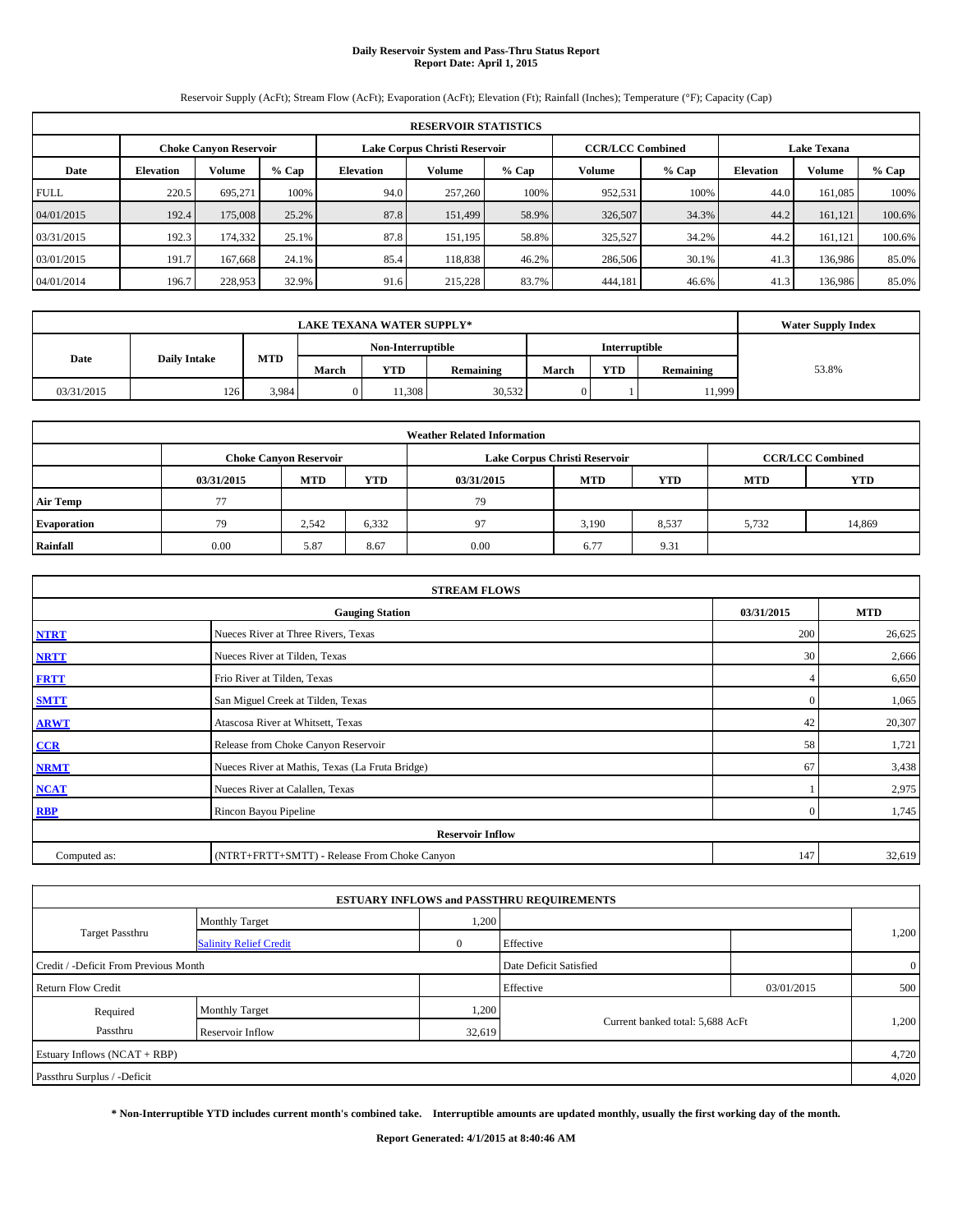#### **Daily Reservoir System and Pass-Thru Status Report Report Date: April 1, 2015**

Reservoir Supply (AcFt); Stream Flow (AcFt); Evaporation (AcFt); Elevation (Ft); Rainfall (Inches); Temperature (°F); Capacity (Cap)

| <b>RESERVOIR STATISTICS</b> |                  |                               |         |                               |         |         |                         |         |                    |               |         |
|-----------------------------|------------------|-------------------------------|---------|-------------------------------|---------|---------|-------------------------|---------|--------------------|---------------|---------|
|                             |                  | <b>Choke Canvon Reservoir</b> |         | Lake Corpus Christi Reservoir |         |         | <b>CCR/LCC Combined</b> |         | <b>Lake Texana</b> |               |         |
| Date                        | <b>Elevation</b> | <b>Volume</b>                 | $%$ Cap | <b>Elevation</b>              | Volume  | $%$ Cap | Volume                  | $%$ Cap | <b>Elevation</b>   | <b>Volume</b> | $%$ Cap |
| <b>FULL</b>                 | 220.5            | 695.271                       | 100%    | 94.0                          | 257,260 | 100%    | 952,531                 | 100%    | 44.0               | 161.085       | 100%    |
| 04/01/2015                  | 192.4            | 175,008                       | 25.2%   | 87.8                          | 151,499 | 58.9%   | 326,507                 | 34.3%   | 44.2               | 161,121       | 100.6%  |
| 03/31/2015                  | 192.3            | 174,332                       | 25.1%   | 87.8                          | 151,195 | 58.8%   | 325,527                 | 34.2%   | 44.2               | 161.121       | 100.6%  |
| 03/01/2015                  | 191.7            | 167,668                       | 24.1%   | 85.4                          | 118.838 | 46.2%   | 286,506                 | 30.1%   | 41.3               | 136,986       | 85.0%   |
| 04/01/2014                  | 196.7            | 228,953                       | 32.9%   | 91.6                          | 215,228 | 83.7%   | 444,181                 | 46.6%   | 41.3               | 136,986       | 85.0%   |

|                                           | <b>LAKE TEXANA WATER SUPPLY*</b> |       |                   |            |                  |                      |            |           |       |  |  |
|-------------------------------------------|----------------------------------|-------|-------------------|------------|------------------|----------------------|------------|-----------|-------|--|--|
|                                           |                                  |       | Non-Interruptible |            |                  | <b>Interruptible</b> |            |           |       |  |  |
| <b>MTD</b><br>Date<br><b>Daily Intake</b> |                                  |       | March             | <b>YTD</b> | <b>Remaining</b> | March                | <b>YTD</b> | Remaining | 53.8% |  |  |
| 03/31/2015                                | 126                              | 3,984 |                   | 1.308      | 30,532           | $\mathbf{0}$         |            | 11,999    |       |  |  |

| <b>Weather Related Information</b> |            |                               |            |            |                               |                         |            |            |  |  |  |
|------------------------------------|------------|-------------------------------|------------|------------|-------------------------------|-------------------------|------------|------------|--|--|--|
|                                    |            | <b>Choke Canyon Reservoir</b> |            |            | Lake Corpus Christi Reservoir | <b>CCR/LCC Combined</b> |            |            |  |  |  |
|                                    | 03/31/2015 | <b>MTD</b>                    | <b>YTD</b> | 03/31/2015 | <b>MTD</b>                    | YTD                     | <b>MTD</b> | <b>YTD</b> |  |  |  |
| <b>Air Temp</b>                    | 77         |                               |            | 79         |                               |                         |            |            |  |  |  |
| <b>Evaporation</b>                 | 79         | 2,542                         | 6,332      | 97         | 3,190                         | 8,537                   | 5,732      | 14,869     |  |  |  |
| Rainfall                           | 0.00       | 5.87                          | 8.67       | 0.00       | 6.77                          | 9.31                    |            |            |  |  |  |

| <b>STREAM FLOWS</b> |                                                 |                |        |  |  |  |  |  |  |
|---------------------|-------------------------------------------------|----------------|--------|--|--|--|--|--|--|
|                     | 03/31/2015                                      | <b>MTD</b>     |        |  |  |  |  |  |  |
| <b>NTRT</b>         | Nueces River at Three Rivers, Texas             | 200            | 26,625 |  |  |  |  |  |  |
| <b>NRTT</b>         | Nueces River at Tilden, Texas                   | 30             | 2,666  |  |  |  |  |  |  |
| <b>FRTT</b>         | Frio River at Tilden, Texas                     |                | 6,650  |  |  |  |  |  |  |
| <b>SMTT</b>         | San Miguel Creek at Tilden, Texas               | $\Omega$       | 1,065  |  |  |  |  |  |  |
| <b>ARWT</b>         | Atascosa River at Whitsett, Texas               | 42             | 20,307 |  |  |  |  |  |  |
| $CCR$               | Release from Choke Canyon Reservoir             | 58             | 1,721  |  |  |  |  |  |  |
| <b>NRMT</b>         | Nueces River at Mathis, Texas (La Fruta Bridge) | 67             | 3,438  |  |  |  |  |  |  |
| <b>NCAT</b>         | Nueces River at Calallen, Texas                 |                | 2,975  |  |  |  |  |  |  |
| <b>RBP</b>          | Rincon Bayou Pipeline                           | $\overline{0}$ | 1,745  |  |  |  |  |  |  |
|                     | <b>Reservoir Inflow</b>                         |                |        |  |  |  |  |  |  |
| Computed as:        | (NTRT+FRTT+SMTT) - Release From Choke Canyon    |                |        |  |  |  |  |  |  |

|                                       |                               |        | <b>ESTUARY INFLOWS and PASSTHRU REQUIREMENTS</b> |            |                |
|---------------------------------------|-------------------------------|--------|--------------------------------------------------|------------|----------------|
|                                       | <b>Monthly Target</b>         | 1,200  |                                                  |            |                |
| Target Passthru                       | <b>Salinity Relief Credit</b> |        | Effective                                        |            | 1,200          |
| Credit / -Deficit From Previous Month |                               |        | Date Deficit Satisfied                           |            | $\overline{0}$ |
| Return Flow Credit                    |                               |        | Effective                                        | 03/01/2015 | 500            |
| Required                              | <b>Monthly Target</b>         | 1,200  |                                                  |            |                |
| Passthru                              | <b>Reservoir Inflow</b>       | 32,619 | Current banked total: 5,688 AcFt                 |            | 1,200          |
| Estuary Inflows (NCAT + RBP)          |                               |        |                                                  |            | 4,720          |
| Passthru Surplus / -Deficit           |                               |        |                                                  |            | 4,020          |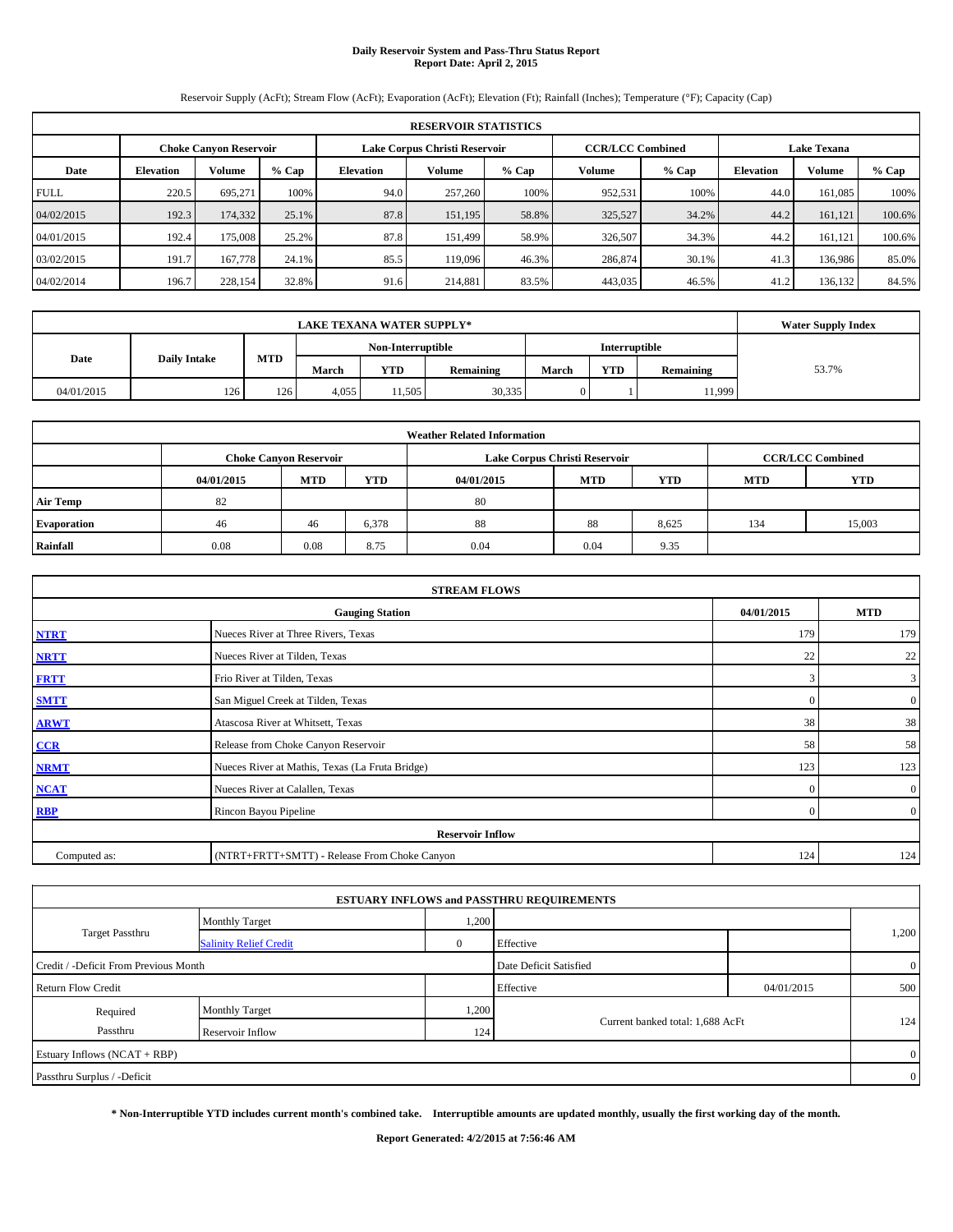#### **Daily Reservoir System and Pass-Thru Status Report Report Date: April 2, 2015**

Reservoir Supply (AcFt); Stream Flow (AcFt); Evaporation (AcFt); Elevation (Ft); Rainfall (Inches); Temperature (°F); Capacity (Cap)

| <b>RESERVOIR STATISTICS</b> |                  |                               |         |                               |         |         |                         |         |                    |         |        |
|-----------------------------|------------------|-------------------------------|---------|-------------------------------|---------|---------|-------------------------|---------|--------------------|---------|--------|
|                             |                  | <b>Choke Canvon Reservoir</b> |         | Lake Corpus Christi Reservoir |         |         | <b>CCR/LCC Combined</b> |         | <b>Lake Texana</b> |         |        |
| Date                        | <b>Elevation</b> | <b>Volume</b>                 | $%$ Cap | <b>Elevation</b>              | Volume  | $%$ Cap | Volume                  | $%$ Cap | <b>Elevation</b>   | Volume  | % Cap  |
| <b>FULL</b>                 | 220.5            | 695.271                       | 100%    | 94.0                          | 257,260 | 100%    | 952,531                 | 100%    | 44.0               | 161.085 | 100%   |
| 04/02/2015                  | 192.3            | 174,332                       | 25.1%   | 87.8                          | 151,195 | 58.8%   | 325,527                 | 34.2%   | 44.2               | 161.121 | 100.6% |
| 04/01/2015                  | 192.4            | 175,008                       | 25.2%   | 87.8                          | 151.499 | 58.9%   | 326,507                 | 34.3%   | 44.2               | 161.121 | 100.6% |
| 03/02/2015                  | 191.7            | 167,778                       | 24.1%   | 85.5                          | 119,096 | 46.3%   | 286,874                 | 30.1%   | 41.3               | 136,986 | 85.0%  |
| 04/02/2014                  | 196.7            | 228,154                       | 32.8%   | 91.6                          | 214,881 | 83.5%   | 443,035                 | 46.5%   | 41.2               | 136.132 | 84.5%  |

|                             | <b>LAKE TEXANA WATER SUPPLY*</b> |            |                   |            |           |               |            |                  |       |  |  |
|-----------------------------|----------------------------------|------------|-------------------|------------|-----------|---------------|------------|------------------|-------|--|--|
|                             |                                  |            | Non-Interruptible |            |           | Interruptible |            |                  |       |  |  |
| Date<br><b>Daily Intake</b> |                                  | <b>MTD</b> | March             | <b>YTD</b> | Remaining | March         | <b>YTD</b> | <b>Remaining</b> | 53.7% |  |  |
| 04/01/2015                  | 126                              | 126        | 4.055             | 11,505     | 30,335    |               |            | 11,999           |       |  |  |

| <b>Weather Related Information</b> |            |                                                                    |       |      |                               |                         |     |            |  |  |  |
|------------------------------------|------------|--------------------------------------------------------------------|-------|------|-------------------------------|-------------------------|-----|------------|--|--|--|
|                                    |            | <b>Choke Canyon Reservoir</b>                                      |       |      | Lake Corpus Christi Reservoir | <b>CCR/LCC Combined</b> |     |            |  |  |  |
|                                    | 04/01/2015 | <b>YTD</b><br><b>MTD</b><br><b>YTD</b><br><b>MTD</b><br>04/01/2015 |       |      |                               |                         |     | <b>YTD</b> |  |  |  |
| <b>Air Temp</b>                    | 82         |                                                                    |       | 80   |                               |                         |     |            |  |  |  |
| Evaporation                        | 46         | 46                                                                 | 6,378 | 88   | 88                            | 8,625                   | 134 | 15,003     |  |  |  |
| Rainfall                           | 0.08       | 0.08                                                               | 8.75  | 0.04 | 0.04                          | 9.35                    |     |            |  |  |  |

| <b>STREAM FLOWS</b>                                |                                                 |          |                |  |  |  |  |  |  |
|----------------------------------------------------|-------------------------------------------------|----------|----------------|--|--|--|--|--|--|
| 04/01/2015<br><b>MTD</b><br><b>Gauging Station</b> |                                                 |          |                |  |  |  |  |  |  |
| <b>NTRT</b>                                        | Nueces River at Three Rivers, Texas             | 179      | 179            |  |  |  |  |  |  |
| <b>NRTT</b>                                        | Nueces River at Tilden, Texas                   | 22       | 22             |  |  |  |  |  |  |
| <b>FRTT</b>                                        | Frio River at Tilden, Texas                     | 3        | $\mathbf{3}$   |  |  |  |  |  |  |
| <b>SMTT</b>                                        | San Miguel Creek at Tilden, Texas               | $\Omega$ | $\overline{0}$ |  |  |  |  |  |  |
| <b>ARWT</b>                                        | Atascosa River at Whitsett, Texas               | 38       | 38             |  |  |  |  |  |  |
| CCR                                                | Release from Choke Canyon Reservoir             | 58       | 58             |  |  |  |  |  |  |
| <b>NRMT</b>                                        | Nueces River at Mathis, Texas (La Fruta Bridge) | 123      | 123            |  |  |  |  |  |  |
| <b>NCAT</b>                                        | Nueces River at Calallen, Texas                 | $\Omega$ | $\overline{0}$ |  |  |  |  |  |  |
| <b>RBP</b>                                         | Rincon Bayou Pipeline                           | $\Omega$ | $\overline{0}$ |  |  |  |  |  |  |
|                                                    | <b>Reservoir Inflow</b>                         |          |                |  |  |  |  |  |  |
| Computed as:                                       | (NTRT+FRTT+SMTT) - Release From Choke Canyon    |          |                |  |  |  |  |  |  |

|                                       |                               |       | <b>ESTUARY INFLOWS and PASSTHRU REQUIREMENTS</b> |            |                |
|---------------------------------------|-------------------------------|-------|--------------------------------------------------|------------|----------------|
|                                       | <b>Monthly Target</b>         | 1,200 |                                                  |            |                |
| Target Passthru                       | <b>Salinity Relief Credit</b> |       | Effective                                        |            | 1,200          |
| Credit / -Deficit From Previous Month |                               |       | Date Deficit Satisfied                           |            | $\overline{0}$ |
| <b>Return Flow Credit</b>             |                               |       | Effective                                        | 04/01/2015 | 500            |
| Required                              | <b>Monthly Target</b>         | 1,200 |                                                  |            |                |
| Passthru                              | Reservoir Inflow              | 124   | Current banked total: 1,688 AcFt                 |            | 124            |
| Estuary Inflows (NCAT + RBP)          |                               |       |                                                  |            | $\overline{0}$ |
| Passthru Surplus / -Deficit           |                               |       |                                                  |            | $\overline{0}$ |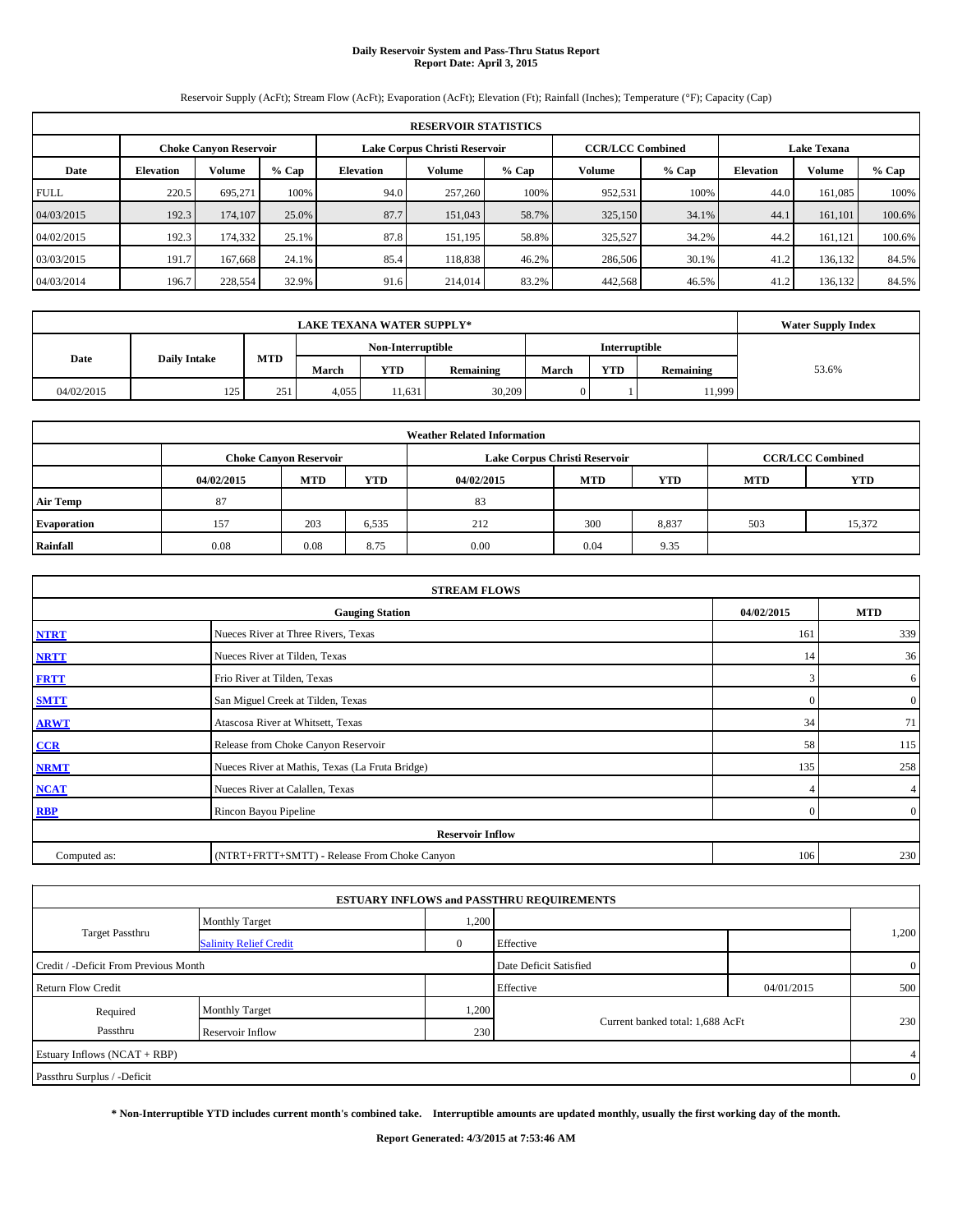#### **Daily Reservoir System and Pass-Thru Status Report Report Date: April 3, 2015**

Reservoir Supply (AcFt); Stream Flow (AcFt); Evaporation (AcFt); Elevation (Ft); Rainfall (Inches); Temperature (°F); Capacity (Cap)

| <b>RESERVOIR STATISTICS</b> |                  |                               |         |                               |         |         |                         |         |                    |               |         |
|-----------------------------|------------------|-------------------------------|---------|-------------------------------|---------|---------|-------------------------|---------|--------------------|---------------|---------|
|                             |                  | <b>Choke Canvon Reservoir</b> |         | Lake Corpus Christi Reservoir |         |         | <b>CCR/LCC Combined</b> |         | <b>Lake Texana</b> |               |         |
| Date                        | <b>Elevation</b> | <b>Volume</b>                 | $%$ Cap | <b>Elevation</b>              | Volume  | $%$ Cap | <b>Volume</b>           | $%$ Cap | <b>Elevation</b>   | <b>Volume</b> | $%$ Cap |
| <b>FULL</b>                 | 220.5            | 695.271                       | 100%    | 94.0                          | 257,260 | 100%    | 952,531                 | 100%    | 44.0               | 161.085       | 100%    |
| 04/03/2015                  | 192.3            | 174,107                       | 25.0%   | 87.7                          | 151,043 | 58.7%   | 325,150                 | 34.1%   | 44.1               | 161,101       | 100.6%  |
| 04/02/2015                  | 192.3            | 174.332                       | 25.1%   | 87.8                          | 151.195 | 58.8%   | 325,527                 | 34.2%   | 44.2               | 161.121       | 100.6%  |
| 03/03/2015                  | 191.7            | 167,668                       | 24.1%   | 85.4                          | 118,838 | 46.2%   | 286,506                 | 30.1%   | 41.2               | 136,132       | 84.5%   |
| 04/03/2014                  | 196.7            | 228,554                       | 32.9%   | 91.6                          | 214,014 | 83.2%   | 442,568                 | 46.5%   | 41.2               | 136.132       | 84.5%   |

|            | <b>Water Supply Index</b> |            |       |                   |           |       |               |           |       |
|------------|---------------------------|------------|-------|-------------------|-----------|-------|---------------|-----------|-------|
|            |                           |            |       | Non-Interruptible |           |       | Interruptible |           |       |
| Date       | <b>Daily Intake</b>       | <b>MTD</b> | March | <b>YTD</b>        | Remaining | March | <b>YTD</b>    | Remaining | 53.6% |
| 04/02/2015 | 125                       | 251        | 4,055 | 11.631            | 30,209    | 0     |               | 11,999    |       |

| <b>Weather Related Information</b> |            |                               |       |            |                               |                         |            |            |  |  |
|------------------------------------|------------|-------------------------------|-------|------------|-------------------------------|-------------------------|------------|------------|--|--|
|                                    |            | <b>Choke Canyon Reservoir</b> |       |            | Lake Corpus Christi Reservoir | <b>CCR/LCC Combined</b> |            |            |  |  |
|                                    | 04/02/2015 | <b>MTD</b>                    | YTD   | 04/02/2015 | <b>MTD</b>                    | <b>YTD</b>              | <b>MTD</b> | <b>YTD</b> |  |  |
| <b>Air Temp</b>                    | 87         |                               |       | 83         |                               |                         |            |            |  |  |
| <b>Evaporation</b>                 | 157        | 203                           | 6,535 | 212        | 300                           | 8,837                   | 503        | 15,372     |  |  |
| Rainfall                           | 0.08       | 0.08                          | 8.75  | 0.00       | 0.04                          | 9.35                    |            |            |  |  |

| <b>STREAM FLOWS</b> |                                                 |          |                |  |  |  |  |  |  |
|---------------------|-------------------------------------------------|----------|----------------|--|--|--|--|--|--|
|                     | <b>Gauging Station</b>                          |          |                |  |  |  |  |  |  |
| <b>NTRT</b>         | Nueces River at Three Rivers, Texas             | 161      | 339            |  |  |  |  |  |  |
| <b>NRTT</b>         | Nueces River at Tilden, Texas                   | 14       | 36             |  |  |  |  |  |  |
| <b>FRTT</b>         | Frio River at Tilden, Texas                     | 3        | 6              |  |  |  |  |  |  |
| <b>SMTT</b>         | San Miguel Creek at Tilden, Texas               | $\Omega$ | $\overline{0}$ |  |  |  |  |  |  |
| <b>ARWT</b>         | Atascosa River at Whitsett, Texas               | 34       | 71             |  |  |  |  |  |  |
| CCR                 | Release from Choke Canyon Reservoir             | 58       | 115            |  |  |  |  |  |  |
| <b>NRMT</b>         | Nueces River at Mathis, Texas (La Fruta Bridge) | 135      | 258            |  |  |  |  |  |  |
| <b>NCAT</b>         | Nueces River at Calallen, Texas                 |          | $\overline{4}$ |  |  |  |  |  |  |
| RBP                 | Rincon Bayou Pipeline                           | $\Omega$ | $\overline{0}$ |  |  |  |  |  |  |
|                     | <b>Reservoir Inflow</b>                         |          |                |  |  |  |  |  |  |
| Computed as:        | (NTRT+FRTT+SMTT) - Release From Choke Canyon    | 106      | 230            |  |  |  |  |  |  |

|                                       |                               |       | <b>ESTUARY INFLOWS and PASSTHRU REQUIREMENTS</b> |            |                |
|---------------------------------------|-------------------------------|-------|--------------------------------------------------|------------|----------------|
|                                       | <b>Monthly Target</b>         | 1,200 |                                                  |            |                |
| <b>Target Passthru</b>                | <b>Salinity Relief Credit</b> |       | Effective                                        |            | 1,200          |
| Credit / -Deficit From Previous Month |                               |       | Date Deficit Satisfied                           |            | $\overline{0}$ |
| <b>Return Flow Credit</b>             |                               |       | Effective                                        | 04/01/2015 | 500            |
| Required                              | <b>Monthly Target</b>         | 1,200 |                                                  |            |                |
| Passthru                              | Reservoir Inflow              | 230   | Current banked total: 1,688 AcFt                 |            | 230            |
| Estuary Inflows (NCAT + RBP)          |                               |       |                                                  |            | 4              |
| Passthru Surplus / -Deficit           |                               |       |                                                  |            | $\overline{0}$ |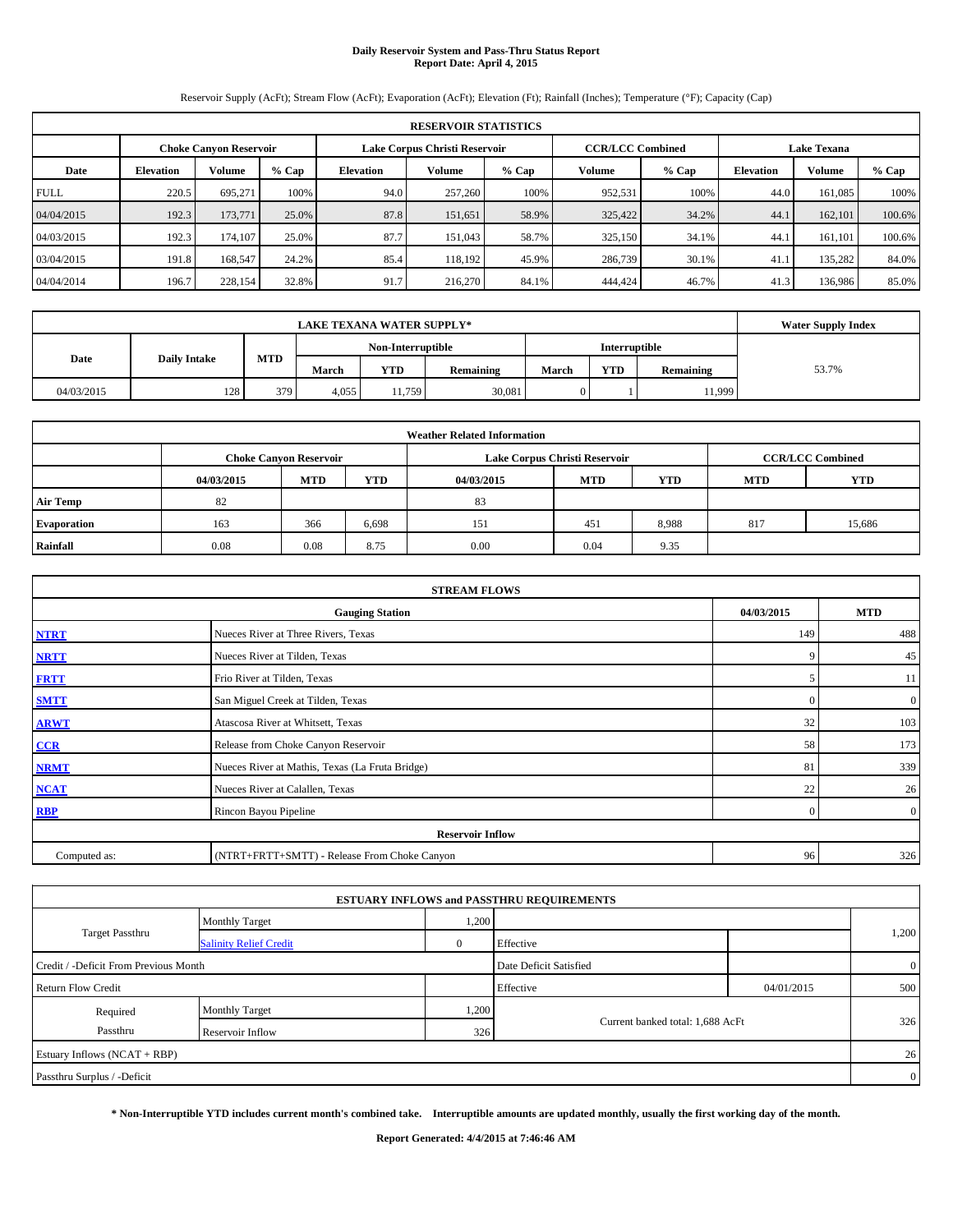#### **Daily Reservoir System and Pass-Thru Status Report Report Date: April 4, 2015**

Reservoir Supply (AcFt); Stream Flow (AcFt); Evaporation (AcFt); Elevation (Ft); Rainfall (Inches); Temperature (°F); Capacity (Cap)

| <b>RESERVOIR STATISTICS</b> |                  |                               |         |                  |                               |         |                         |         |                    |               |         |
|-----------------------------|------------------|-------------------------------|---------|------------------|-------------------------------|---------|-------------------------|---------|--------------------|---------------|---------|
|                             |                  | <b>Choke Canvon Reservoir</b> |         |                  | Lake Corpus Christi Reservoir |         | <b>CCR/LCC Combined</b> |         | <b>Lake Texana</b> |               |         |
| Date                        | <b>Elevation</b> | <b>Volume</b>                 | $%$ Cap | <b>Elevation</b> | Volume                        | $%$ Cap | <b>Volume</b>           | $%$ Cap | <b>Elevation</b>   | <b>Volume</b> | $%$ Cap |
| <b>FULL</b>                 | 220.5            | 695.271                       | 100%    | 94.0             | 257,260                       | 100%    | 952,531                 | 100%    | 44.0               | 161.085       | 100%    |
| 04/04/2015                  | 192.3            | 173,771                       | 25.0%   | 87.8             | 151.651                       | 58.9%   | 325,422                 | 34.2%   | 44.1               | 162,101       | 100.6%  |
| 04/03/2015                  | 192.3            | 174,107                       | 25.0%   | 87.7             | 151,043                       | 58.7%   | 325,150                 | 34.1%   | 44.1               | 161.101       | 100.6%  |
| 03/04/2015                  | 191.8            | 168,547                       | 24.2%   | 85.4             | 118.192                       | 45.9%   | 286,739                 | 30.1%   | 41.1               | 135,282       | 84.0%   |
| 04/04/2014                  | 196.7            | 228,154                       | 32.8%   | 91.7             | 216,270                       | 84.1%   | 444,424                 | 46.7%   | 41.3               | 136,986       | 85.0%   |

|            | <b>Water Supply Index</b> |            |       |                   |           |       |               |           |       |
|------------|---------------------------|------------|-------|-------------------|-----------|-------|---------------|-----------|-------|
|            |                           |            |       | Non-Interruptible |           |       | Interruptible |           |       |
| Date       | <b>Daily Intake</b>       | <b>MTD</b> | March | <b>YTD</b>        | Remaining | March | <b>YTD</b>    | Remaining | 53.7% |
| 04/03/2015 | 128                       | 379        | 4,055 | 11.759            | 30,081    | 0     |               | 11,999    |       |

| <b>Weather Related Information</b> |            |                               |       |            |                               |                         |            |            |  |  |
|------------------------------------|------------|-------------------------------|-------|------------|-------------------------------|-------------------------|------------|------------|--|--|
|                                    |            | <b>Choke Canyon Reservoir</b> |       |            | Lake Corpus Christi Reservoir | <b>CCR/LCC Combined</b> |            |            |  |  |
|                                    | 04/03/2015 | <b>MTD</b>                    | YTD   | 04/03/2015 | <b>MTD</b>                    | <b>YTD</b>              | <b>MTD</b> | <b>YTD</b> |  |  |
| <b>Air Temp</b>                    | 82         |                               |       | 83         |                               |                         |            |            |  |  |
| <b>Evaporation</b>                 | 163        | 366                           | 6,698 | 151        | 451                           | 8,988                   | 817        | 15,686     |  |  |
| Rainfall                           | 0.08       | 0.08                          | 8.75  | 0.00       | 0.04                          | 9.35                    |            |            |  |  |

| <b>STREAM FLOWS</b> |                                                 |          |                |  |  |  |  |  |  |
|---------------------|-------------------------------------------------|----------|----------------|--|--|--|--|--|--|
|                     | <b>Gauging Station</b>                          |          |                |  |  |  |  |  |  |
| <b>NTRT</b>         | Nueces River at Three Rivers, Texas             | 149      | 488            |  |  |  |  |  |  |
| <b>NRTT</b>         | Nueces River at Tilden, Texas                   | 9        | 45             |  |  |  |  |  |  |
| <b>FRTT</b>         | Frio River at Tilden, Texas                     | C        | 11             |  |  |  |  |  |  |
| <b>SMTT</b>         | San Miguel Creek at Tilden, Texas               | $\Omega$ | $\mathbf{0}$   |  |  |  |  |  |  |
| <b>ARWT</b>         | Atascosa River at Whitsett, Texas               | 32       | 103            |  |  |  |  |  |  |
| CCR                 | Release from Choke Canyon Reservoir             | 58       | 173            |  |  |  |  |  |  |
| <b>NRMT</b>         | Nueces River at Mathis, Texas (La Fruta Bridge) | 81       | 339            |  |  |  |  |  |  |
| <b>NCAT</b>         | Nueces River at Calallen, Texas                 | 22       | 26             |  |  |  |  |  |  |
| RBP                 | Rincon Bayou Pipeline                           | $\Omega$ | $\overline{0}$ |  |  |  |  |  |  |
|                     | <b>Reservoir Inflow</b>                         |          |                |  |  |  |  |  |  |
| Computed as:        | (NTRT+FRTT+SMTT) - Release From Choke Canyon    | 96       | 326            |  |  |  |  |  |  |

|                                       |                               |       | <b>ESTUARY INFLOWS and PASSTHRU REQUIREMENTS</b> |            |                |
|---------------------------------------|-------------------------------|-------|--------------------------------------------------|------------|----------------|
|                                       | <b>Monthly Target</b>         | 1,200 |                                                  |            |                |
| <b>Target Passthru</b>                | <b>Salinity Relief Credit</b> |       | Effective                                        |            | 1,200          |
| Credit / -Deficit From Previous Month |                               |       | Date Deficit Satisfied                           |            | $\overline{0}$ |
| <b>Return Flow Credit</b>             |                               |       | Effective                                        | 04/01/2015 | 500            |
| Required                              | <b>Monthly Target</b>         | 1,200 |                                                  |            |                |
| Passthru                              | Reservoir Inflow              | 326   | Current banked total: 1,688 AcFt                 |            | 326            |
| Estuary Inflows (NCAT + RBP)          |                               |       |                                                  |            | 26             |
| Passthru Surplus / -Deficit           |                               |       |                                                  |            | $\overline{0}$ |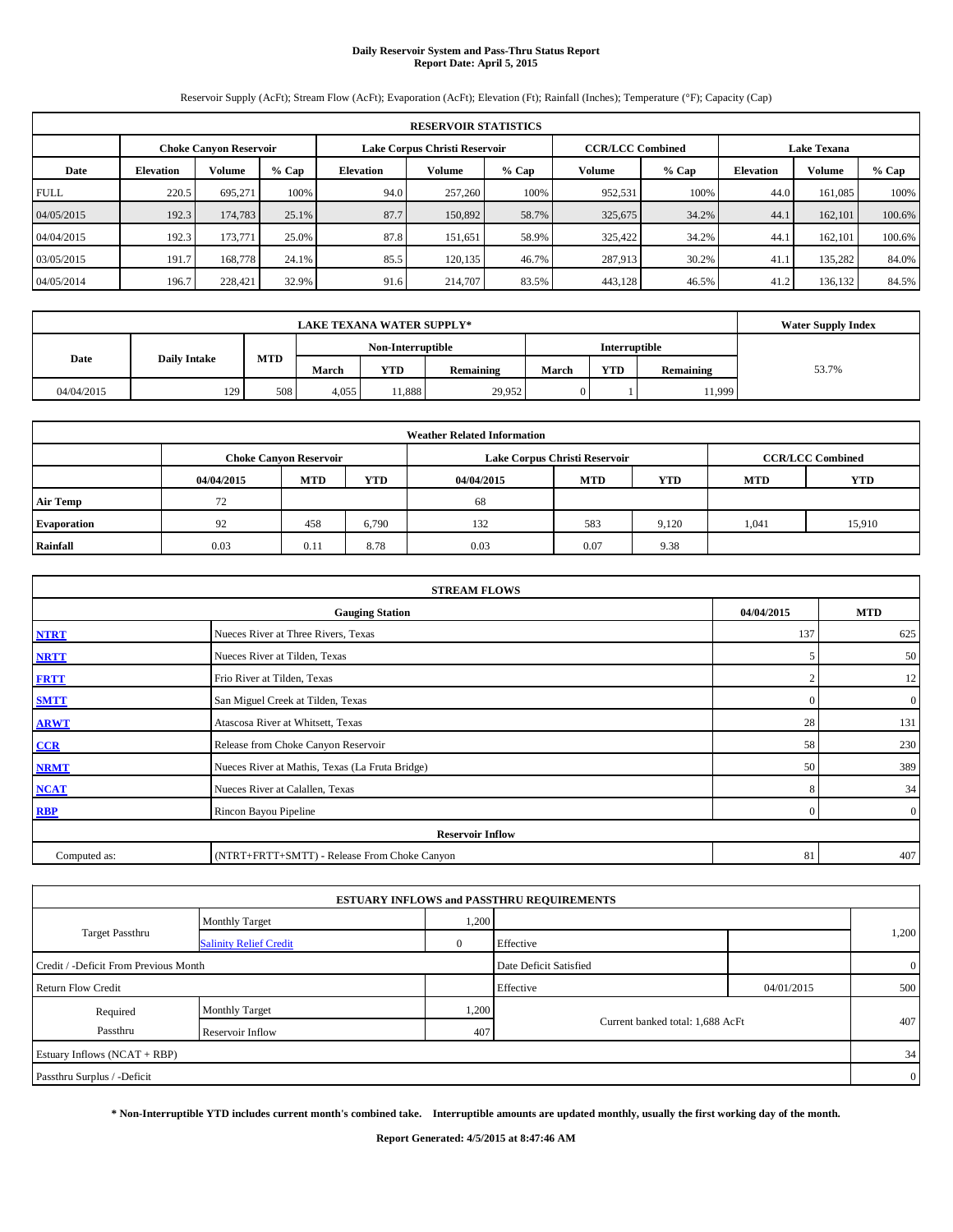#### **Daily Reservoir System and Pass-Thru Status Report Report Date: April 5, 2015**

Reservoir Supply (AcFt); Stream Flow (AcFt); Evaporation (AcFt); Elevation (Ft); Rainfall (Inches); Temperature (°F); Capacity (Cap)

| <b>RESERVOIR STATISTICS</b> |                                                                |               |         |                  |         |         |                         |         |                    |               |         |
|-----------------------------|----------------------------------------------------------------|---------------|---------|------------------|---------|---------|-------------------------|---------|--------------------|---------------|---------|
|                             | Lake Corpus Christi Reservoir<br><b>Choke Canvon Reservoir</b> |               |         |                  |         |         | <b>CCR/LCC Combined</b> |         | <b>Lake Texana</b> |               |         |
| Date                        | <b>Elevation</b>                                               | <b>Volume</b> | $%$ Cap | <b>Elevation</b> | Volume  | $%$ Cap | <b>Volume</b>           | $%$ Cap | <b>Elevation</b>   | <b>Volume</b> | $%$ Cap |
| <b>FULL</b>                 | 220.5                                                          | 695.271       | 100%    | 94.0             | 257,260 | 100%    | 952,531                 | 100%    | 44.0               | 161.085       | 100%    |
| 04/05/2015                  | 192.3                                                          | 174,783       | 25.1%   | 87.7             | 150,892 | 58.7%   | 325,675                 | 34.2%   | 44.1               | 162,101       | 100.6%  |
| 04/04/2015                  | 192.3                                                          | 173,771       | 25.0%   | 87.8             | 151.651 | 58.9%   | 325,422                 | 34.2%   | 44.1               | 162,101       | 100.6%  |
| 03/05/2015                  | 191.7                                                          | 168,778       | 24.1%   | 85.5             | 120.135 | 46.7%   | 287,913                 | 30.2%   | 41.1               | 135,282       | 84.0%   |
| 04/05/2014                  | 196.7                                                          | 228.421       | 32.9%   | 91.6             | 214,707 | 83.5%   | 443,128                 | 46.5%   | 41.2               | 136.132       | 84.5%   |

|            | <b>Water Supply Index</b> |            |       |                   |           |       |               |           |       |
|------------|---------------------------|------------|-------|-------------------|-----------|-------|---------------|-----------|-------|
|            |                           |            |       | Non-Interruptible |           |       | Interruptible |           |       |
| Date       | <b>Daily Intake</b>       | <b>MTD</b> | March | <b>YTD</b>        | Remaining | March | <b>YTD</b>    | Remaining | 53.7% |
| 04/04/2015 | 129                       | 508        | 4,055 | 11.888            | 29,952    | 0     |               | 11,999    |       |

| <b>Weather Related Information</b> |            |                               |       |            |                               |                         |            |            |  |
|------------------------------------|------------|-------------------------------|-------|------------|-------------------------------|-------------------------|------------|------------|--|
|                                    |            | <b>Choke Canyon Reservoir</b> |       |            | Lake Corpus Christi Reservoir | <b>CCR/LCC Combined</b> |            |            |  |
|                                    | 04/04/2015 | <b>MTD</b>                    | YTD   | 04/04/2015 | <b>MTD</b>                    | <b>YTD</b>              | <b>MTD</b> | <b>YTD</b> |  |
| <b>Air Temp</b>                    | 72         |                               |       | 68         |                               |                         |            |            |  |
| <b>Evaporation</b>                 | 92         | 458                           | 6,790 | 132        | 583                           | 9.120                   | 1,041      | 15,910     |  |
| Rainfall                           | 0.03       | 0.11                          | 8.78  | 0.03       | 0.07                          | 9.38                    |            |            |  |

| <b>STREAM FLOWS</b> |                                                 |          |                |  |  |  |  |  |  |  |
|---------------------|-------------------------------------------------|----------|----------------|--|--|--|--|--|--|--|
|                     | <b>Gauging Station</b>                          |          |                |  |  |  |  |  |  |  |
| <b>NTRT</b>         | Nueces River at Three Rivers, Texas             | 137      | 625            |  |  |  |  |  |  |  |
| <b>NRTT</b>         | Nueces River at Tilden, Texas                   | .5       | 50             |  |  |  |  |  |  |  |
| <b>FRTT</b>         | Frio River at Tilden, Texas                     |          | 12             |  |  |  |  |  |  |  |
| <b>SMTT</b>         | San Miguel Creek at Tilden, Texas               | $\Omega$ | $\overline{0}$ |  |  |  |  |  |  |  |
| <b>ARWT</b>         | Atascosa River at Whitsett, Texas               | 28       | 131            |  |  |  |  |  |  |  |
| CCR                 | Release from Choke Canyon Reservoir             | 58       | 230            |  |  |  |  |  |  |  |
| <b>NRMT</b>         | Nueces River at Mathis, Texas (La Fruta Bridge) | 50       | 389            |  |  |  |  |  |  |  |
| <b>NCAT</b>         | Nueces River at Calallen, Texas                 | 8        | 34             |  |  |  |  |  |  |  |
| <b>RBP</b>          | Rincon Bayou Pipeline                           | $\Omega$ | $\overline{0}$ |  |  |  |  |  |  |  |
|                     | <b>Reservoir Inflow</b>                         |          |                |  |  |  |  |  |  |  |
| Computed as:        | (NTRT+FRTT+SMTT) - Release From Choke Canyon    | 81       | 407            |  |  |  |  |  |  |  |

|                                       |                               |       | <b>ESTUARY INFLOWS and PASSTHRU REQUIREMENTS</b> |            |                |
|---------------------------------------|-------------------------------|-------|--------------------------------------------------|------------|----------------|
|                                       | <b>Monthly Target</b>         | 1,200 |                                                  |            |                |
| Target Passthru                       | <b>Salinity Relief Credit</b> |       | Effective                                        |            | 1,200          |
| Credit / -Deficit From Previous Month |                               |       | Date Deficit Satisfied                           |            | $\overline{0}$ |
| <b>Return Flow Credit</b>             |                               |       | Effective                                        | 04/01/2015 | 500            |
| Required                              | <b>Monthly Target</b>         | 1,200 |                                                  |            |                |
| Passthru                              | Reservoir Inflow              | 407   | Current banked total: 1,688 AcFt                 |            | 407            |
| Estuary Inflows (NCAT + RBP)          |                               |       |                                                  |            | 34             |
| Passthru Surplus / -Deficit           |                               |       |                                                  |            | $\overline{0}$ |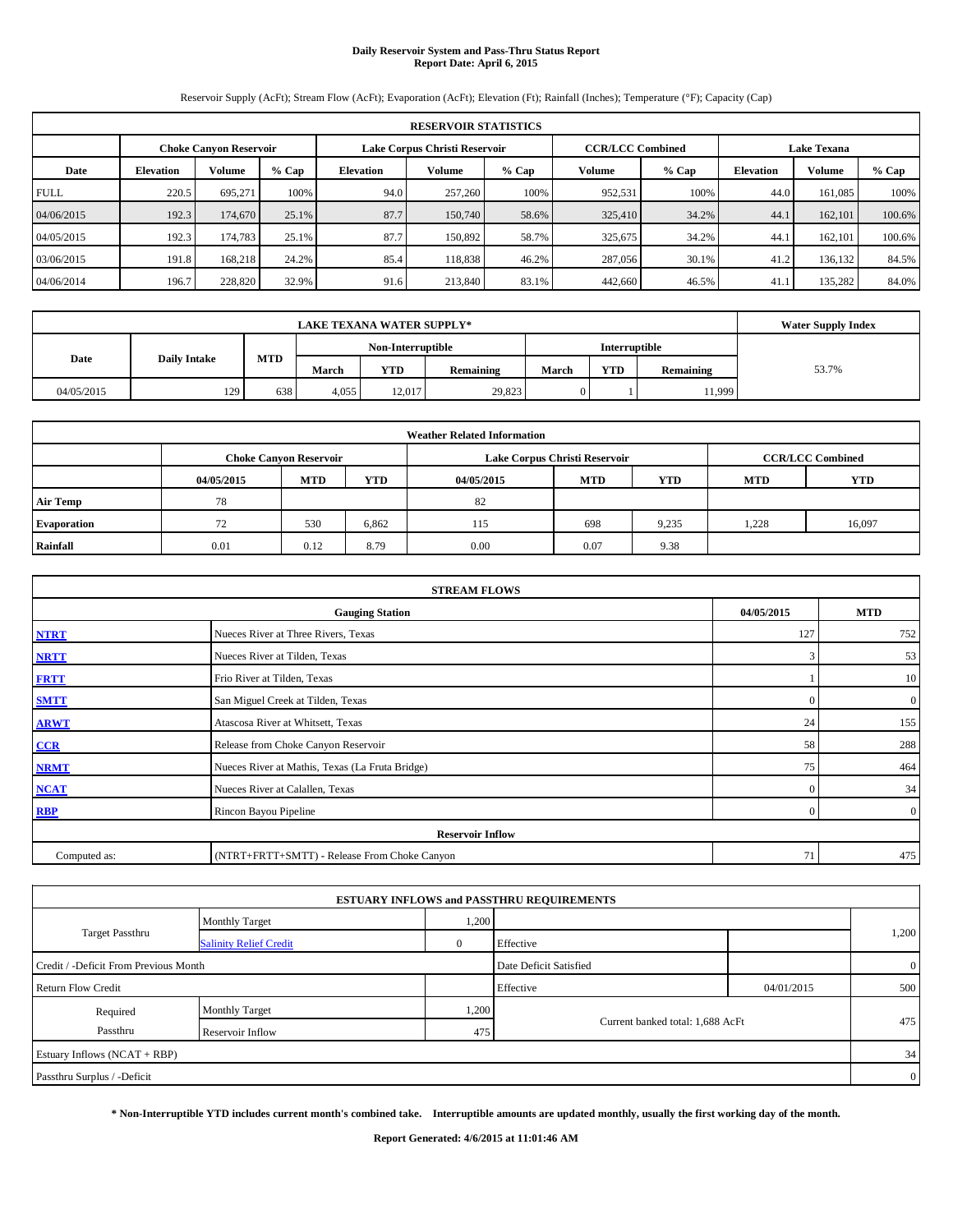#### **Daily Reservoir System and Pass-Thru Status Report Report Date: April 6, 2015**

Reservoir Supply (AcFt); Stream Flow (AcFt); Evaporation (AcFt); Elevation (Ft); Rainfall (Inches); Temperature (°F); Capacity (Cap)

|             | <b>RESERVOIR STATISTICS</b> |                               |         |                  |                               |         |                                               |         |                  |               |         |  |  |
|-------------|-----------------------------|-------------------------------|---------|------------------|-------------------------------|---------|-----------------------------------------------|---------|------------------|---------------|---------|--|--|
|             |                             | <b>Choke Canvon Reservoir</b> |         |                  | Lake Corpus Christi Reservoir |         | <b>CCR/LCC Combined</b><br><b>Lake Texana</b> |         |                  |               |         |  |  |
| Date        | <b>Elevation</b>            | <b>Volume</b>                 | $%$ Cap | <b>Elevation</b> | Volume                        | $%$ Cap | <b>Volume</b>                                 | $%$ Cap | <b>Elevation</b> | <b>Volume</b> | $%$ Cap |  |  |
| <b>FULL</b> | 220.5                       | 695.271                       | 100%    | 94.0             | 257,260                       | 100%    | 952,531                                       | 100%    | 44.0             | 161.085       | 100%    |  |  |
| 04/06/2015  | 192.3                       | 174,670                       | 25.1%   | 87.7             | 150,740                       | 58.6%   | 325,410                                       | 34.2%   | 44.1             | 162,101       | 100.6%  |  |  |
| 04/05/2015  | 192.3                       | 174.783                       | 25.1%   | 87.7             | 150.892                       | 58.7%   | 325,675                                       | 34.2%   | 44.1             | 162,101       | 100.6%  |  |  |
| 03/06/2015  | 191.8                       | 168,218                       | 24.2%   | 85.4             | 118,838                       | 46.2%   | 287,056                                       | 30.1%   | 41.2             | 136,132       | 84.5%   |  |  |
| 04/06/2014  | 196.7                       | 228,820                       | 32.9%   | 91.6             | 213,840                       | 83.1%   | 442,660                                       | 46.5%   | 41.              | 135,282       | 84.0%   |  |  |

|            | <b>Water Supply Index</b> |            |       |                   |           |       |               |           |       |
|------------|---------------------------|------------|-------|-------------------|-----------|-------|---------------|-----------|-------|
|            |                           |            |       | Non-Interruptible |           |       | Interruptible |           |       |
| Date       | <b>Daily Intake</b>       | <b>MTD</b> | March | <b>YTD</b>        | Remaining | March | <b>YTD</b>    | Remaining | 53.7% |
| 04/05/2015 | 129                       | 638        | 4,055 | 12.017            | 29.823    | 0     |               | 11,999    |       |

|                    |            |                               |            | <b>Weather Related Information</b> |                               |                         |      |        |
|--------------------|------------|-------------------------------|------------|------------------------------------|-------------------------------|-------------------------|------|--------|
|                    |            | <b>Choke Canyon Reservoir</b> |            |                                    | Lake Corpus Christi Reservoir | <b>CCR/LCC Combined</b> |      |        |
|                    | 04/05/2015 | <b>MTD</b>                    | <b>MTD</b> | <b>YTD</b>                         |                               |                         |      |        |
| <b>Air Temp</b>    | 78         |                               |            | 82                                 |                               |                         |      |        |
| <b>Evaporation</b> | 72         | 530                           | 6,862      | 115                                | 698                           | 9,235                   | .228 | 16,097 |
| Rainfall           | 0.01       | 0.12                          | 8.79       | 0.00                               | 0.07                          | 9.38                    |      |        |

|              | <b>STREAM FLOWS</b>                             |          |                |  |  |  |  |  |  |
|--------------|-------------------------------------------------|----------|----------------|--|--|--|--|--|--|
|              | <b>Gauging Station</b>                          |          |                |  |  |  |  |  |  |
| <b>NTRT</b>  | Nueces River at Three Rivers, Texas             | 127      | 752            |  |  |  |  |  |  |
| <b>NRTT</b>  | Nueces River at Tilden, Texas                   | 3        | 53             |  |  |  |  |  |  |
| <b>FRTT</b>  | Frio River at Tilden, Texas                     |          | 10             |  |  |  |  |  |  |
| <b>SMTT</b>  | San Miguel Creek at Tilden, Texas               | $\Omega$ | $\overline{0}$ |  |  |  |  |  |  |
| <b>ARWT</b>  | Atascosa River at Whitsett, Texas               | 24       | 155            |  |  |  |  |  |  |
| CCR          | Release from Choke Canyon Reservoir             | 58       | 288            |  |  |  |  |  |  |
| <b>NRMT</b>  | Nueces River at Mathis, Texas (La Fruta Bridge) | 75       | 464            |  |  |  |  |  |  |
| <b>NCAT</b>  | Nueces River at Calallen, Texas                 | $\Omega$ | 34             |  |  |  |  |  |  |
| RBP          | Rincon Bayou Pipeline                           | $\Omega$ | $\overline{0}$ |  |  |  |  |  |  |
|              | <b>Reservoir Inflow</b>                         |          |                |  |  |  |  |  |  |
| Computed as: | (NTRT+FRTT+SMTT) - Release From Choke Canyon    | 71       | 475            |  |  |  |  |  |  |

|                                       |                               |              | <b>ESTUARY INFLOWS and PASSTHRU REQUIREMENTS</b> |            |                |
|---------------------------------------|-------------------------------|--------------|--------------------------------------------------|------------|----------------|
|                                       | <b>Monthly Target</b>         | 1,200        |                                                  |            |                |
| <b>Target Passthru</b>                | <b>Salinity Relief Credit</b> | $\mathbf{0}$ | Effective                                        |            | 1,200          |
| Credit / -Deficit From Previous Month |                               |              | Date Deficit Satisfied                           |            | $\overline{0}$ |
| <b>Return Flow Credit</b>             |                               |              | Effective                                        | 04/01/2015 | 500            |
| Required                              | Monthly Target                | 1,200        |                                                  |            |                |
| Passthru                              | Reservoir Inflow              | 475          | Current banked total: 1,688 AcFt                 |            | 475            |
| Estuary Inflows (NCAT + RBP)          |                               |              |                                                  |            | 34             |
| Passthru Surplus / -Deficit           |                               |              |                                                  |            | $\overline{0}$ |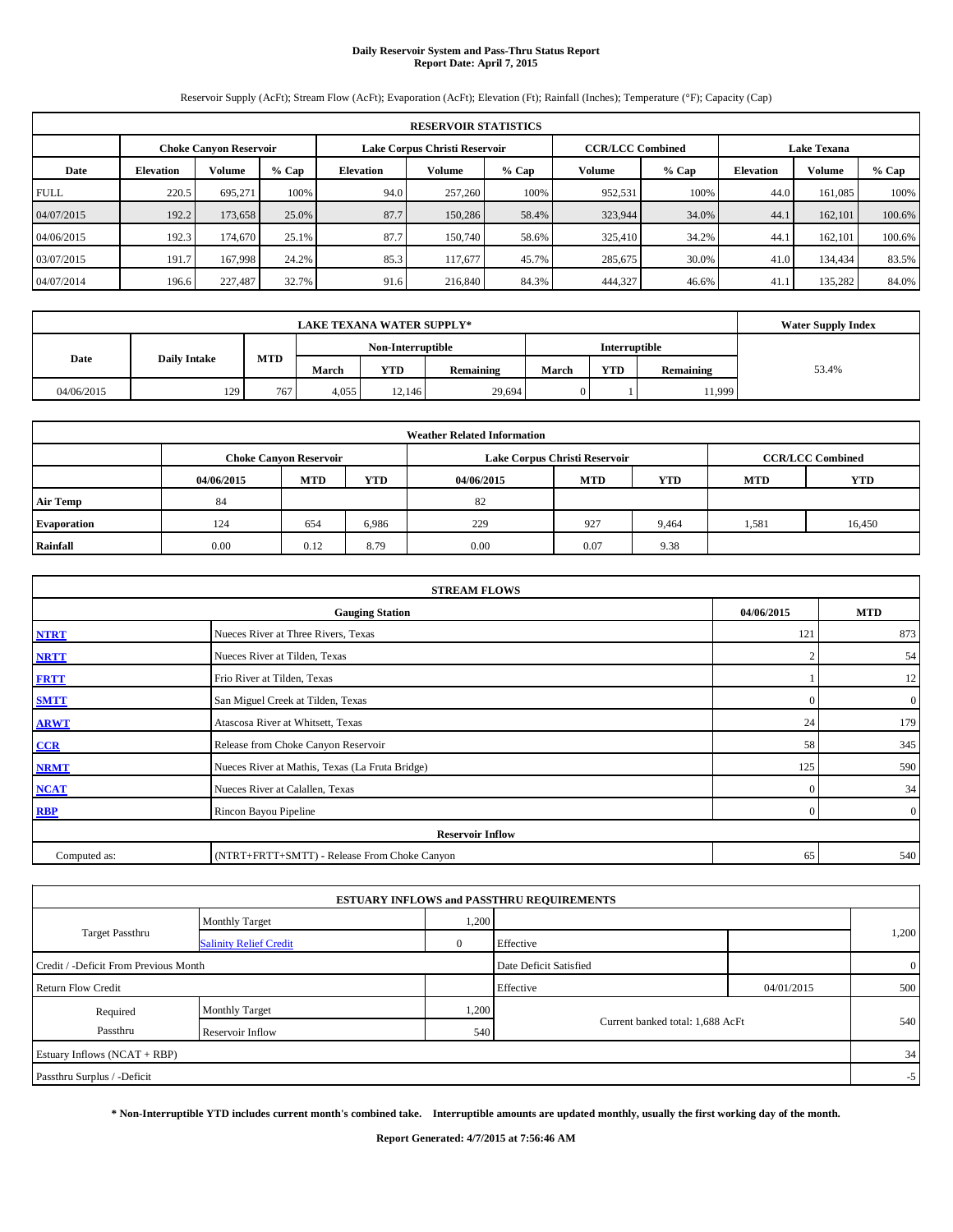#### **Daily Reservoir System and Pass-Thru Status Report Report Date: April 7, 2015**

Reservoir Supply (AcFt); Stream Flow (AcFt); Evaporation (AcFt); Elevation (Ft); Rainfall (Inches); Temperature (°F); Capacity (Cap)

|             | <b>RESERVOIR STATISTICS</b> |                               |         |                                                        |                               |       |                                               |         |                  |               |         |  |  |
|-------------|-----------------------------|-------------------------------|---------|--------------------------------------------------------|-------------------------------|-------|-----------------------------------------------|---------|------------------|---------------|---------|--|--|
|             |                             | <b>Choke Canvon Reservoir</b> |         |                                                        | Lake Corpus Christi Reservoir |       | <b>CCR/LCC Combined</b><br><b>Lake Texana</b> |         |                  |               |         |  |  |
| Date        | <b>Elevation</b>            | <b>Volume</b>                 | $%$ Cap | Volume<br><b>Volume</b><br><b>Elevation</b><br>$%$ Cap |                               |       |                                               | $%$ Cap | <b>Elevation</b> | <b>Volume</b> | $%$ Cap |  |  |
| <b>FULL</b> | 220.5                       | 695.271                       | 100%    | 94.0                                                   | 257,260                       | 100%  | 952,531                                       | 100%    | 44.0             | 161.085       | 100%    |  |  |
| 04/07/2015  | 192.2                       | 173,658                       | 25.0%   | 87.7                                                   | 150,286                       | 58.4% | 323,944                                       | 34.0%   | 44.1             | 162,101       | 100.6%  |  |  |
| 04/06/2015  | 192.3                       | 174,670                       | 25.1%   | 87.7                                                   | 150,740                       | 58.6% | 325,410                                       | 34.2%   | 44.1             | 162,101       | 100.6%  |  |  |
| 03/07/2015  | 191.7                       | 167,998                       | 24.2%   | 85.3                                                   | 117,677                       | 45.7% | 285,675                                       | 30.0%   | 41.0             | 134,434       | 83.5%   |  |  |
| 04/07/2014  | 196.6                       | 227,487                       | 32.7%   | 91.6                                                   | 216,840                       | 84.3% | 444,327                                       | 46.6%   | 41.              | 135,282       | 84.0%   |  |  |

|            | <b>Water Supply Index</b> |            |       |                   |           |       |               |           |       |
|------------|---------------------------|------------|-------|-------------------|-----------|-------|---------------|-----------|-------|
|            |                           |            |       | Non-Interruptible |           |       | Interruptible |           |       |
| Date       | <b>Daily Intake</b>       | <b>MTD</b> | March | <b>YTD</b>        | Remaining | March | <b>YTD</b>    | Remaining | 53.4% |
| 04/06/2015 | 129                       | 767        | 4.055 | 12.146            | 29,694    | 0     |               | 11,999    |       |

|                    |            |                               |            | <b>Weather Related Information</b> |                               |                         |            |            |
|--------------------|------------|-------------------------------|------------|------------------------------------|-------------------------------|-------------------------|------------|------------|
|                    |            | <b>Choke Canvon Reservoir</b> |            |                                    | Lake Corpus Christi Reservoir | <b>CCR/LCC Combined</b> |            |            |
|                    | 04/06/2015 | <b>MTD</b>                    | <b>YTD</b> | 04/06/2015                         | <b>MTD</b>                    | <b>YTD</b>              | <b>MTD</b> | <b>YTD</b> |
| <b>Air Temp</b>    | 84         |                               |            | 82                                 |                               |                         |            |            |
| <b>Evaporation</b> | 124        | 654                           | 6,986      | 229                                | 927                           | 9,464                   | 1,581      | 16,450     |
| Rainfall           | 0.00       | 0.12                          | 8.79       | 0.00                               | 0.07                          | 9.38                    |            |            |

|              | <b>STREAM FLOWS</b>                             |               |                |  |  |  |  |  |  |
|--------------|-------------------------------------------------|---------------|----------------|--|--|--|--|--|--|
|              | 04/06/2015                                      | <b>MTD</b>    |                |  |  |  |  |  |  |
| <b>NTRT</b>  | Nueces River at Three Rivers, Texas             | 121           | 873            |  |  |  |  |  |  |
| <b>NRTT</b>  | Nueces River at Tilden, Texas                   | $\mathcal{P}$ | 54             |  |  |  |  |  |  |
| <b>FRTT</b>  | Frio River at Tilden, Texas                     |               | 12             |  |  |  |  |  |  |
| <b>SMTT</b>  | San Miguel Creek at Tilden, Texas               | £             | $\overline{0}$ |  |  |  |  |  |  |
| <b>ARWT</b>  | Atascosa River at Whitsett, Texas               | 24            | 179            |  |  |  |  |  |  |
| CCR          | Release from Choke Canyon Reservoir             | 58            | 345            |  |  |  |  |  |  |
| <b>NRMT</b>  | Nueces River at Mathis, Texas (La Fruta Bridge) | 125           | 590            |  |  |  |  |  |  |
| <b>NCAT</b>  | Nueces River at Calallen, Texas                 | $\Omega$      | 34             |  |  |  |  |  |  |
| <b>RBP</b>   | Rincon Bayou Pipeline                           | $\Omega$      | $\overline{0}$ |  |  |  |  |  |  |
|              | <b>Reservoir Inflow</b>                         |               |                |  |  |  |  |  |  |
| Computed as: | (NTRT+FRTT+SMTT) - Release From Choke Canyon    | 65            | 540            |  |  |  |  |  |  |

|                                       |                               |              | <b>ESTUARY INFLOWS and PASSTHRU REQUIREMENTS</b> |            |                |
|---------------------------------------|-------------------------------|--------------|--------------------------------------------------|------------|----------------|
|                                       | <b>Monthly Target</b>         | 1,200        |                                                  |            |                |
| <b>Target Passthru</b>                | <b>Salinity Relief Credit</b> | $\mathbf{0}$ | Effective                                        |            | 1,200          |
| Credit / -Deficit From Previous Month |                               |              | Date Deficit Satisfied                           |            | $\overline{0}$ |
| <b>Return Flow Credit</b>             |                               |              | Effective                                        | 04/01/2015 | 500            |
| Required                              | Monthly Target                | 1,200        |                                                  |            |                |
| Passthru                              | Reservoir Inflow              | 540          | Current banked total: 1,688 AcFt                 |            | 540            |
| Estuary Inflows (NCAT + RBP)          |                               |              |                                                  |            | 34             |
| Passthru Surplus / -Deficit           |                               |              |                                                  |            | $-5$           |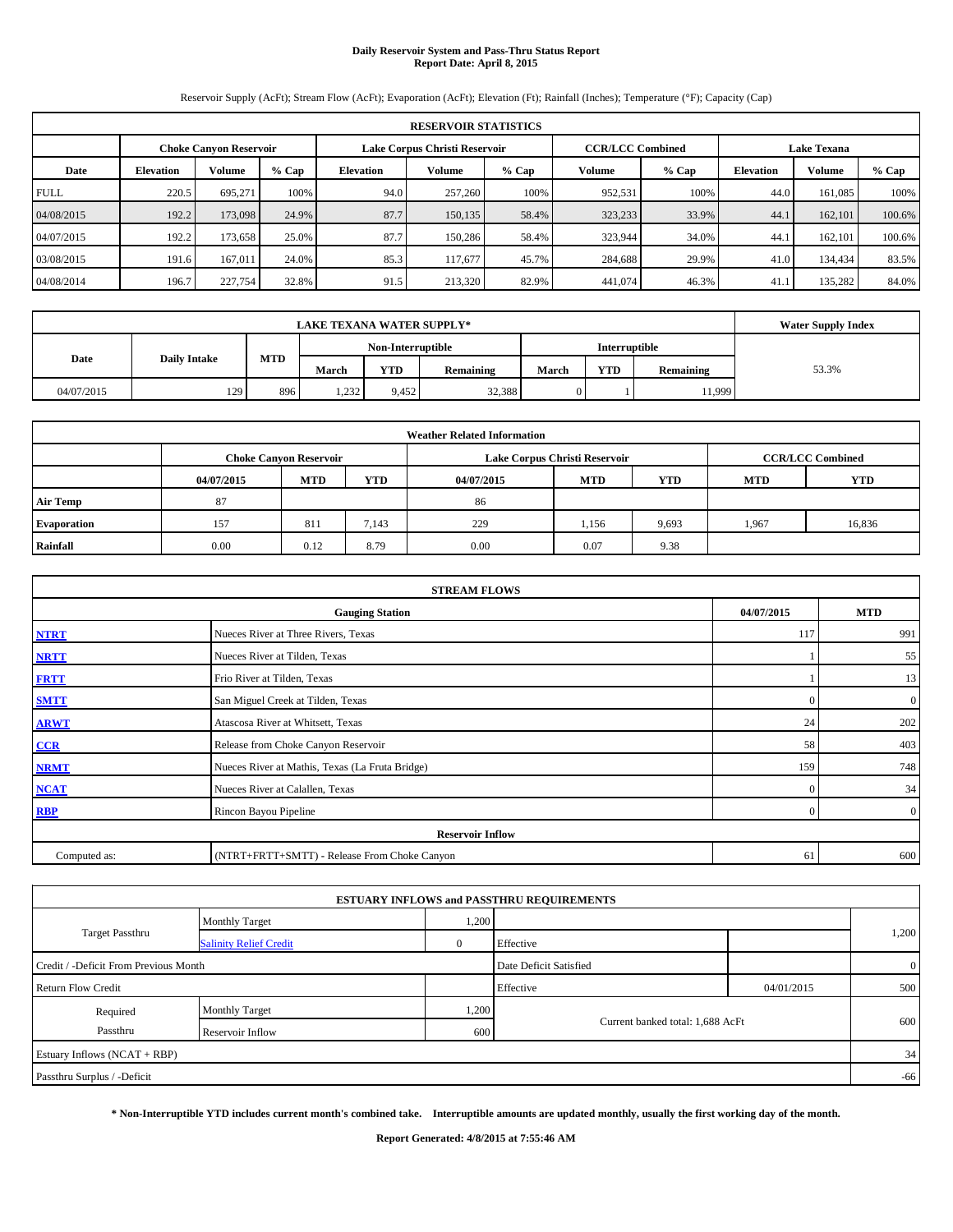#### **Daily Reservoir System and Pass-Thru Status Report Report Date: April 8, 2015**

Reservoir Supply (AcFt); Stream Flow (AcFt); Evaporation (AcFt); Elevation (Ft); Rainfall (Inches); Temperature (°F); Capacity (Cap)

|             | <b>RESERVOIR STATISTICS</b> |                               |         |                  |                               |         |                         |         |                  |                    |         |  |  |
|-------------|-----------------------------|-------------------------------|---------|------------------|-------------------------------|---------|-------------------------|---------|------------------|--------------------|---------|--|--|
|             |                             | <b>Choke Canvon Reservoir</b> |         |                  | Lake Corpus Christi Reservoir |         | <b>CCR/LCC Combined</b> |         |                  | <b>Lake Texana</b> |         |  |  |
| Date        | <b>Elevation</b>            | <b>Volume</b>                 | $%$ Cap | <b>Elevation</b> | Volume                        | $%$ Cap | Volume                  | $%$ Cap | <b>Elevation</b> | Volume             | $%$ Cap |  |  |
| <b>FULL</b> | 220.5                       | 695.271                       | 100%    | 94.0             | 257,260                       | 100%    | 952,531                 | 100%    | 44.0             | 161.085            | 100%    |  |  |
| 04/08/2015  | 192.2                       | 173,098                       | 24.9%   | 87.7             | 150,135                       | 58.4%   | 323,233                 | 33.9%   | 44.1             | 162,101            | 100.6%  |  |  |
| 04/07/2015  | 192.2                       | 173.658                       | 25.0%   | 87.7             | 150,286                       | 58.4%   | 323,944                 | 34.0%   | 44.1             | 162,101            | 100.6%  |  |  |
| 03/08/2015  | 191.6                       | 167,011                       | 24.0%   | 85.3             | 117.677                       | 45.7%   | 284,688                 | 29.9%   | 41.0             | 134,434            | 83.5%   |  |  |
| 04/08/2014  | 196.7                       | 227,754                       | 32.8%   | 91.5             | 213,320                       | 82.9%   | 441,074                 | 46.3%   | 41.              | 135,282            | 84.0%   |  |  |

|                                    | <b>Water Supply Index</b>                 |     |       |            |           |       |            |           |       |
|------------------------------------|-------------------------------------------|-----|-------|------------|-----------|-------|------------|-----------|-------|
| Non-Interruptible<br>Interruptible |                                           |     |       |            |           |       |            |           |       |
|                                    | <b>MTD</b><br>Date<br><b>Daily Intake</b> |     | March | <b>YTD</b> | Remaining | March | <b>YTD</b> | Remaining | 53.3% |
| 04/07/2015                         | 129                                       | 896 | 1,232 | 9.452      | 32,388    |       |            | 1,999     |       |

|                    |            |                               |            | <b>Weather Related Information</b> |                               |                         |            |            |
|--------------------|------------|-------------------------------|------------|------------------------------------|-------------------------------|-------------------------|------------|------------|
|                    |            | <b>Choke Canyon Reservoir</b> |            |                                    | Lake Corpus Christi Reservoir | <b>CCR/LCC Combined</b> |            |            |
|                    | 04/07/2015 | <b>MTD</b>                    | <b>YTD</b> | 04/07/2015                         | <b>MTD</b>                    | YTD                     | <b>MTD</b> | <b>YTD</b> |
| <b>Air Temp</b>    | 87         |                               |            | 86                                 |                               |                         |            |            |
| <b>Evaporation</b> | 157        | 811                           | 7,143      | 229                                | 1,156                         | 9,693                   | 1,967      | 16,836     |
| Rainfall           | 0.00       | 0.12                          | 8.79       | 0.00                               | 0.07                          | 9.38                    |            |            |

|              | <b>STREAM FLOWS</b>                                |          |                |  |  |  |  |  |  |  |
|--------------|----------------------------------------------------|----------|----------------|--|--|--|--|--|--|--|
|              | 04/07/2015<br><b>MTD</b><br><b>Gauging Station</b> |          |                |  |  |  |  |  |  |  |
| <b>NTRT</b>  | Nueces River at Three Rivers, Texas                | 117      | 991            |  |  |  |  |  |  |  |
| <b>NRTT</b>  | Nueces River at Tilden, Texas                      |          | 55             |  |  |  |  |  |  |  |
| <b>FRTT</b>  | Frio River at Tilden, Texas                        |          | 13             |  |  |  |  |  |  |  |
| <b>SMTT</b>  | San Miguel Creek at Tilden, Texas                  | $\Omega$ | $\overline{0}$ |  |  |  |  |  |  |  |
| <b>ARWT</b>  | Atascosa River at Whitsett, Texas                  | 24       | 202            |  |  |  |  |  |  |  |
| CCR          | Release from Choke Canyon Reservoir                | 58       | 403            |  |  |  |  |  |  |  |
| <b>NRMT</b>  | Nueces River at Mathis, Texas (La Fruta Bridge)    | 159      | 748            |  |  |  |  |  |  |  |
| <b>NCAT</b>  | Nueces River at Calallen, Texas                    | $\Omega$ | 34             |  |  |  |  |  |  |  |
| <b>RBP</b>   | Rincon Bayou Pipeline                              | $\Omega$ | $\overline{0}$ |  |  |  |  |  |  |  |
|              | <b>Reservoir Inflow</b>                            |          |                |  |  |  |  |  |  |  |
| Computed as: | (NTRT+FRTT+SMTT) - Release From Choke Canyon       | 61       | 600            |  |  |  |  |  |  |  |

|                                       |                               |       | <b>ESTUARY INFLOWS and PASSTHRU REQUIREMENTS</b> |            |                |
|---------------------------------------|-------------------------------|-------|--------------------------------------------------|------------|----------------|
|                                       | <b>Monthly Target</b>         | 1,200 |                                                  |            |                |
| Target Passthru                       | <b>Salinity Relief Credit</b> |       | Effective                                        |            | 1,200          |
| Credit / -Deficit From Previous Month |                               |       | Date Deficit Satisfied                           |            | $\overline{0}$ |
| <b>Return Flow Credit</b>             |                               |       | Effective                                        | 04/01/2015 | 500            |
| Required                              | <b>Monthly Target</b>         | 1,200 |                                                  |            |                |
| Passthru                              | Reservoir Inflow              | 600   | Current banked total: 1,688 AcFt                 |            | 600            |
| Estuary Inflows (NCAT + RBP)          |                               |       |                                                  |            | 34             |
| Passthru Surplus / -Deficit           |                               |       |                                                  |            | $-66$          |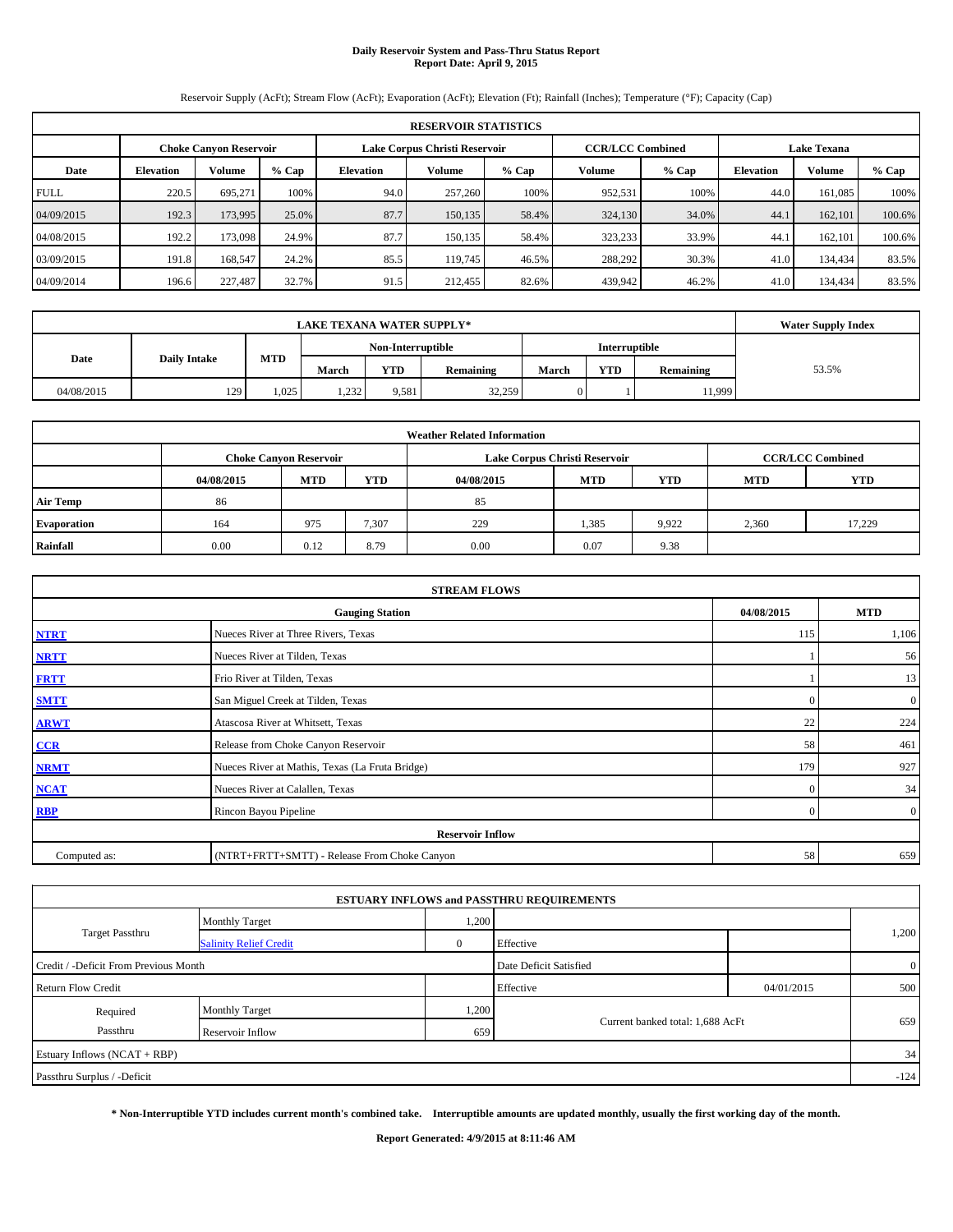#### **Daily Reservoir System and Pass-Thru Status Report Report Date: April 9, 2015**

Reservoir Supply (AcFt); Stream Flow (AcFt); Evaporation (AcFt); Elevation (Ft); Rainfall (Inches); Temperature (°F); Capacity (Cap)

|             | <b>RESERVOIR STATISTICS</b>                                                                                     |               |         |                  |         |         |         |         |                  |         |         |  |  |  |  |
|-------------|-----------------------------------------------------------------------------------------------------------------|---------------|---------|------------------|---------|---------|---------|---------|------------------|---------|---------|--|--|--|--|
|             | <b>CCR/LCC Combined</b><br><b>Lake Texana</b><br>Lake Corpus Christi Reservoir<br><b>Choke Canvon Reservoir</b> |               |         |                  |         |         |         |         |                  |         |         |  |  |  |  |
| Date        | <b>Elevation</b>                                                                                                | <b>Volume</b> | $%$ Cap | <b>Elevation</b> | Volume  | $%$ Cap | Volume  | $%$ Cap | <b>Elevation</b> | Volume  | $%$ Cap |  |  |  |  |
| <b>FULL</b> | 220.5                                                                                                           | 695.271       | 100%    | 94.0             | 257,260 | 100%    | 952,531 | 100%    | 44.0             | 161.085 | 100%    |  |  |  |  |
| 04/09/2015  | 192.3                                                                                                           | 173,995       | 25.0%   | 87.7             | 150,135 | 58.4%   | 324,130 | 34.0%   | 44.1             | 162,101 | 100.6%  |  |  |  |  |
| 04/08/2015  | 192.2                                                                                                           | 173,098       | 24.9%   | 87.7             | 150.135 | 58.4%   | 323,233 | 33.9%   | 44.1             | 162,101 | 100.6%  |  |  |  |  |
| 03/09/2015  | 191.8                                                                                                           | 168,547       | 24.2%   | 85.5             | 119.745 | 46.5%   | 288,292 | 30.3%   | 41.0             | 134,434 | 83.5%   |  |  |  |  |
| 04/09/2014  | 196.6                                                                                                           | 227,487       | 32.7%   | 91.5             | 212,455 | 82.6%   | 439,942 | 46.2%   | 41.0             | 134,434 | 83.5%   |  |  |  |  |

|            | <b>Water Supply Index</b>                 |      |       |            |                  |       |            |           |       |
|------------|-------------------------------------------|------|-------|------------|------------------|-------|------------|-----------|-------|
|            | <b>Interruptible</b><br>Non-Interruptible |      |       |            |                  |       |            |           |       |
| Date       | <b>Daily Intake</b>                       | MTD  | March | <b>YTD</b> | <b>Remaining</b> | March | <b>YTD</b> | Remaining | 53.5% |
| 04/08/2015 | 129                                       | .025 | 1,232 | 9,581      | 32,259           |       |            | 11,999    |       |

|                    |                                                                                           |            |            | <b>Weather Related Information</b> |            |            |            |            |  |  |  |  |
|--------------------|-------------------------------------------------------------------------------------------|------------|------------|------------------------------------|------------|------------|------------|------------|--|--|--|--|
|                    | Lake Corpus Christi Reservoir<br><b>CCR/LCC Combined</b><br><b>Choke Canyon Reservoir</b> |            |            |                                    |            |            |            |            |  |  |  |  |
|                    | 04/08/2015                                                                                | <b>MTD</b> | <b>YTD</b> | 04/08/2015                         | <b>MTD</b> | <b>YTD</b> | <b>MTD</b> | <b>YTD</b> |  |  |  |  |
| <b>Air Temp</b>    | 86                                                                                        |            |            | 85                                 |            |            |            |            |  |  |  |  |
| <b>Evaporation</b> | 164                                                                                       | 975        | 7,307      | 229                                | 1,385      | 9.922      | 2,360      | 17,229     |  |  |  |  |
| Rainfall           | 0.00                                                                                      | 0.12       | 8.79       | 0.00                               | 0.07       | 9.38       |            |            |  |  |  |  |

|              | <b>STREAM FLOWS</b>                                |          |                |  |  |  |  |  |  |  |
|--------------|----------------------------------------------------|----------|----------------|--|--|--|--|--|--|--|
|              | 04/08/2015<br><b>MTD</b><br><b>Gauging Station</b> |          |                |  |  |  |  |  |  |  |
| <b>NTRT</b>  | Nueces River at Three Rivers, Texas                | 115      | 1,106          |  |  |  |  |  |  |  |
| <b>NRTT</b>  | Nueces River at Tilden, Texas                      |          | 56             |  |  |  |  |  |  |  |
| <b>FRTT</b>  | Frio River at Tilden, Texas                        |          | 13             |  |  |  |  |  |  |  |
| <b>SMTT</b>  | San Miguel Creek at Tilden, Texas                  | $\Omega$ | $\overline{0}$ |  |  |  |  |  |  |  |
| <b>ARWT</b>  | Atascosa River at Whitsett, Texas                  | 22       | 224            |  |  |  |  |  |  |  |
| CCR          | Release from Choke Canyon Reservoir                | 58       | 461            |  |  |  |  |  |  |  |
| <b>NRMT</b>  | Nueces River at Mathis, Texas (La Fruta Bridge)    | 179      | 927            |  |  |  |  |  |  |  |
| <b>NCAT</b>  | Nueces River at Calallen, Texas                    | $\Omega$ | 34             |  |  |  |  |  |  |  |
| <b>RBP</b>   | Rincon Bayou Pipeline                              | $\Omega$ | $\overline{0}$ |  |  |  |  |  |  |  |
|              | <b>Reservoir Inflow</b>                            |          |                |  |  |  |  |  |  |  |
| Computed as: | (NTRT+FRTT+SMTT) - Release From Choke Canyon       | 58       | 659            |  |  |  |  |  |  |  |

|                                       |                               |       | <b>ESTUARY INFLOWS and PASSTHRU REQUIREMENTS</b> |            |              |
|---------------------------------------|-------------------------------|-------|--------------------------------------------------|------------|--------------|
|                                       | <b>Monthly Target</b>         | 1,200 |                                                  |            |              |
| Target Passthru                       | <b>Salinity Relief Credit</b> |       | Effective                                        |            | 1,200        |
| Credit / -Deficit From Previous Month |                               |       | Date Deficit Satisfied                           |            | $\mathbf{0}$ |
| <b>Return Flow Credit</b>             |                               |       | Effective                                        | 04/01/2015 | 500          |
| Required                              | <b>Monthly Target</b>         | 1,200 |                                                  |            |              |
| Passthru                              | Reservoir Inflow              | 659   | Current banked total: 1,688 AcFt                 |            | 659          |
| Estuary Inflows (NCAT + RBP)          |                               |       |                                                  |            | 34           |
| Passthru Surplus / -Deficit           |                               |       |                                                  |            | $-124$       |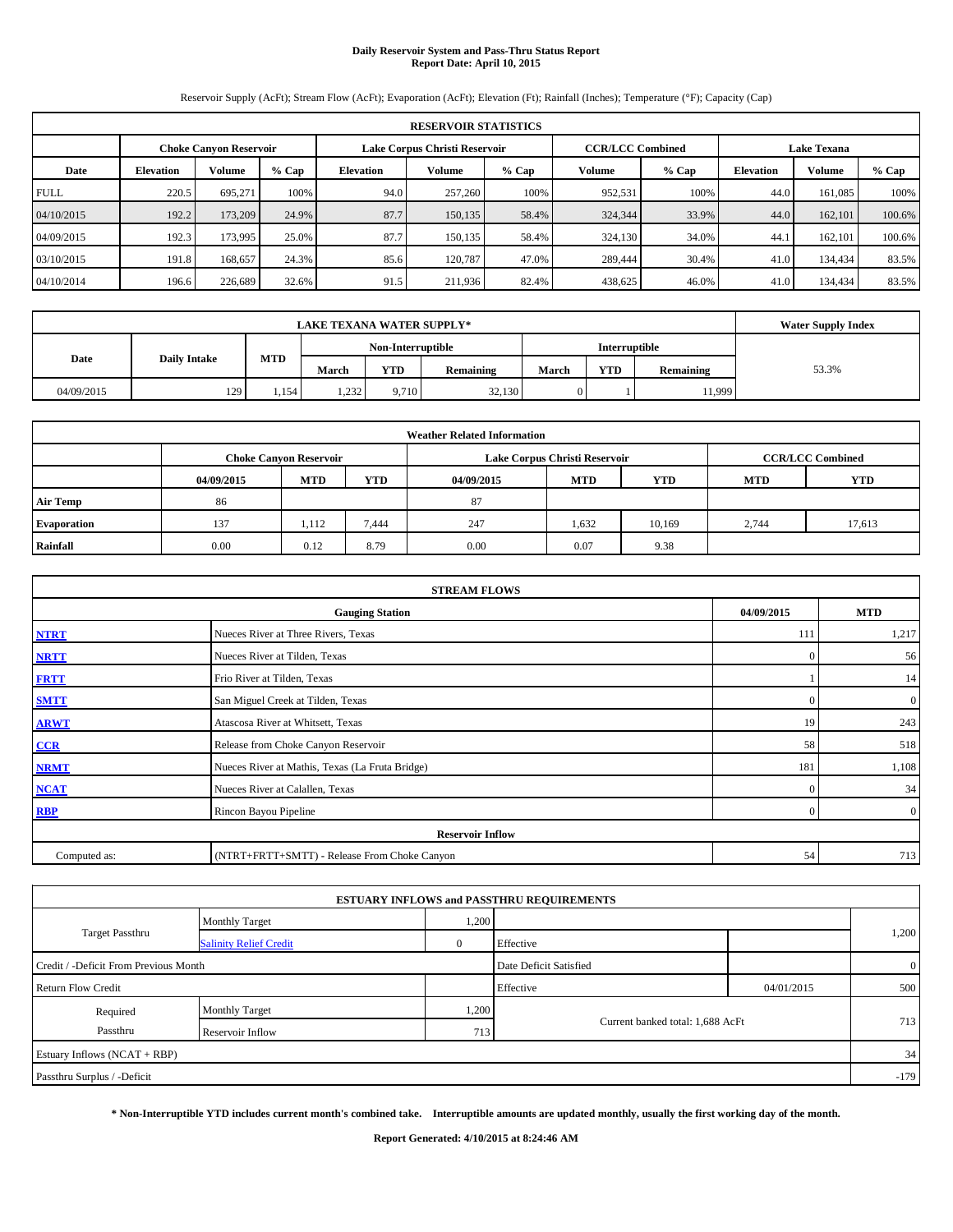# **Daily Reservoir System and Pass-Thru Status Report Report Date: April 10, 2015**

Reservoir Supply (AcFt); Stream Flow (AcFt); Evaporation (AcFt); Elevation (Ft); Rainfall (Inches); Temperature (°F); Capacity (Cap)

|             | <b>RESERVOIR STATISTICS</b>                                                                                     |         |         |                  |         |         |         |         |                  |               |         |  |  |  |  |
|-------------|-----------------------------------------------------------------------------------------------------------------|---------|---------|------------------|---------|---------|---------|---------|------------------|---------------|---------|--|--|--|--|
|             | <b>CCR/LCC Combined</b><br>Lake Corpus Christi Reservoir<br><b>Lake Texana</b><br><b>Choke Canvon Reservoir</b> |         |         |                  |         |         |         |         |                  |               |         |  |  |  |  |
| Date        | <b>Elevation</b>                                                                                                | Volume  | $%$ Cap | <b>Elevation</b> | Volume  | $%$ Cap | Volume  | $%$ Cap | <b>Elevation</b> | <b>Volume</b> | $%$ Cap |  |  |  |  |
| <b>FULL</b> | 220.5                                                                                                           | 695.271 | 100%    | 94.0             | 257,260 | 100%    | 952,531 | 100%    | 44.0             | 161.085       | 100%    |  |  |  |  |
| 04/10/2015  | 192.2                                                                                                           | 173,209 | 24.9%   | 87.7             | 150,135 | 58.4%   | 324,344 | 33.9%   | 44.0             | 162,101       | 100.6%  |  |  |  |  |
| 04/09/2015  | 192.3                                                                                                           | 173,995 | 25.0%   | 87.7             | 150,135 | 58.4%   | 324,130 | 34.0%   | 44.1             | 162,101       | 100.6%  |  |  |  |  |
| 03/10/2015  | 191.8                                                                                                           | 168,657 | 24.3%   | 85.6             | 120,787 | 47.0%   | 289,444 | 30.4%   | 41.0             | 134,434       | 83.5%   |  |  |  |  |
| 04/10/2014  | 196.6                                                                                                           | 226,689 | 32.6%   | 91.5             | 211,936 | 82.4%   | 438,625 | 46.0%   | 41.0             | 134,434       | 83.5%   |  |  |  |  |

|            | <b>LAKE TEXANA WATER SUPPLY*</b> |       |       |            |           |       |            |           |       |  |  |
|------------|----------------------------------|-------|-------|------------|-----------|-------|------------|-----------|-------|--|--|
|            |                                  |       |       |            |           |       |            |           |       |  |  |
| Date       | <b>Daily Intake</b>              | MTD   | March | <b>YTD</b> | Remaining | March | <b>YTD</b> | Remaining | 53.3% |  |  |
| 04/09/2015 | 129                              | . 154 | 1,232 | 9.710      | 32,130    |       |            | 11,999ء   |       |  |  |

|                    |                               |            |                         | <b>Weather Related Information</b> |            |            |            |            |
|--------------------|-------------------------------|------------|-------------------------|------------------------------------|------------|------------|------------|------------|
|                    | <b>Choke Canyon Reservoir</b> |            | <b>CCR/LCC Combined</b> |                                    |            |            |            |            |
|                    | 04/09/2015                    | <b>MTD</b> | <b>YTD</b>              | 04/09/2015                         | <b>MTD</b> | <b>YTD</b> | <b>MTD</b> | <b>YTD</b> |
| <b>Air Temp</b>    | 86                            |            |                         | 87                                 |            |            |            |            |
| <b>Evaporation</b> | 137                           | 1,112      | 7,444                   | 247                                | 1,632      | 10,169     | 2,744      | 17,613     |
| Rainfall           | 0.00                          | 0.12       | 8.79                    | 0.00                               | 0.07       | 9.38       |            |            |

| <b>STREAM FLOWS</b> |                                                 |                |                  |  |  |  |  |  |  |  |
|---------------------|-------------------------------------------------|----------------|------------------|--|--|--|--|--|--|--|
|                     | <b>Gauging Station</b>                          | 04/09/2015     | <b>MTD</b>       |  |  |  |  |  |  |  |
| <b>NTRT</b>         | Nueces River at Three Rivers, Texas             |                |                  |  |  |  |  |  |  |  |
| <b>NRTT</b>         | Nueces River at Tilden, Texas                   | $\overline{0}$ | 56               |  |  |  |  |  |  |  |
| <b>FRTT</b>         | Frio River at Tilden, Texas                     |                | 14               |  |  |  |  |  |  |  |
| <b>SMTT</b>         | San Miguel Creek at Tilden, Texas               | $\Omega$       | $\boldsymbol{0}$ |  |  |  |  |  |  |  |
| <b>ARWT</b>         | Atascosa River at Whitsett, Texas               | 19             | 243              |  |  |  |  |  |  |  |
| CCR                 | Release from Choke Canyon Reservoir             | 58             | 518              |  |  |  |  |  |  |  |
| <b>NRMT</b>         | Nueces River at Mathis, Texas (La Fruta Bridge) | 181            | 1,108            |  |  |  |  |  |  |  |
| <b>NCAT</b>         | Nueces River at Calallen, Texas                 | $\mathbf{0}$   | 34               |  |  |  |  |  |  |  |
| <b>RBP</b>          | Rincon Bayou Pipeline                           | $\overline{0}$ | $\overline{0}$   |  |  |  |  |  |  |  |
|                     | <b>Reservoir Inflow</b>                         |                |                  |  |  |  |  |  |  |  |
| Computed as:        | (NTRT+FRTT+SMTT) - Release From Choke Canyon    |                |                  |  |  |  |  |  |  |  |

|                                       |                               |                        | <b>ESTUARY INFLOWS and PASSTHRU REQUIREMENTS</b> |                |        |  |
|---------------------------------------|-------------------------------|------------------------|--------------------------------------------------|----------------|--------|--|
|                                       | <b>Monthly Target</b>         | 1,200                  |                                                  |                |        |  |
| Target Passthru                       | <b>Salinity Relief Credit</b> |                        | Effective                                        |                | 1,200  |  |
| Credit / -Deficit From Previous Month |                               | Date Deficit Satisfied |                                                  | $\overline{0}$ |        |  |
| <b>Return Flow Credit</b>             |                               |                        | Effective                                        | 04/01/2015     | 500    |  |
| Required                              | <b>Monthly Target</b>         | 1,200                  |                                                  |                |        |  |
| Passthru                              | Reservoir Inflow              | 713                    | Current banked total: 1,688 AcFt                 |                | 713    |  |
| Estuary Inflows (NCAT + RBP)          |                               |                        |                                                  |                | 34     |  |
| Passthru Surplus / -Deficit           |                               |                        |                                                  |                | $-179$ |  |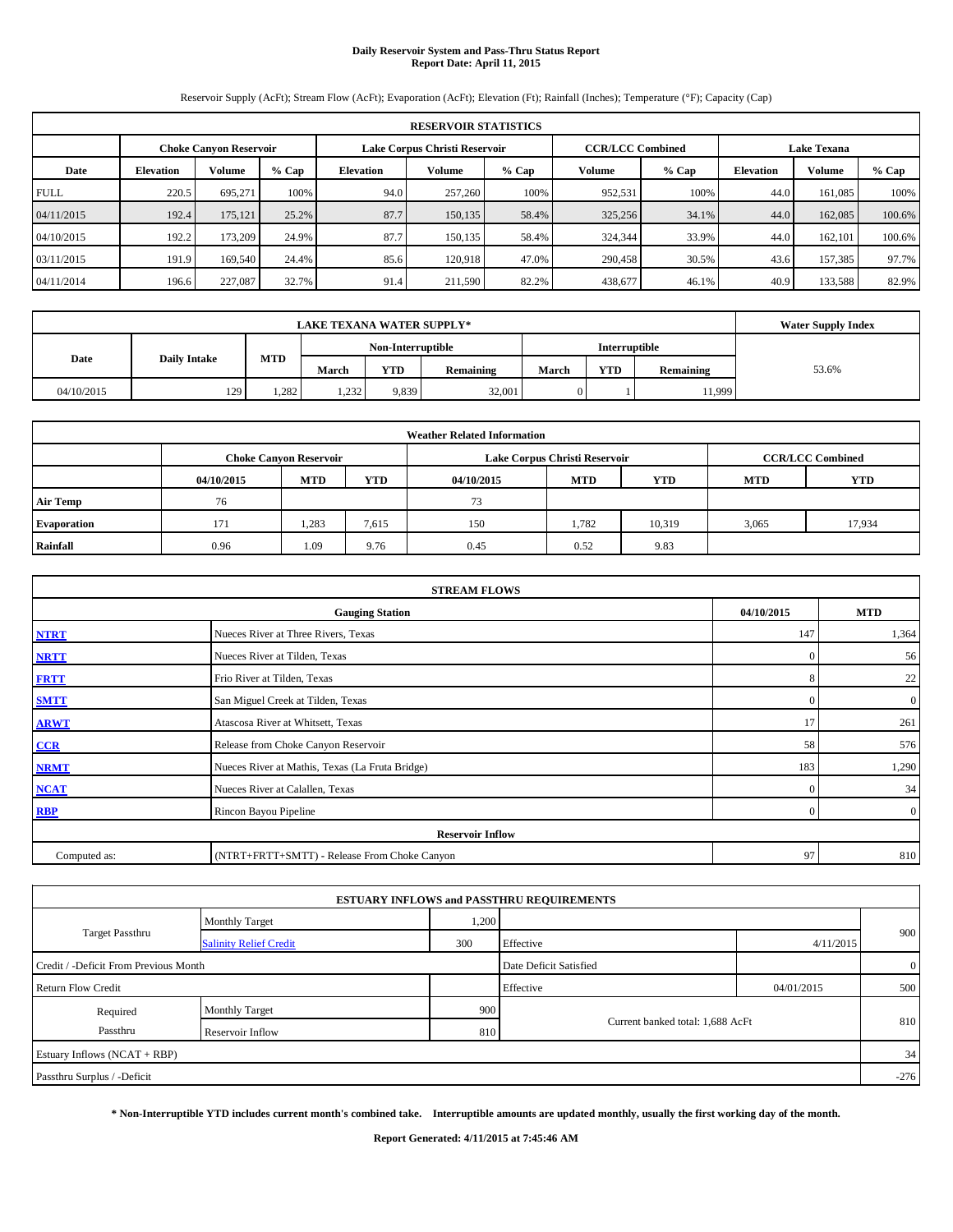# **Daily Reservoir System and Pass-Thru Status Report Report Date: April 11, 2015**

Reservoir Supply (AcFt); Stream Flow (AcFt); Evaporation (AcFt); Elevation (Ft); Rainfall (Inches); Temperature (°F); Capacity (Cap)

|             | <b>RESERVOIR STATISTICS</b> |                               |         |                               |         |         |                         |         |                    |               |         |  |  |
|-------------|-----------------------------|-------------------------------|---------|-------------------------------|---------|---------|-------------------------|---------|--------------------|---------------|---------|--|--|
|             |                             | <b>Choke Canvon Reservoir</b> |         | Lake Corpus Christi Reservoir |         |         | <b>CCR/LCC Combined</b> |         | <b>Lake Texana</b> |               |         |  |  |
| Date        | <b>Elevation</b>            | Volume                        | $%$ Cap | <b>Elevation</b>              | Volume  | $%$ Cap | Volume                  | $%$ Cap | <b>Elevation</b>   | <b>Volume</b> | $%$ Cap |  |  |
| <b>FULL</b> | 220.5                       | 695.271                       | 100%    | 94.0                          | 257,260 | 100%    | 952,531                 | 100%    | 44.0               | 161.085       | 100%    |  |  |
| 04/11/2015  | 192.4                       | 175,121                       | 25.2%   | 87.7                          | 150,135 | 58.4%   | 325,256                 | 34.1%   | 44.0               | 162,085       | 100.6%  |  |  |
| 04/10/2015  | 192.2                       | 173,209                       | 24.9%   | 87.7                          | 150,135 | 58.4%   | 324,344                 | 33.9%   | 44.0               | 162,101       | 100.6%  |  |  |
| 03/11/2015  | 191.9                       | 169,540                       | 24.4%   | 85.6                          | 120.918 | 47.0%   | 290,458                 | 30.5%   | 43.6               | 157.385       | 97.7%   |  |  |
| 04/11/2014  | 196.6                       | 227,087                       | 32.7%   | 91.4                          | 211,590 | 82.2%   | 438,677                 | 46.1%   | 40.9               | 133,588       | 82.9%   |  |  |

| <b>LAKE TEXANA WATER SUPPLY*</b> |                     |       |                   |            |           |               |            |           | <b>Water Supply Index</b> |
|----------------------------------|---------------------|-------|-------------------|------------|-----------|---------------|------------|-----------|---------------------------|
|                                  |                     |       | Non-Interruptible |            |           | Interruptible |            |           |                           |
| Date                             | <b>Daily Intake</b> | MTD   | March             | <b>YTD</b> | Remaining | <b>March</b>  | <b>YTD</b> | Remaining | 53.6%                     |
| 04/10/2015                       | 129                 | 1.282 | 1,232             | 9.839      | 32,001    | $\Omega$      |            | 11,999    |                           |

|                    |            |                               |            | <b>Weather Related Information</b> |                               |                         |            |            |
|--------------------|------------|-------------------------------|------------|------------------------------------|-------------------------------|-------------------------|------------|------------|
|                    |            | <b>Choke Canyon Reservoir</b> |            |                                    | Lake Corpus Christi Reservoir | <b>CCR/LCC Combined</b> |            |            |
|                    | 04/10/2015 | <b>MTD</b>                    | <b>YTD</b> | 04/10/2015                         | <b>MTD</b>                    | <b>YTD</b>              | <b>MTD</b> | <b>YTD</b> |
| <b>Air Temp</b>    | 76         |                               |            | 73                                 |                               |                         |            |            |
| <b>Evaporation</b> | 171        | 1,283                         | 7,615      | 150                                | 1.782                         | 10,319                  | 3,065      | 17,934     |
| Rainfall           | 0.96       | 1.09                          | 9.76       | 0.45                               | 0.52                          | 9.83                    |            |            |

| <b>STREAM FLOWS</b> |                                                 |                |                  |  |  |  |  |  |  |  |
|---------------------|-------------------------------------------------|----------------|------------------|--|--|--|--|--|--|--|
|                     | <b>Gauging Station</b>                          | 04/10/2015     | <b>MTD</b>       |  |  |  |  |  |  |  |
| <b>NTRT</b>         | Nueces River at Three Rivers, Texas             |                |                  |  |  |  |  |  |  |  |
| <b>NRTT</b>         | Nueces River at Tilden, Texas                   | $\mathbf{0}$   | 56               |  |  |  |  |  |  |  |
| <b>FRTT</b>         | Frio River at Tilden, Texas                     | 8              | 22               |  |  |  |  |  |  |  |
| <b>SMTT</b>         | San Miguel Creek at Tilden, Texas               | $\Omega$       | $\boldsymbol{0}$ |  |  |  |  |  |  |  |
| <b>ARWT</b>         | Atascosa River at Whitsett, Texas               | 17             | 261              |  |  |  |  |  |  |  |
| CCR                 | Release from Choke Canyon Reservoir             | 58             | 576              |  |  |  |  |  |  |  |
| <b>NRMT</b>         | Nueces River at Mathis, Texas (La Fruta Bridge) | 183            | 1,290            |  |  |  |  |  |  |  |
| <b>NCAT</b>         | Nueces River at Calallen, Texas                 | $\mathbf{0}$   | 34               |  |  |  |  |  |  |  |
| <b>RBP</b>          | Rincon Bayou Pipeline                           | $\overline{0}$ | $\overline{0}$   |  |  |  |  |  |  |  |
|                     | <b>Reservoir Inflow</b>                         |                |                  |  |  |  |  |  |  |  |
| Computed as:        | (NTRT+FRTT+SMTT) - Release From Choke Canyon    |                |                  |  |  |  |  |  |  |  |

|                                       |                               |       | <b>ESTUARY INFLOWS and PASSTHRU REQUIREMENTS</b> |            |                |
|---------------------------------------|-------------------------------|-------|--------------------------------------------------|------------|----------------|
|                                       | <b>Monthly Target</b>         | 1,200 |                                                  |            |                |
| <b>Target Passthru</b>                | <b>Salinity Relief Credit</b> | 300   | Effective                                        | 4/11/2015  | 900            |
| Credit / -Deficit From Previous Month |                               |       | Date Deficit Satisfied                           |            | $\overline{0}$ |
| <b>Return Flow Credit</b>             |                               |       | Effective                                        | 04/01/2015 | 500            |
| Required                              | <b>Monthly Target</b>         | 900   |                                                  |            | 810            |
| Passthru                              | Reservoir Inflow              | 810   | Current banked total: 1,688 AcFt                 |            |                |
| Estuary Inflows (NCAT + RBP)          |                               |       |                                                  |            | 34             |
| Passthru Surplus / -Deficit           |                               |       |                                                  |            | $-276$         |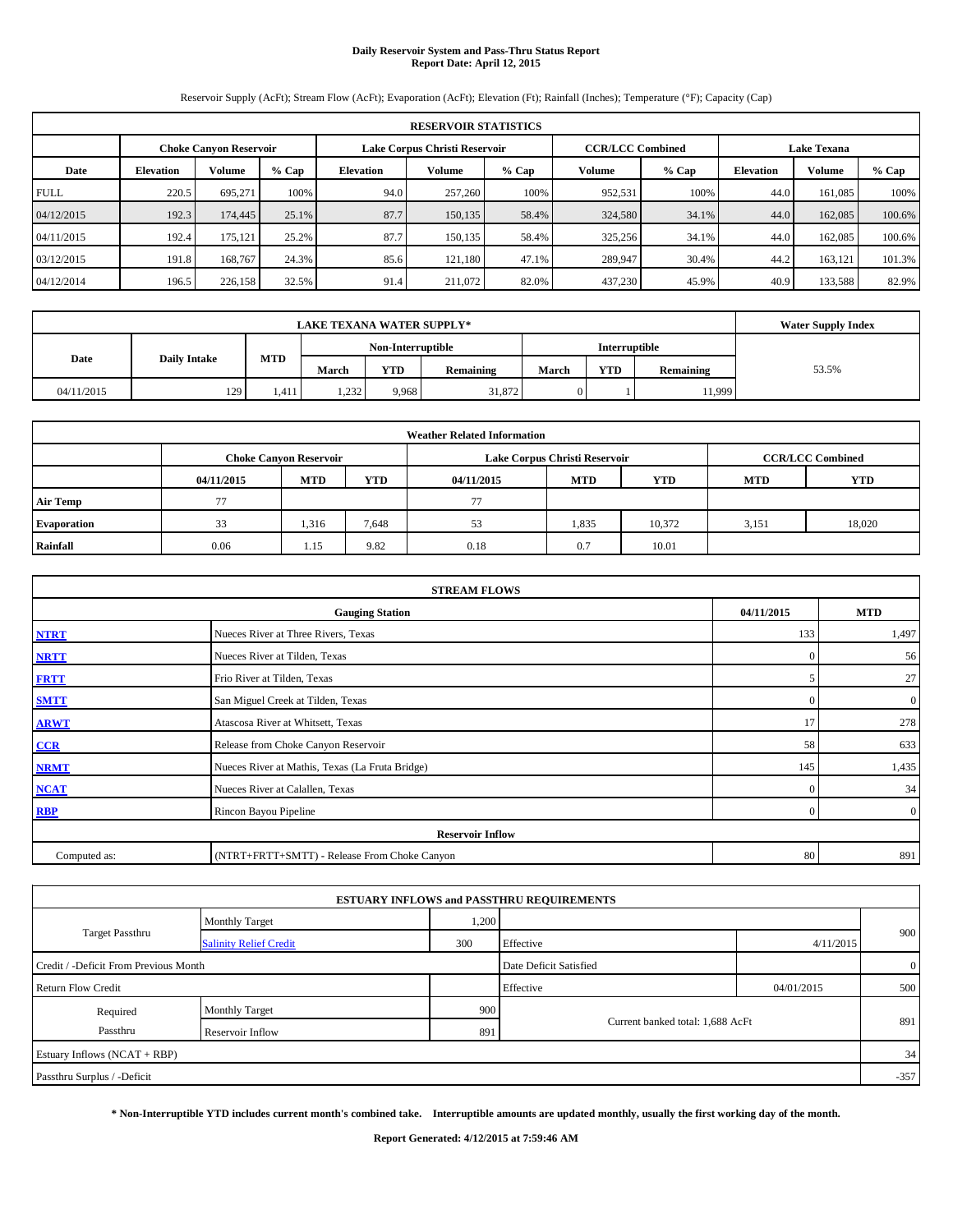# **Daily Reservoir System and Pass-Thru Status Report Report Date: April 12, 2015**

Reservoir Supply (AcFt); Stream Flow (AcFt); Evaporation (AcFt); Elevation (Ft); Rainfall (Inches); Temperature (°F); Capacity (Cap)

|             | <b>RESERVOIR STATISTICS</b> |                               |         |                               |         |         |                         |       |                    |               |         |  |
|-------------|-----------------------------|-------------------------------|---------|-------------------------------|---------|---------|-------------------------|-------|--------------------|---------------|---------|--|
|             |                             | <b>Choke Canvon Reservoir</b> |         | Lake Corpus Christi Reservoir |         |         | <b>CCR/LCC Combined</b> |       | <b>Lake Texana</b> |               |         |  |
| Date        | <b>Elevation</b>            | Volume                        | $%$ Cap | <b>Elevation</b>              | Volume  | $%$ Cap | Volume                  | % Cap | <b>Elevation</b>   | <b>Volume</b> | $%$ Cap |  |
| <b>FULL</b> | 220.5                       | 695.271                       | 100%    | 94.0                          | 257,260 | 100%    | 952,531                 | 100%  | 44.0               | 161.085       | 100%    |  |
| 04/12/2015  | 192.3                       | 174,445                       | 25.1%   | 87.7                          | 150,135 | 58.4%   | 324,580                 | 34.1% | 44.0               | 162,085       | 100.6%  |  |
| 04/11/2015  | 192.4                       | 175,121                       | 25.2%   | 87.7                          | 150,135 | 58.4%   | 325,256                 | 34.1% | 44.0               | 162,085       | 100.6%  |  |
| 03/12/2015  | 191.8                       | 168,767                       | 24.3%   | 85.6                          | 121.180 | 47.1%   | 289,947                 | 30.4% | 44.2               | 163.121       | 101.3%  |  |
| 04/12/2014  | 196.5                       | 226,158                       | 32.5%   | 91.4                          | 211,072 | 82.0%   | 437,230                 | 45.9% | 40.9               | 133,588       | 82.9%   |  |

| <b>LAKE TEXANA WATER SUPPLY*</b> |                     |       |                   |            |           |               |            |           | <b>Water Supply Index</b> |
|----------------------------------|---------------------|-------|-------------------|------------|-----------|---------------|------------|-----------|---------------------------|
|                                  |                     |       | Non-Interruptible |            |           | Interruptible |            |           |                           |
| Date                             | <b>Daily Intake</b> | MTD   | March             | <b>YTD</b> | Remaining | <b>March</b>  | <b>YTD</b> | Remaining | 53.5%                     |
| 04/11/2015                       | 129                 | 1.411 | 1,232             | 9.968      | 31,872    | $\Omega$      |            | 11,999    |                           |

|                    |            |                               |            | <b>Weather Related Information</b> |                               |                         |            |            |
|--------------------|------------|-------------------------------|------------|------------------------------------|-------------------------------|-------------------------|------------|------------|
|                    |            | <b>Choke Canyon Reservoir</b> |            |                                    | Lake Corpus Christi Reservoir | <b>CCR/LCC Combined</b> |            |            |
|                    | 04/11/2015 | <b>MTD</b>                    | <b>YTD</b> | 04/11/2015                         | <b>MTD</b>                    | <b>YTD</b>              | <b>MTD</b> | <b>YTD</b> |
| <b>Air Temp</b>    | 77         |                               |            | 77                                 |                               |                         |            |            |
| <b>Evaporation</b> | 33         | 1,316                         | 7.648      | 53                                 | 1,835                         | 10,372                  | 3,151      | 18,020     |
| Rainfall           | 0.06       | 1.15                          | 9.82       | 0.18                               | 0.7                           | 10.01                   |            |            |

| <b>STREAM FLOWS</b> |                                                 |               |                |  |  |  |  |  |  |
|---------------------|-------------------------------------------------|---------------|----------------|--|--|--|--|--|--|
|                     | <b>Gauging Station</b>                          | 04/11/2015    | <b>MTD</b>     |  |  |  |  |  |  |
| <b>NTRT</b>         | Nueces River at Three Rivers, Texas             | 133           | 1,497          |  |  |  |  |  |  |
| <b>NRTT</b>         | Nueces River at Tilden, Texas                   | $\Omega$      | 56             |  |  |  |  |  |  |
| <b>FRTT</b>         | Frio River at Tilden, Texas                     | $\mathcal{L}$ | 27             |  |  |  |  |  |  |
| <b>SMTT</b>         | San Miguel Creek at Tilden, Texas               | $\Omega$      | $\overline{0}$ |  |  |  |  |  |  |
| <b>ARWT</b>         | Atascosa River at Whitsett, Texas               | 17            | 278            |  |  |  |  |  |  |
| CCR                 | Release from Choke Canyon Reservoir             | 58            | 633            |  |  |  |  |  |  |
| <b>NRMT</b>         | Nueces River at Mathis, Texas (La Fruta Bridge) | 145           | 1,435          |  |  |  |  |  |  |
| <b>NCAT</b>         | Nueces River at Calallen, Texas                 | $\Omega$      | 34             |  |  |  |  |  |  |
| RBP                 | Rincon Bayou Pipeline                           | $\Omega$      | $\overline{0}$ |  |  |  |  |  |  |
|                     | <b>Reservoir Inflow</b>                         |               |                |  |  |  |  |  |  |
| Computed as:        | (NTRT+FRTT+SMTT) - Release From Choke Canyon    |               |                |  |  |  |  |  |  |

|                                       |                               |       | <b>ESTUARY INFLOWS and PASSTHRU REQUIREMENTS</b> |            |                |
|---------------------------------------|-------------------------------|-------|--------------------------------------------------|------------|----------------|
|                                       | <b>Monthly Target</b>         | 1,200 |                                                  |            |                |
| <b>Target Passthru</b>                | <b>Salinity Relief Credit</b> | 300   | Effective                                        | 4/11/2015  | 900            |
| Credit / -Deficit From Previous Month |                               |       | Date Deficit Satisfied                           |            | $\overline{0}$ |
| <b>Return Flow Credit</b>             |                               |       | Effective                                        | 04/01/2015 | 500            |
| Required                              | <b>Monthly Target</b>         | 900   |                                                  |            |                |
| Passthru                              | Reservoir Inflow              | 891   | Current banked total: 1,688 AcFt                 |            | 891            |
| Estuary Inflows (NCAT + RBP)          |                               |       |                                                  |            | 34             |
| Passthru Surplus / -Deficit           |                               |       |                                                  |            | $-357$         |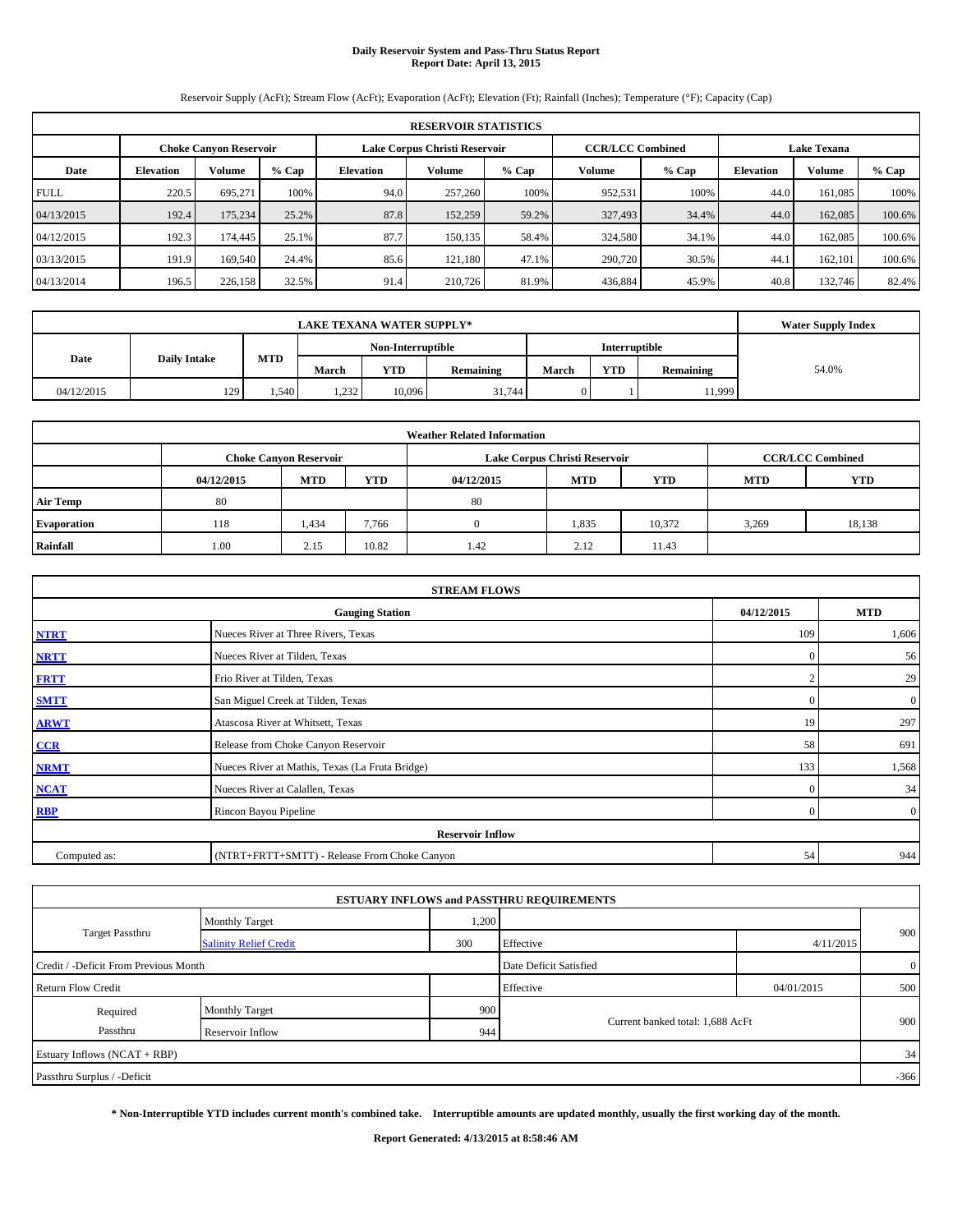# **Daily Reservoir System and Pass-Thru Status Report Report Date: April 13, 2015**

Reservoir Supply (AcFt); Stream Flow (AcFt); Evaporation (AcFt); Elevation (Ft); Rainfall (Inches); Temperature (°F); Capacity (Cap)

| <b>RESERVOIR STATISTICS</b> |                  |                               |         |                               |         |         |                         |         |                    |               |         |
|-----------------------------|------------------|-------------------------------|---------|-------------------------------|---------|---------|-------------------------|---------|--------------------|---------------|---------|
|                             |                  | <b>Choke Canvon Reservoir</b> |         | Lake Corpus Christi Reservoir |         |         | <b>CCR/LCC Combined</b> |         | <b>Lake Texana</b> |               |         |
| Date                        | <b>Elevation</b> | <b>Volume</b>                 | $%$ Cap | <b>Elevation</b>              | Volume  | $%$ Cap | Volume                  | $%$ Cap | <b>Elevation</b>   | <b>Volume</b> | $%$ Cap |
| <b>FULL</b>                 | 220.5            | 695.271                       | 100%    | 94.0                          | 257,260 | 100%    | 952,531                 | 100%    | 44.0               | 161.085       | 100%    |
| 04/13/2015                  | 192.4            | 175,234                       | 25.2%   | 87.8                          | 152,259 | 59.2%   | 327,493                 | 34.4%   | 44.0               | 162,085       | 100.6%  |
| 04/12/2015                  | 192.3            | 174,445                       | 25.1%   | 87.7                          | 150.135 | 58.4%   | 324,580                 | 34.1%   | 44.0               | 162,085       | 100.6%  |
| 03/13/2015                  | 191.9            | 169,540                       | 24.4%   | 85.6                          | 121.180 | 47.1%   | 290,720                 | 30.5%   | 44.1               | 162,101       | 100.6%  |
| 04/13/2014                  | 196.5            | 226,158                       | 32.5%   | 91.4                          | 210,726 | 81.9%   | 436,884                 | 45.9%   | 40.8               | 132,746       | 82.4%   |

|            | LAKE TEXANA WATER SUPPLY* |            |       |                   |                  |              |               |           |       |  |  |
|------------|---------------------------|------------|-------|-------------------|------------------|--------------|---------------|-----------|-------|--|--|
|            |                           |            |       | Non-Interruptible |                  |              | Interruptible |           |       |  |  |
| Date       | <b>Daily Intake</b>       | <b>MTD</b> | March | <b>YTD</b>        | <b>Remaining</b> | March        | <b>YTD</b>    | Remaining | 54.0% |  |  |
| 04/12/2015 | 129                       | .540       | 1,232 | 10,096            | 31.744           | $\mathbf{0}$ |               | 11,999    |       |  |  |

| <b>Weather Related Information</b> |            |                               |            |            |                               |                         |       |        |  |  |  |
|------------------------------------|------------|-------------------------------|------------|------------|-------------------------------|-------------------------|-------|--------|--|--|--|
|                                    |            | <b>Choke Canyon Reservoir</b> |            |            | Lake Corpus Christi Reservoir | <b>CCR/LCC Combined</b> |       |        |  |  |  |
|                                    | 04/12/2015 | <b>MTD</b>                    | <b>YTD</b> | <b>YTD</b> | <b>MTD</b>                    | <b>YTD</b>              |       |        |  |  |  |
| <b>Air Temp</b>                    | 80         |                               |            | 80         |                               |                         |       |        |  |  |  |
| <b>Evaporation</b>                 | 118        | 1,434                         | 7,766      |            | 1,835                         | 10.372                  | 3,269 | 18,138 |  |  |  |
| Rainfall                           | 1.00       | 2.15                          | 10.82      | 1.42       | 2.12                          | 11.43                   |       |        |  |  |  |

| <b>STREAM FLOWS</b> |                                                 |            |                |  |  |  |  |  |  |
|---------------------|-------------------------------------------------|------------|----------------|--|--|--|--|--|--|
|                     | <b>Gauging Station</b>                          | 04/12/2015 | <b>MTD</b>     |  |  |  |  |  |  |
| <b>NTRT</b>         | Nueces River at Three Rivers, Texas             | 109        | 1,606          |  |  |  |  |  |  |
| <b>NRTT</b>         | Nueces River at Tilden, Texas                   | $\Omega$   | 56             |  |  |  |  |  |  |
| <b>FRTT</b>         | Frio River at Tilden, Texas                     |            | 29             |  |  |  |  |  |  |
| <b>SMTT</b>         | San Miguel Creek at Tilden, Texas               | $\Omega$   | $\overline{0}$ |  |  |  |  |  |  |
| <b>ARWT</b>         | Atascosa River at Whitsett, Texas               | 19         | 297            |  |  |  |  |  |  |
| CCR                 | Release from Choke Canyon Reservoir             | 58         | 691            |  |  |  |  |  |  |
| <b>NRMT</b>         | Nueces River at Mathis, Texas (La Fruta Bridge) | 133        | 1,568          |  |  |  |  |  |  |
| <b>NCAT</b>         | Nueces River at Calallen, Texas                 | $\Omega$   | 34             |  |  |  |  |  |  |
| RBP                 | Rincon Bayou Pipeline                           | $\Omega$   | $\overline{0}$ |  |  |  |  |  |  |
|                     | <b>Reservoir Inflow</b>                         |            |                |  |  |  |  |  |  |
| Computed as:        | (NTRT+FRTT+SMTT) - Release From Choke Canyon    |            |                |  |  |  |  |  |  |

|                                       |                               |       | <b>ESTUARY INFLOWS and PASSTHRU REQUIREMENTS</b> |            |                |  |
|---------------------------------------|-------------------------------|-------|--------------------------------------------------|------------|----------------|--|
|                                       | <b>Monthly Target</b>         | 1,200 |                                                  |            |                |  |
| <b>Target Passthru</b>                | <b>Salinity Relief Credit</b> | 300   | Effective                                        | 4/11/2015  | 900            |  |
| Credit / -Deficit From Previous Month |                               |       | Date Deficit Satisfied                           |            | $\overline{0}$ |  |
| <b>Return Flow Credit</b>             |                               |       | Effective                                        | 04/01/2015 | 500            |  |
| Required                              | <b>Monthly Target</b>         | 900   |                                                  |            |                |  |
| Passthru                              | Reservoir Inflow              | 944   | Current banked total: 1,688 AcFt                 |            | 900            |  |
| Estuary Inflows (NCAT + RBP)          |                               |       |                                                  |            | 34             |  |
| Passthru Surplus / -Deficit           |                               |       |                                                  |            | $-366$         |  |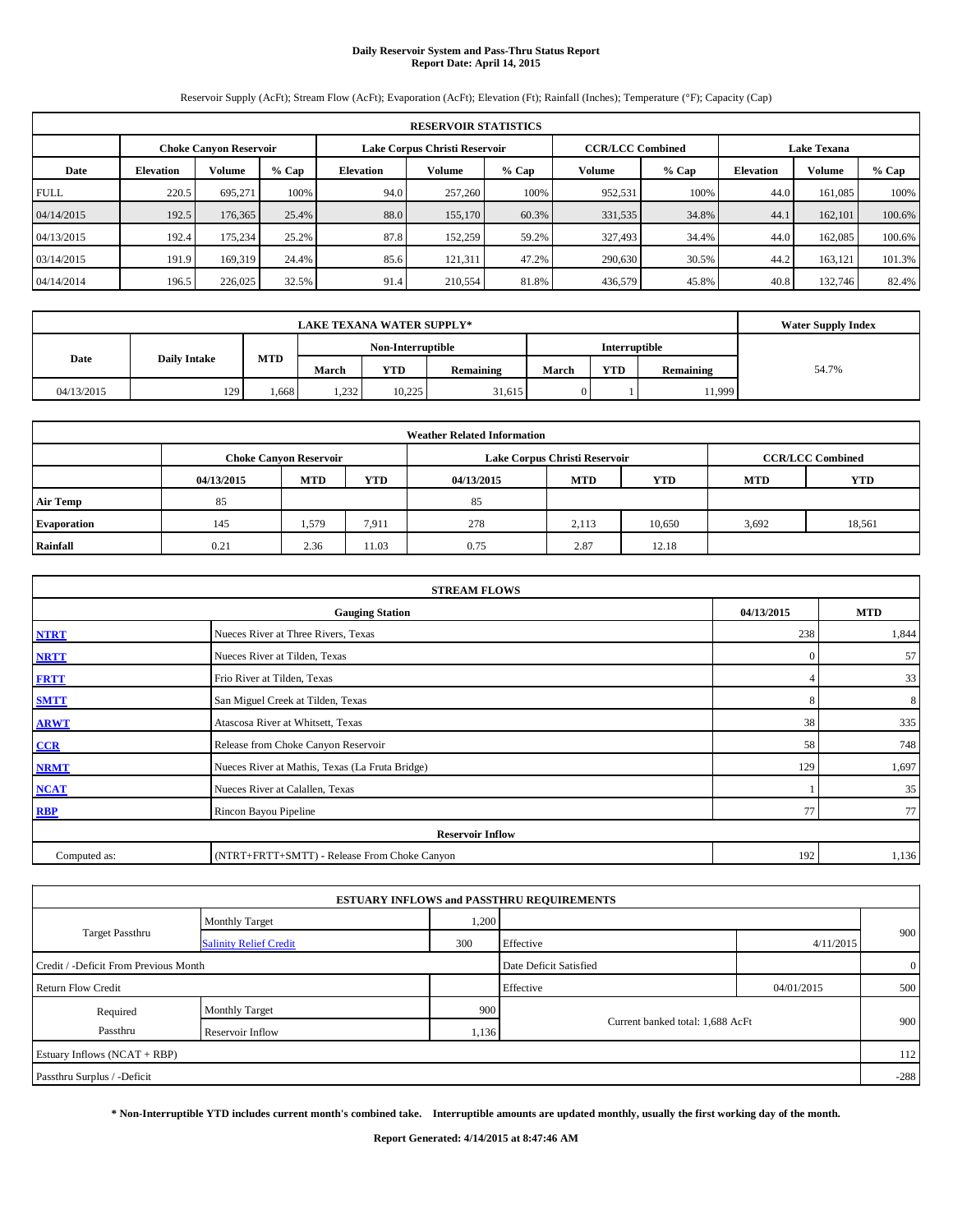# **Daily Reservoir System and Pass-Thru Status Report Report Date: April 14, 2015**

Reservoir Supply (AcFt); Stream Flow (AcFt); Evaporation (AcFt); Elevation (Ft); Rainfall (Inches); Temperature (°F); Capacity (Cap)

| <b>RESERVOIR STATISTICS</b> |                  |                               |         |                  |                               |         |                         |         |                    |               |         |
|-----------------------------|------------------|-------------------------------|---------|------------------|-------------------------------|---------|-------------------------|---------|--------------------|---------------|---------|
|                             |                  | <b>Choke Canvon Reservoir</b> |         |                  | Lake Corpus Christi Reservoir |         | <b>CCR/LCC Combined</b> |         | <b>Lake Texana</b> |               |         |
| Date                        | <b>Elevation</b> | <b>Volume</b>                 | $%$ Cap | <b>Elevation</b> | Volume                        | $%$ Cap | Volume                  | $%$ Cap | <b>Elevation</b>   | <b>Volume</b> | $%$ Cap |
| <b>FULL</b>                 | 220.5            | 695.271                       | 100%    | 94.0             | 257,260                       | 100%    | 952,531                 | 100%    | 44.0               | 161.085       | 100%    |
| 04/14/2015                  | 192.5            | 176,365                       | 25.4%   | 88.0             | 155,170                       | 60.3%   | 331,535                 | 34.8%   | 44.1               | 162,101       | 100.6%  |
| 04/13/2015                  | 192.4            | 175.234                       | 25.2%   | 87.8             | 152,259                       | 59.2%   | 327,493                 | 34.4%   | 44.0               | 162,085       | 100.6%  |
| 03/14/2015                  | 191.9            | 169,319                       | 24.4%   | 85.6             | 121,311                       | 47.2%   | 290,630                 | 30.5%   | 44.2               | 163,121       | 101.3%  |
| 04/14/2014                  | 196.5            | 226,025                       | 32.5%   | 91.4             | 210,554                       | 81.8%   | 436,579                 | 45.8%   | 40.8               | 132,746       | 82.4%   |

|            | <b>LAKE TEXANA WATER SUPPLY*</b>          |       |       |                   |                  |              |               |           |       |  |  |
|------------|-------------------------------------------|-------|-------|-------------------|------------------|--------------|---------------|-----------|-------|--|--|
|            |                                           |       |       | Non-Interruptible |                  |              | Interruptible |           |       |  |  |
|            | <b>MTD</b><br>Date<br><b>Daily Intake</b> |       |       | <b>YTD</b>        | <b>Remaining</b> | March        | <b>YTD</b>    | Remaining | 54.7% |  |  |
| 04/13/2015 | 129                                       | . 668 | 1,232 | 10.225            | 31,615           | $\mathbf{0}$ |               | 11,999    |       |  |  |

| <b>Weather Related Information</b> |                                                                                  |                               |       |      |                               |                         |       |            |  |  |  |
|------------------------------------|----------------------------------------------------------------------------------|-------------------------------|-------|------|-------------------------------|-------------------------|-------|------------|--|--|--|
|                                    |                                                                                  | <b>Choke Canvon Reservoir</b> |       |      | Lake Corpus Christi Reservoir | <b>CCR/LCC Combined</b> |       |            |  |  |  |
|                                    | <b>YTD</b><br><b>MTD</b><br><b>MTD</b><br><b>YTD</b><br>04/13/2015<br>04/13/2015 |                               |       |      |                               |                         |       | <b>YTD</b> |  |  |  |
| <b>Air Temp</b>                    | 85                                                                               |                               |       | 85   |                               |                         |       |            |  |  |  |
| <b>Evaporation</b>                 | 145                                                                              | 1,579                         | 7,911 | 278  | 2,113                         | 10,650                  | 3,692 | 18,561     |  |  |  |
| Rainfall                           | 0.21                                                                             | 2.36                          | 11.03 | 0.75 | 2.87                          | 12.18                   |       |            |  |  |  |

| <b>STREAM FLOWS</b> |                                                    |              |       |  |  |  |  |  |  |
|---------------------|----------------------------------------------------|--------------|-------|--|--|--|--|--|--|
|                     | 04/13/2015<br><b>MTD</b><br><b>Gauging Station</b> |              |       |  |  |  |  |  |  |
| <b>NTRT</b>         | Nueces River at Three Rivers, Texas                | 238          | 1,844 |  |  |  |  |  |  |
| <b>NRTT</b>         | Nueces River at Tilden, Texas                      | $\mathbf{0}$ | 57    |  |  |  |  |  |  |
| <b>FRTT</b>         | Frio River at Tilden, Texas                        |              | 33    |  |  |  |  |  |  |
| <b>SMTT</b>         | San Miguel Creek at Tilden, Texas                  | 8            | 8     |  |  |  |  |  |  |
| <b>ARWT</b>         | Atascosa River at Whitsett, Texas                  | 38           | 335   |  |  |  |  |  |  |
| CCR                 | Release from Choke Canyon Reservoir                | 58           | 748   |  |  |  |  |  |  |
| <b>NRMT</b>         | Nueces River at Mathis, Texas (La Fruta Bridge)    | 129          | 1,697 |  |  |  |  |  |  |
| <b>NCAT</b>         | Nueces River at Calallen, Texas                    |              | 35    |  |  |  |  |  |  |
| <b>RBP</b>          | Rincon Bayou Pipeline                              | 77           | 77    |  |  |  |  |  |  |
|                     | <b>Reservoir Inflow</b>                            |              |       |  |  |  |  |  |  |
| Computed as:        | (NTRT+FRTT+SMTT) - Release From Choke Canyon       |              |       |  |  |  |  |  |  |

|                                       |                               |       | <b>ESTUARY INFLOWS and PASSTHRU REQUIREMENTS</b> |            |                |  |
|---------------------------------------|-------------------------------|-------|--------------------------------------------------|------------|----------------|--|
|                                       | <b>Monthly Target</b>         | 1,200 |                                                  |            |                |  |
| <b>Target Passthru</b>                | <b>Salinity Relief Credit</b> | 300   | Effective                                        | 4/11/2015  | 900            |  |
| Credit / -Deficit From Previous Month |                               |       | Date Deficit Satisfied                           |            | $\overline{0}$ |  |
| <b>Return Flow Credit</b>             |                               |       | Effective                                        | 04/01/2015 | 500            |  |
| Required                              | <b>Monthly Target</b>         | 900   |                                                  |            |                |  |
| Passthru                              | Reservoir Inflow              | 1,136 | Current banked total: 1,688 AcFt                 |            | 900            |  |
| Estuary Inflows $(NCAT + RBP)$        |                               |       |                                                  |            | 112            |  |
| Passthru Surplus / -Deficit           |                               |       |                                                  |            | $-288$         |  |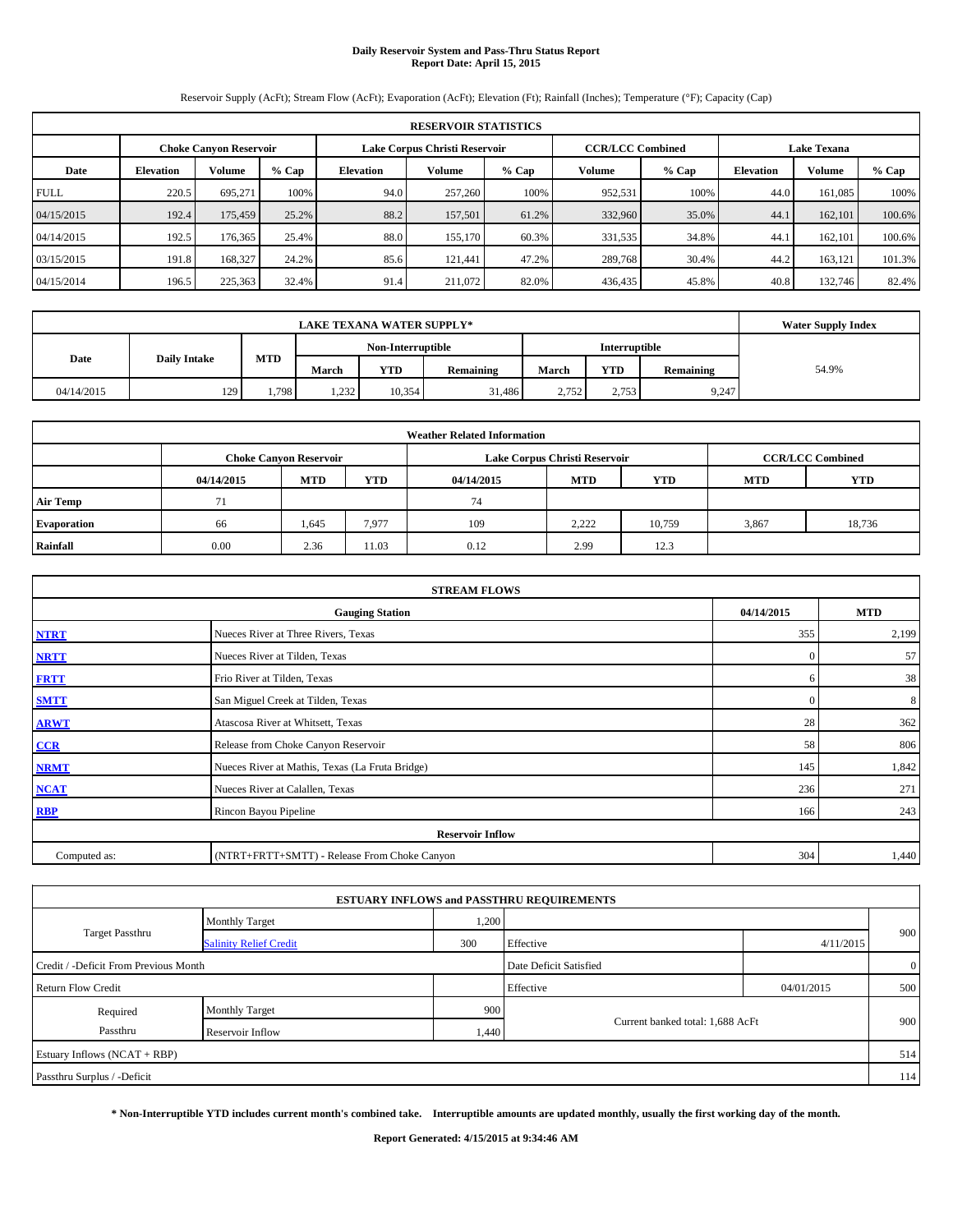# **Daily Reservoir System and Pass-Thru Status Report Report Date: April 15, 2015**

Reservoir Supply (AcFt); Stream Flow (AcFt); Evaporation (AcFt); Elevation (Ft); Rainfall (Inches); Temperature (°F); Capacity (Cap)

| <b>RESERVOIR STATISTICS</b> |                  |                               |         |                               |         |         |                         |         |                    |               |         |
|-----------------------------|------------------|-------------------------------|---------|-------------------------------|---------|---------|-------------------------|---------|--------------------|---------------|---------|
|                             |                  | <b>Choke Canvon Reservoir</b> |         | Lake Corpus Christi Reservoir |         |         | <b>CCR/LCC Combined</b> |         | <b>Lake Texana</b> |               |         |
| Date                        | <b>Elevation</b> | <b>Volume</b>                 | $%$ Cap | <b>Elevation</b>              | Volume  | $%$ Cap | Volume                  | $%$ Cap | <b>Elevation</b>   | <b>Volume</b> | $%$ Cap |
| <b>FULL</b>                 | 220.5            | 695.271                       | 100%    | 94.0                          | 257,260 | 100%    | 952,531                 | 100%    | 44.0               | 161.085       | 100%    |
| 04/15/2015                  | 192.4            | 175,459                       | 25.2%   | 88.2                          | 157,501 | 61.2%   | 332,960                 | 35.0%   | 44.1               | 162,101       | 100.6%  |
| 04/14/2015                  | 192.5            | 176,365                       | 25.4%   | 88.0                          | 155,170 | 60.3%   | 331,535                 | 34.8%   | 44.1               | 162.101       | 100.6%  |
| 03/15/2015                  | 191.8            | 168,327                       | 24.2%   | 85.6                          | 121.441 | 47.2%   | 289,768                 | 30.4%   | 44.2               | 163,121       | 101.3%  |
| 04/15/2014                  | 196.5            | 225,363                       | 32.4%   | 91.4                          | 211,072 | 82.0%   | 436,435                 | 45.8%   | 40.8               | 132,746       | 82.4%   |

|                             | <b>LAKE TEXANA WATER SUPPLY*</b> |            |                   |            |           |               |            |           |       |  |  |
|-----------------------------|----------------------------------|------------|-------------------|------------|-----------|---------------|------------|-----------|-------|--|--|
|                             |                                  |            | Non-Interruptible |            |           | Interruptible |            |           |       |  |  |
| Date<br><b>Daily Intake</b> |                                  | <b>MTD</b> | March             | <b>YTD</b> | Remaining | March         | <b>YTD</b> | Remaining | 54.9% |  |  |
| 04/14/2015                  | 129                              | 1,798      | 232<br>1,494      | 10,354     | 31,486    | 2.752         | 2,753      | 9,247     |       |  |  |

| <b>Weather Related Information</b> |            |                               |            |            |                               |                         |            |            |  |  |
|------------------------------------|------------|-------------------------------|------------|------------|-------------------------------|-------------------------|------------|------------|--|--|
|                                    |            | <b>Choke Canvon Reservoir</b> |            |            | Lake Corpus Christi Reservoir | <b>CCR/LCC Combined</b> |            |            |  |  |
|                                    | 04/14/2015 | <b>MTD</b>                    | <b>YTD</b> | 04/14/2015 | <b>MTD</b>                    | <b>YTD</b>              | <b>MTD</b> | <b>YTD</b> |  |  |
| <b>Air Temp</b>                    | 71         |                               |            | 74         |                               |                         |            |            |  |  |
| <b>Evaporation</b>                 | 66         | 1,645                         | 7,977      | 109        | 2.222                         | 10.759                  | 3,867      | 18,736     |  |  |
| Rainfall                           | 0.00       | 2.36                          | 11.03      | 0.12       | 2.99                          | 12.3                    |            |            |  |  |

| <b>STREAM FLOWS</b> |                                                 |          |       |  |  |  |  |  |  |
|---------------------|-------------------------------------------------|----------|-------|--|--|--|--|--|--|
|                     | <b>Gauging Station</b>                          |          |       |  |  |  |  |  |  |
| <b>NTRT</b>         | Nueces River at Three Rivers, Texas             | 355      | 2,199 |  |  |  |  |  |  |
| <b>NRTT</b>         | Nueces River at Tilden, Texas                   | $\Omega$ | 57    |  |  |  |  |  |  |
| <b>FRTT</b>         | Frio River at Tilden, Texas                     | h        | 38    |  |  |  |  |  |  |
| <b>SMTT</b>         | San Miguel Creek at Tilden, Texas               | $\Omega$ | 8     |  |  |  |  |  |  |
| <b>ARWT</b>         | Atascosa River at Whitsett, Texas               | 28       | 362   |  |  |  |  |  |  |
| CCR                 | Release from Choke Canyon Reservoir             | 58       | 806   |  |  |  |  |  |  |
| <b>NRMT</b>         | Nueces River at Mathis, Texas (La Fruta Bridge) | 145      | 1,842 |  |  |  |  |  |  |
| <b>NCAT</b>         | Nueces River at Calallen, Texas                 | 236      | 271   |  |  |  |  |  |  |
| RBP                 | Rincon Bayou Pipeline                           | 166      | 243   |  |  |  |  |  |  |
|                     | <b>Reservoir Inflow</b>                         |          |       |  |  |  |  |  |  |
| Computed as:        | (NTRT+FRTT+SMTT) - Release From Choke Canyon    | 304      | 1,440 |  |  |  |  |  |  |

|                                       |                               |       | <b>ESTUARY INFLOWS and PASSTHRU REQUIREMENTS</b> |            |                |
|---------------------------------------|-------------------------------|-------|--------------------------------------------------|------------|----------------|
|                                       | <b>Monthly Target</b>         | 1,200 |                                                  |            |                |
| Target Passthru                       | <b>Salinity Relief Credit</b> | 300   | Effective                                        | 4/11/2015  | 900            |
| Credit / -Deficit From Previous Month |                               |       | Date Deficit Satisfied                           |            | $\overline{0}$ |
| <b>Return Flow Credit</b>             |                               |       | Effective                                        | 04/01/2015 | 500            |
| Required                              | <b>Monthly Target</b>         | 900   |                                                  |            |                |
| Passthru                              | Reservoir Inflow              | 1,440 | Current banked total: 1,688 AcFt                 |            | 900            |
| Estuary Inflows (NCAT + RBP)          |                               |       |                                                  |            | 514            |
| Passthru Surplus / -Deficit           |                               |       |                                                  |            | 114            |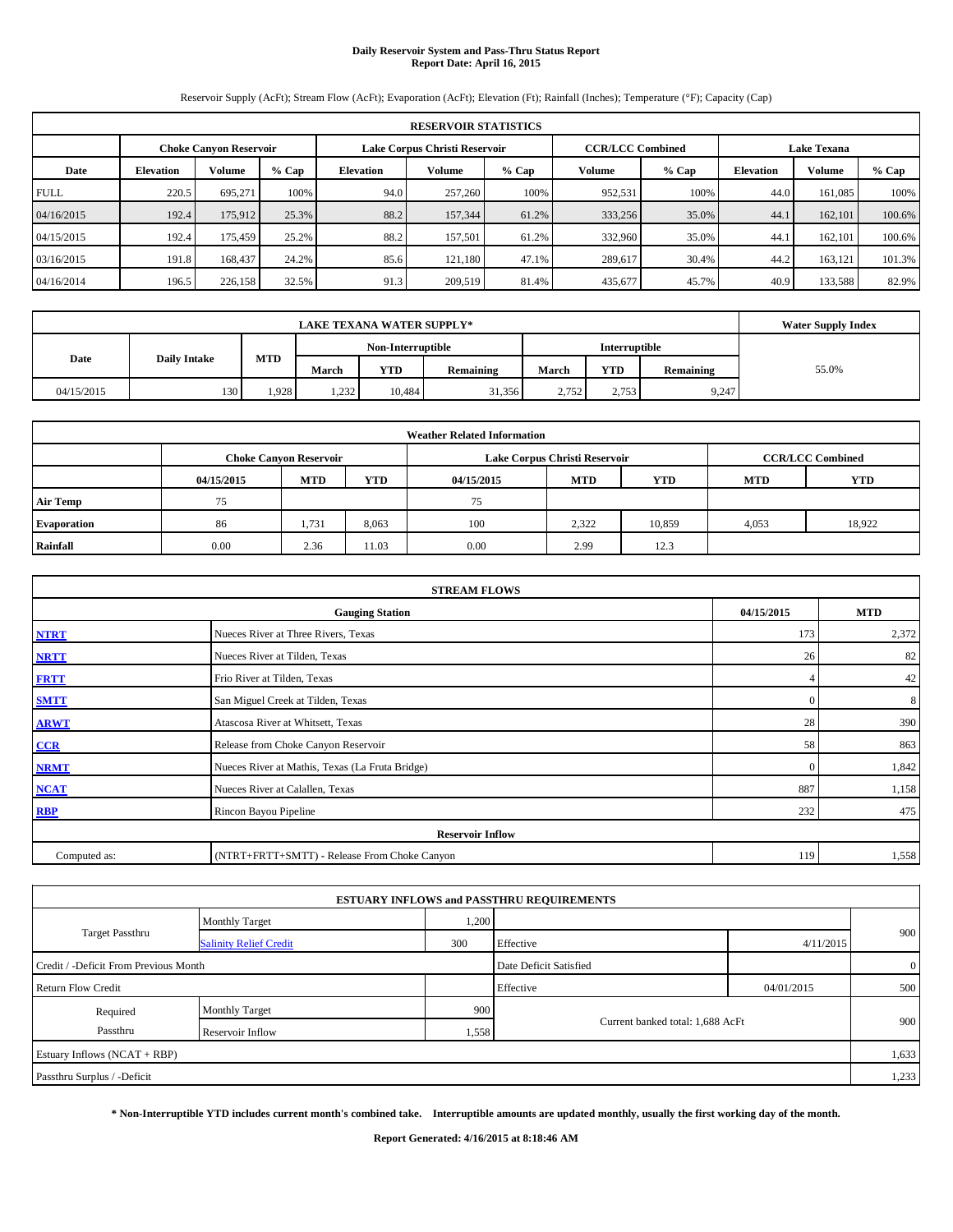# **Daily Reservoir System and Pass-Thru Status Report Report Date: April 16, 2015**

Reservoir Supply (AcFt); Stream Flow (AcFt); Evaporation (AcFt); Elevation (Ft); Rainfall (Inches); Temperature (°F); Capacity (Cap)

| <b>RESERVOIR STATISTICS</b> |                  |                               |         |                  |                               |         |                         |         |                    |               |         |
|-----------------------------|------------------|-------------------------------|---------|------------------|-------------------------------|---------|-------------------------|---------|--------------------|---------------|---------|
|                             |                  | <b>Choke Canvon Reservoir</b> |         |                  | Lake Corpus Christi Reservoir |         | <b>CCR/LCC Combined</b> |         | <b>Lake Texana</b> |               |         |
| Date                        | <b>Elevation</b> | <b>Volume</b>                 | $%$ Cap | <b>Elevation</b> | Volume                        | $%$ Cap | Volume                  | $%$ Cap | <b>Elevation</b>   | <b>Volume</b> | $%$ Cap |
| <b>FULL</b>                 | 220.5            | 695.271                       | 100%    | 94.0             | 257,260                       | 100%    | 952,531                 | 100%    | 44.0               | 161.085       | 100%    |
| 04/16/2015                  | 192.4            | 175,912                       | 25.3%   | 88.2             | 157,344                       | 61.2%   | 333,256                 | 35.0%   | 44.1               | 162,101       | 100.6%  |
| 04/15/2015                  | 192.4            | 175,459                       | 25.2%   | 88.2             | 157,501                       | 61.2%   | 332,960                 | 35.0%   | 44.1               | 162.101       | 100.6%  |
| 03/16/2015                  | 191.8            | 168,437                       | 24.2%   | 85.6             | 121.180                       | 47.1%   | 289.617                 | 30.4%   | 44.2               | 163.121       | 101.3%  |
| 04/16/2014                  | 196.5            | 226,158                       | 32.5%   | 91.3             | 209,519                       | 81.4%   | 435,677                 | 45.7%   | 40.9               | 133,588       | 82.9%   |

|            | <b>Water Supply Index</b> |            |       |                   |           |       |               |           |       |
|------------|---------------------------|------------|-------|-------------------|-----------|-------|---------------|-----------|-------|
|            |                           |            |       | Non-Interruptible |           |       | Interruptible |           |       |
| Date       | <b>Daily Intake</b>       | <b>MTD</b> | March | YTD               | Remaining | March | <b>YTD</b>    | Remaining | 55.0% |
| 04/15/2015 | 130                       | 1,928      | 1,232 | 10.484            | 31,356    | 2,752 | 2,753         | 9,247     |       |

| <b>Weather Related Information</b> |            |                               |            |            |                               |                         |            |            |  |  |
|------------------------------------|------------|-------------------------------|------------|------------|-------------------------------|-------------------------|------------|------------|--|--|
|                                    |            | <b>Choke Canvon Reservoir</b> |            |            | Lake Corpus Christi Reservoir | <b>CCR/LCC Combined</b> |            |            |  |  |
|                                    | 04/15/2015 | <b>MTD</b>                    | <b>YTD</b> | 04/15/2015 | <b>MTD</b>                    | <b>YTD</b>              | <b>MTD</b> | <b>YTD</b> |  |  |
| <b>Air Temp</b>                    | 75         |                               |            | 75         |                               |                         |            |            |  |  |
| Evaporation                        | 86         | 1,731                         | 8,063      | 100        | 2,322                         | 10,859                  | 4,053      | 18,922     |  |  |
| Rainfall                           | 0.00       | 2.36                          | 11.03      | 0.00       | 2.99                          | 12.3                    |            |            |  |  |

| <b>STREAM FLOWS</b> |                                                 |              |       |  |  |  |  |  |  |
|---------------------|-------------------------------------------------|--------------|-------|--|--|--|--|--|--|
|                     | <b>Gauging Station</b>                          |              |       |  |  |  |  |  |  |
| <b>NTRT</b>         | Nueces River at Three Rivers, Texas             | 173          | 2,372 |  |  |  |  |  |  |
| <b>NRTT</b>         | Nueces River at Tilden, Texas                   | 26           | 82    |  |  |  |  |  |  |
| <b>FRTT</b>         | Frio River at Tilden, Texas                     |              | 42    |  |  |  |  |  |  |
| <b>SMTT</b>         | San Miguel Creek at Tilden, Texas               | $\Omega$     | 8     |  |  |  |  |  |  |
| <b>ARWT</b>         | Atascosa River at Whitsett, Texas               | 28           | 390   |  |  |  |  |  |  |
| CCR                 | Release from Choke Canyon Reservoir             | 58           | 863   |  |  |  |  |  |  |
| <b>NRMT</b>         | Nueces River at Mathis, Texas (La Fruta Bridge) | $\mathbf{0}$ | 1,842 |  |  |  |  |  |  |
| <b>NCAT</b>         | Nueces River at Calallen, Texas                 | 887          | 1,158 |  |  |  |  |  |  |
| <b>RBP</b>          | Rincon Bayou Pipeline                           | 232          | 475   |  |  |  |  |  |  |
|                     | <b>Reservoir Inflow</b>                         |              |       |  |  |  |  |  |  |
| Computed as:        | (NTRT+FRTT+SMTT) - Release From Choke Canyon    | 119          | 1,558 |  |  |  |  |  |  |

|                                       |                               |       | <b>ESTUARY INFLOWS and PASSTHRU REQUIREMENTS</b> |            |              |
|---------------------------------------|-------------------------------|-------|--------------------------------------------------|------------|--------------|
|                                       | <b>Monthly Target</b>         | 1,200 |                                                  |            |              |
| Target Passthru                       | <b>Salinity Relief Credit</b> | 300   | Effective                                        | 4/11/2015  | 900          |
| Credit / -Deficit From Previous Month |                               |       | Date Deficit Satisfied                           |            | $\mathbf{0}$ |
| <b>Return Flow Credit</b>             |                               |       | Effective                                        | 04/01/2015 | 500          |
| Required                              | <b>Monthly Target</b>         | 900   |                                                  |            |              |
| Passthru<br>Reservoir Inflow          |                               | 1,558 | Current banked total: 1,688 AcFt                 |            | 900          |
| Estuary Inflows (NCAT + RBP)          |                               |       |                                                  |            | 1,633        |
| Passthru Surplus / -Deficit           |                               |       |                                                  |            | 1,233        |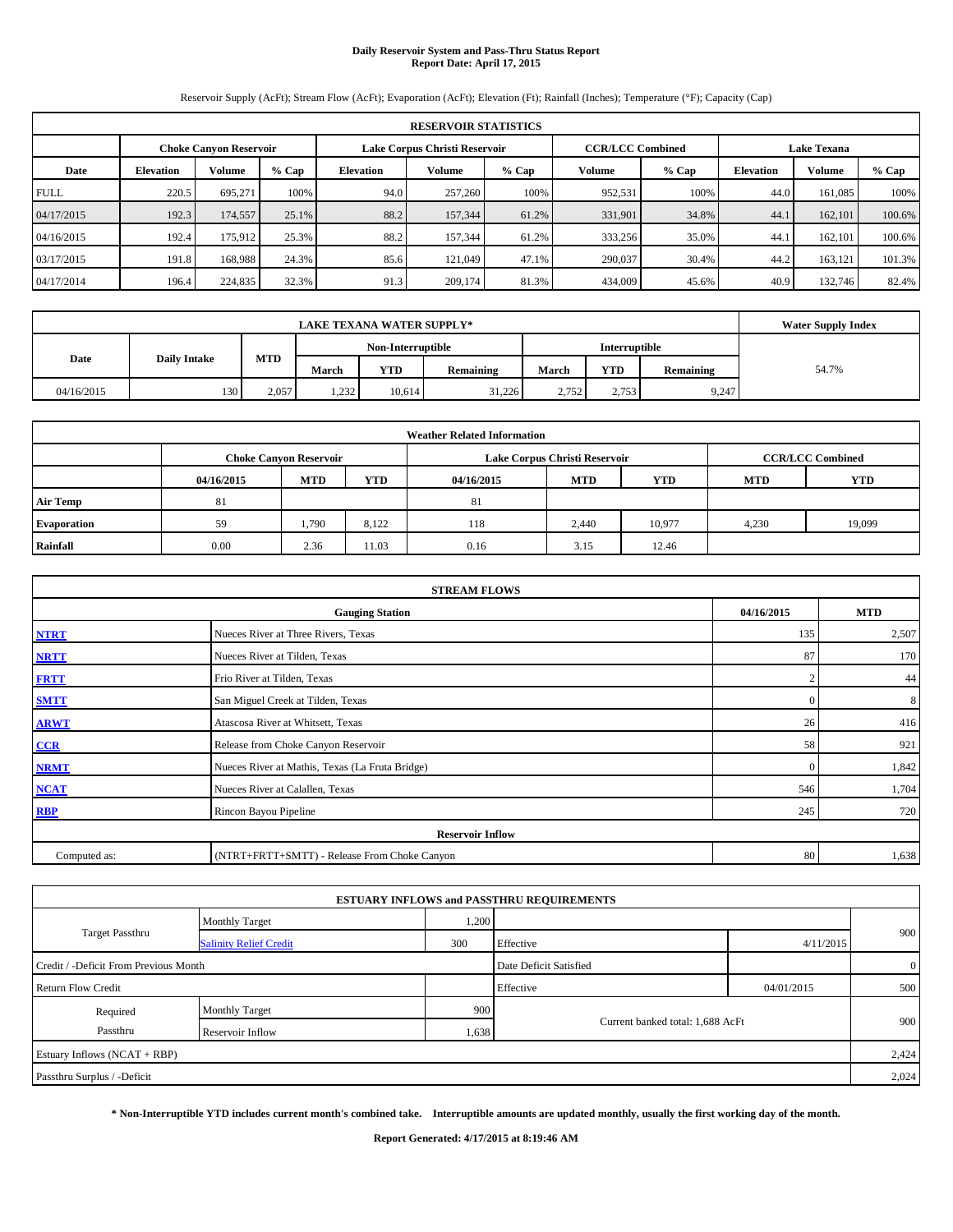# **Daily Reservoir System and Pass-Thru Status Report Report Date: April 17, 2015**

Reservoir Supply (AcFt); Stream Flow (AcFt); Evaporation (AcFt); Elevation (Ft); Rainfall (Inches); Temperature (°F); Capacity (Cap)

| <b>RESERVOIR STATISTICS</b> |                  |                               |         |                  |                               |       |                         |         |                    |               |        |
|-----------------------------|------------------|-------------------------------|---------|------------------|-------------------------------|-------|-------------------------|---------|--------------------|---------------|--------|
|                             |                  | <b>Choke Canvon Reservoir</b> |         |                  | Lake Corpus Christi Reservoir |       | <b>CCR/LCC Combined</b> |         | <b>Lake Texana</b> |               |        |
| Date                        | <b>Elevation</b> | Volume                        | $%$ Cap | <b>Elevation</b> | Volume                        | % Cap | Volume                  | $%$ Cap | <b>Elevation</b>   | <b>Volume</b> | % Cap  |
| <b>FULL</b>                 | 220.5            | 695.271                       | 100%    | 94.0             | 257,260                       | 100%  | 952,531                 | 100%    | 44.0               | 161.085       | 100%   |
| 04/17/2015                  | 192.3            | 174,557                       | 25.1%   | 88.2             | 157,344                       | 61.2% | 331,901                 | 34.8%   | 44.1               | 162,101       | 100.6% |
| 04/16/2015                  | 192.4            | 175,912                       | 25.3%   | 88.2             | 157,344                       | 61.2% | 333,256                 | 35.0%   | 44.1               | 162.101       | 100.6% |
| 03/17/2015                  | 191.8            | 168,988                       | 24.3%   | 85.6             | 121,049                       | 47.1% | 290,037                 | 30.4%   | 44.2               | 163,121       | 101.3% |
| 04/17/2014                  | 196.4            | 224,835                       | 32.3%   | 91.3             | 209,174                       | 81.3% | 434,009                 | 45.6%   | 40.9               | 132,746       | 82.4%  |

|            | <b>Water Supply Index</b> |            |       |                   |                  |       |               |           |       |
|------------|---------------------------|------------|-------|-------------------|------------------|-------|---------------|-----------|-------|
|            |                           |            |       | Non-Interruptible |                  |       | Interruptible |           |       |
| Date       | <b>Daily Intake</b>       | <b>MTD</b> | March | <b>YTD</b>        | <b>Remaining</b> | March | <b>YTD</b>    | Remaining | 54.7% |
| 04/16/2015 | 130                       | 2.057      | 1,232 | 10.614            | 31.226           | 2.752 | 2,753         | 9,247     |       |

| <b>Weather Related Information</b> |            |                               |            |            |                               |                         |            |            |  |  |
|------------------------------------|------------|-------------------------------|------------|------------|-------------------------------|-------------------------|------------|------------|--|--|
|                                    |            | <b>Choke Canvon Reservoir</b> |            |            | Lake Corpus Christi Reservoir | <b>CCR/LCC Combined</b> |            |            |  |  |
|                                    | 04/16/2015 | <b>MTD</b>                    | <b>YTD</b> | 04/16/2015 | <b>MTD</b>                    | <b>YTD</b>              | <b>MTD</b> | <b>YTD</b> |  |  |
| <b>Air Temp</b>                    | 81         |                               |            | 81         |                               |                         |            |            |  |  |
| <b>Evaporation</b>                 | 59         | 1,790                         | 8.122      | 118        | 2.440                         | 10.977                  | 4,230      | 19,099     |  |  |
| Rainfall                           | 0.00       | 2.36                          | 11.03      | 0.16       | 3.15                          | 12.46                   |            |            |  |  |

| <b>STREAM FLOWS</b> |                                                 |          |       |  |  |  |  |  |  |  |
|---------------------|-------------------------------------------------|----------|-------|--|--|--|--|--|--|--|
|                     | <b>Gauging Station</b>                          |          |       |  |  |  |  |  |  |  |
| <b>NTRT</b>         | Nueces River at Three Rivers, Texas             | 135      | 2,507 |  |  |  |  |  |  |  |
| <b>NRTT</b>         | Nueces River at Tilden, Texas                   | 87       | 170   |  |  |  |  |  |  |  |
| <b>FRTT</b>         | Frio River at Tilden, Texas                     |          | 44    |  |  |  |  |  |  |  |
| <b>SMTT</b>         | San Miguel Creek at Tilden, Texas               | $\Omega$ | 8     |  |  |  |  |  |  |  |
| <b>ARWT</b>         | Atascosa River at Whitsett, Texas               | 26       | 416   |  |  |  |  |  |  |  |
| CCR                 | Release from Choke Canyon Reservoir             | 58       | 921   |  |  |  |  |  |  |  |
| <b>NRMT</b>         | Nueces River at Mathis, Texas (La Fruta Bridge) | $\Omega$ | 1,842 |  |  |  |  |  |  |  |
| <b>NCAT</b>         | Nueces River at Calallen, Texas                 | 546      | 1,704 |  |  |  |  |  |  |  |
| <b>RBP</b>          | Rincon Bayou Pipeline                           | 245      | 720   |  |  |  |  |  |  |  |
|                     | <b>Reservoir Inflow</b>                         |          |       |  |  |  |  |  |  |  |
| Computed as:        | (NTRT+FRTT+SMTT) - Release From Choke Canyon    | 80       | 1,638 |  |  |  |  |  |  |  |

|                                       |                               |       | <b>ESTUARY INFLOWS and PASSTHRU REQUIREMENTS</b> |            |                |
|---------------------------------------|-------------------------------|-------|--------------------------------------------------|------------|----------------|
|                                       | <b>Monthly Target</b>         | 1,200 |                                                  |            |                |
| <b>Target Passthru</b>                | <b>Salinity Relief Credit</b> | 300   | Effective                                        | 4/11/2015  | 900            |
| Credit / -Deficit From Previous Month |                               |       | Date Deficit Satisfied                           |            | $\overline{0}$ |
| <b>Return Flow Credit</b>             |                               |       | Effective                                        | 04/01/2015 | 500            |
| Required                              | <b>Monthly Target</b>         | 900   |                                                  |            |                |
| Passthru                              | Reservoir Inflow              | 1,638 | Current banked total: 1,688 AcFt                 |            | 900            |
| Estuary Inflows (NCAT + RBP)          |                               |       |                                                  |            | 2,424          |
| Passthru Surplus / -Deficit           |                               |       |                                                  |            | 2,024          |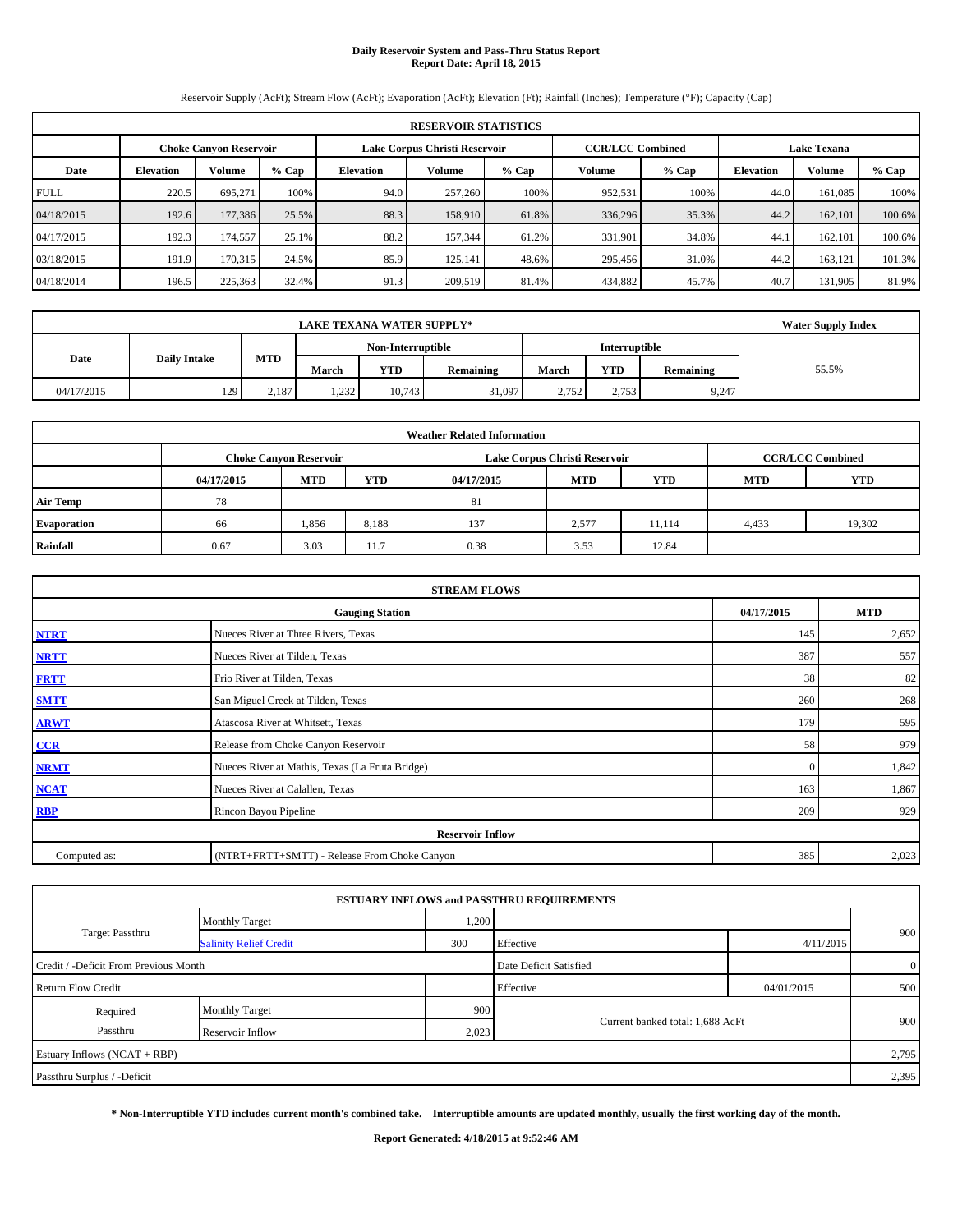# **Daily Reservoir System and Pass-Thru Status Report Report Date: April 18, 2015**

Reservoir Supply (AcFt); Stream Flow (AcFt); Evaporation (AcFt); Elevation (Ft); Rainfall (Inches); Temperature (°F); Capacity (Cap)

|             | <b>RESERVOIR STATISTICS</b> |                               |         |                                                 |                               |       |         |                         |                    |               |         |  |  |
|-------------|-----------------------------|-------------------------------|---------|-------------------------------------------------|-------------------------------|-------|---------|-------------------------|--------------------|---------------|---------|--|--|
|             |                             | <b>Choke Canvon Reservoir</b> |         |                                                 | Lake Corpus Christi Reservoir |       |         | <b>CCR/LCC Combined</b> | <b>Lake Texana</b> |               |         |  |  |
| Date        | <b>Elevation</b>            | <b>Volume</b>                 | $%$ Cap | Volume<br>$%$ Cap<br>Volume<br><b>Elevation</b> |                               |       |         | $%$ Cap                 | <b>Elevation</b>   | <b>Volume</b> | $%$ Cap |  |  |
| <b>FULL</b> | 220.5                       | 695.271                       | 100%    | 94.0                                            | 257,260                       | 100%  | 952,531 | 100%                    | 44.0               | 161.085       | 100%    |  |  |
| 04/18/2015  | 192.6                       | 177,386                       | 25.5%   | 88.3                                            | 158,910                       | 61.8% | 336,296 | 35.3%                   | 44.2               | 162,101       | 100.6%  |  |  |
| 04/17/2015  | 192.3                       | 174,557                       | 25.1%   | 88.2                                            | 157,344                       | 61.2% | 331,901 | 34.8%                   | 44.1               | 162.101       | 100.6%  |  |  |
| 03/18/2015  | 191.9                       | 170,315                       | 24.5%   | 85.9                                            | 125.141                       | 48.6% | 295,456 | 31.0%                   | 44.2               | 163,121       | 101.3%  |  |  |
| 04/18/2014  | 196.5                       | 225,363                       | 32.4%   | 91.3                                            | 209,519                       | 81.4% | 434,882 | 45.7%                   | 40.7               | 131,905       | 81.9%   |  |  |

|            | <b>Water Supply Index</b> |            |       |                   |           |       |               |           |       |
|------------|---------------------------|------------|-------|-------------------|-----------|-------|---------------|-----------|-------|
|            |                           |            |       | Non-Interruptible |           |       | Interruptible |           |       |
| Date       | <b>Daily Intake</b>       | <b>MTD</b> | March | YTD               | Remaining | March | <b>YTD</b>    | Remaining | 55.5% |
| 04/17/2015 | 129                       | 2.187      | 1,232 | 10,743            | 31,097    | 2.752 | 2,753         | 9,247     |       |

|                    |            |                               |            | <b>Weather Related Information</b> |                               |                         |            |            |
|--------------------|------------|-------------------------------|------------|------------------------------------|-------------------------------|-------------------------|------------|------------|
|                    |            | <b>Choke Canvon Reservoir</b> |            |                                    | Lake Corpus Christi Reservoir | <b>CCR/LCC Combined</b> |            |            |
|                    | 04/17/2015 | <b>MTD</b>                    | <b>YTD</b> | 04/17/2015                         | <b>MTD</b>                    | <b>YTD</b>              | <b>MTD</b> | <b>YTD</b> |
| <b>Air Temp</b>    | 78         |                               |            | 81                                 |                               |                         |            |            |
| <b>Evaporation</b> | 66         | 1,856                         | 8,188      | 137                                | 2,577                         | 11.114                  | 4,433      | 19,302     |
| Rainfall           | 0.67       | 3.03                          | 11.7       | 0.38                               | 3.53                          | 12.84                   |            |            |

|              | <b>STREAM FLOWS</b>                             |              |       |  |  |  |  |  |
|--------------|-------------------------------------------------|--------------|-------|--|--|--|--|--|
|              | <b>Gauging Station</b>                          |              |       |  |  |  |  |  |
| <b>NTRT</b>  | Nueces River at Three Rivers, Texas             | 145          | 2,652 |  |  |  |  |  |
| <b>NRTT</b>  | Nueces River at Tilden, Texas                   | 387          | 557   |  |  |  |  |  |
| <b>FRTT</b>  | Frio River at Tilden, Texas                     | 38           | 82    |  |  |  |  |  |
| <b>SMTT</b>  | San Miguel Creek at Tilden, Texas               | 260          | 268   |  |  |  |  |  |
| <b>ARWT</b>  | Atascosa River at Whitsett, Texas               | 179          | 595   |  |  |  |  |  |
| CCR          | Release from Choke Canyon Reservoir             | 58           | 979   |  |  |  |  |  |
| <b>NRMT</b>  | Nueces River at Mathis, Texas (La Fruta Bridge) | $\mathbf{0}$ | 1,842 |  |  |  |  |  |
| <b>NCAT</b>  | Nueces River at Calallen, Texas                 | 163          | 1,867 |  |  |  |  |  |
| <b>RBP</b>   | Rincon Bayou Pipeline                           | 209          | 929   |  |  |  |  |  |
|              | <b>Reservoir Inflow</b>                         |              |       |  |  |  |  |  |
| Computed as: | (NTRT+FRTT+SMTT) - Release From Choke Canyon    | 385          | 2,023 |  |  |  |  |  |

|                                       |                               |       | <b>ESTUARY INFLOWS and PASSTHRU REQUIREMENTS</b> |            |                |
|---------------------------------------|-------------------------------|-------|--------------------------------------------------|------------|----------------|
|                                       | <b>Monthly Target</b>         | 1,200 |                                                  |            |                |
| <b>Target Passthru</b>                | <b>Salinity Relief Credit</b> | 300   | Effective                                        | 4/11/2015  | 900            |
| Credit / -Deficit From Previous Month |                               |       | Date Deficit Satisfied                           |            | $\overline{0}$ |
| <b>Return Flow Credit</b>             |                               |       | Effective                                        | 04/01/2015 | 500            |
| Required                              | <b>Monthly Target</b>         | 900   |                                                  |            |                |
| Passthru                              | Reservoir Inflow              | 2,023 | Current banked total: 1,688 AcFt                 |            | 900            |
| Estuary Inflows (NCAT + RBP)          |                               |       |                                                  |            | 2,795          |
| Passthru Surplus / -Deficit           |                               |       |                                                  |            | 2,395          |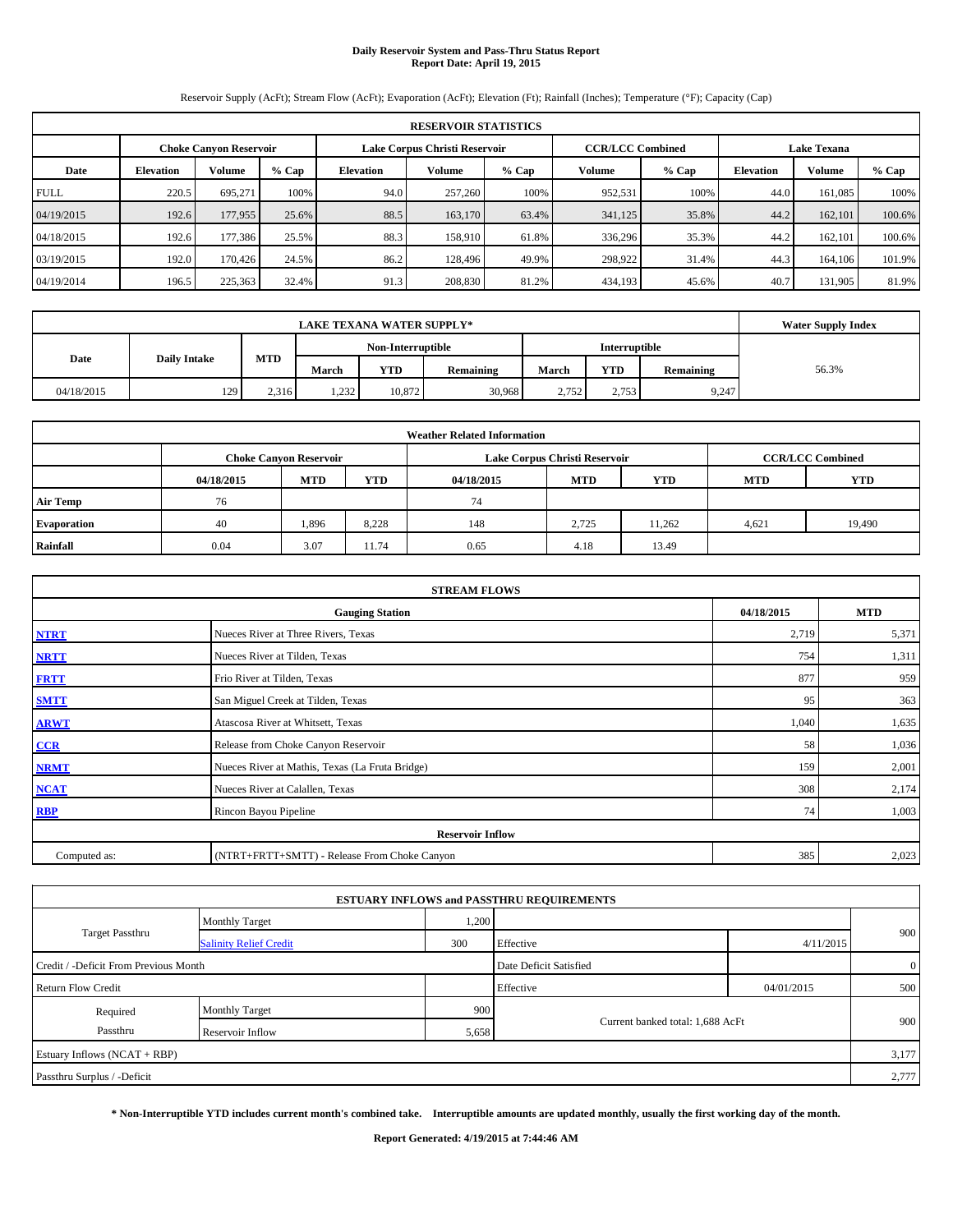# **Daily Reservoir System and Pass-Thru Status Report Report Date: April 19, 2015**

Reservoir Supply (AcFt); Stream Flow (AcFt); Evaporation (AcFt); Elevation (Ft); Rainfall (Inches); Temperature (°F); Capacity (Cap)

|             | <b>RESERVOIR STATISTICS</b> |                               |         |                                                 |                               |       |         |                         |                    |               |         |  |  |
|-------------|-----------------------------|-------------------------------|---------|-------------------------------------------------|-------------------------------|-------|---------|-------------------------|--------------------|---------------|---------|--|--|
|             |                             | <b>Choke Canvon Reservoir</b> |         |                                                 | Lake Corpus Christi Reservoir |       |         | <b>CCR/LCC Combined</b> | <b>Lake Texana</b> |               |         |  |  |
| Date        | <b>Elevation</b>            | <b>Volume</b>                 | $%$ Cap | Volume<br>$%$ Cap<br>Volume<br><b>Elevation</b> |                               |       |         | $%$ Cap                 | <b>Elevation</b>   | <b>Volume</b> | $%$ Cap |  |  |
| <b>FULL</b> | 220.5                       | 695.271                       | 100%    | 94.0                                            | 257,260                       | 100%  | 952,531 | 100%                    | 44.0               | 161.085       | 100%    |  |  |
| 04/19/2015  | 192.6                       | 177,955                       | 25.6%   | 88.5                                            | 163,170                       | 63.4% | 341,125 | 35.8%                   | 44.2               | 162,101       | 100.6%  |  |  |
| 04/18/2015  | 192.6                       | 177,386                       | 25.5%   | 88.3                                            | 158,910                       | 61.8% | 336,296 | 35.3%                   | 44.2               | 162,101       | 100.6%  |  |  |
| 03/19/2015  | 192.0                       | 170,426                       | 24.5%   | 86.2                                            | 128,496                       | 49.9% | 298,922 | 31.4%                   | 44.3               | 164,106       | 101.9%  |  |  |
| 04/19/2014  | 196.5                       | 225,363                       | 32.4%   | 91.3                                            | 208,830                       | 81.2% | 434,193 | 45.6%                   | 40.7               | 131,905       | 81.9%   |  |  |

|            | <b>Water Supply Index</b> |                   |              |            |               |       |            |           |       |
|------------|---------------------------|-------------------|--------------|------------|---------------|-------|------------|-----------|-------|
|            |                           | Non-Interruptible |              |            | Interruptible |       |            |           |       |
| Date       | <b>Daily Intake</b>       | <b>MTD</b>        | March        | <b>YTD</b> | Remaining     | March | <b>YTD</b> | Remaining | 56.3% |
| 04/18/2015 | 129                       | 2.316             | 232<br>1,494 | 10,872     | 30,968        | 2.752 | 2,753      | 9,247     |       |

| <b>Weather Related Information</b> |            |                                                                                  |       |      |                               |                         |       |        |  |  |  |
|------------------------------------|------------|----------------------------------------------------------------------------------|-------|------|-------------------------------|-------------------------|-------|--------|--|--|--|
|                                    |            | <b>Choke Canyon Reservoir</b>                                                    |       |      | Lake Corpus Christi Reservoir | <b>CCR/LCC Combined</b> |       |        |  |  |  |
|                                    | 04/18/2015 | <b>YTD</b><br><b>MTD</b><br><b>MTD</b><br><b>YTD</b><br>04/18/2015<br><b>MTD</b> |       |      |                               |                         |       |        |  |  |  |
| <b>Air Temp</b>                    | 76         |                                                                                  |       | 74   |                               |                         |       |        |  |  |  |
| Evaporation                        | 40         | 1,896                                                                            | 8,228 | 148  | 2,725                         | 11,262                  | 4,621 | 19,490 |  |  |  |
| Rainfall                           | 0.04       | 3.07                                                                             | 11.74 | 0.65 | 4.18                          | 13.49                   |       |        |  |  |  |

|              | <b>STREAM FLOWS</b>                             |       |       |  |  |  |  |  |
|--------------|-------------------------------------------------|-------|-------|--|--|--|--|--|
|              | <b>Gauging Station</b>                          |       |       |  |  |  |  |  |
| <b>NTRT</b>  | Nueces River at Three Rivers, Texas             | 2,719 | 5,371 |  |  |  |  |  |
| <b>NRTT</b>  | Nueces River at Tilden, Texas                   | 754   | 1,311 |  |  |  |  |  |
| <b>FRTT</b>  | Frio River at Tilden, Texas                     | 877   | 959   |  |  |  |  |  |
| <b>SMTT</b>  | San Miguel Creek at Tilden, Texas               | 95    | 363   |  |  |  |  |  |
| <b>ARWT</b>  | Atascosa River at Whitsett, Texas               | 1,040 | 1,635 |  |  |  |  |  |
| CCR          | Release from Choke Canyon Reservoir             | 58    | 1,036 |  |  |  |  |  |
| <b>NRMT</b>  | Nueces River at Mathis, Texas (La Fruta Bridge) | 159   | 2,001 |  |  |  |  |  |
| <b>NCAT</b>  | Nueces River at Calallen, Texas                 | 308   | 2,174 |  |  |  |  |  |
| <b>RBP</b>   | Rincon Bayou Pipeline                           | 74    | 1,003 |  |  |  |  |  |
|              | <b>Reservoir Inflow</b>                         |       |       |  |  |  |  |  |
| Computed as: | (NTRT+FRTT+SMTT) - Release From Choke Canyon    | 385   | 2,023 |  |  |  |  |  |

|                                       |                               |       | <b>ESTUARY INFLOWS and PASSTHRU REQUIREMENTS</b> |            |              |
|---------------------------------------|-------------------------------|-------|--------------------------------------------------|------------|--------------|
|                                       | <b>Monthly Target</b>         | 1,200 |                                                  |            |              |
| Target Passthru                       | <b>Salinity Relief Credit</b> | 300   | Effective                                        | 4/11/2015  | 900          |
| Credit / -Deficit From Previous Month |                               |       | Date Deficit Satisfied                           |            | $\mathbf{0}$ |
| <b>Return Flow Credit</b>             |                               |       | Effective                                        | 04/01/2015 | 500          |
| Required                              | <b>Monthly Target</b>         | 900   |                                                  |            |              |
| Passthru                              | Reservoir Inflow              | 5,658 | Current banked total: 1,688 AcFt                 |            | 900          |
| Estuary Inflows (NCAT + RBP)          |                               |       |                                                  |            | 3,177        |
| Passthru Surplus / -Deficit           |                               |       |                                                  |            | 2,777        |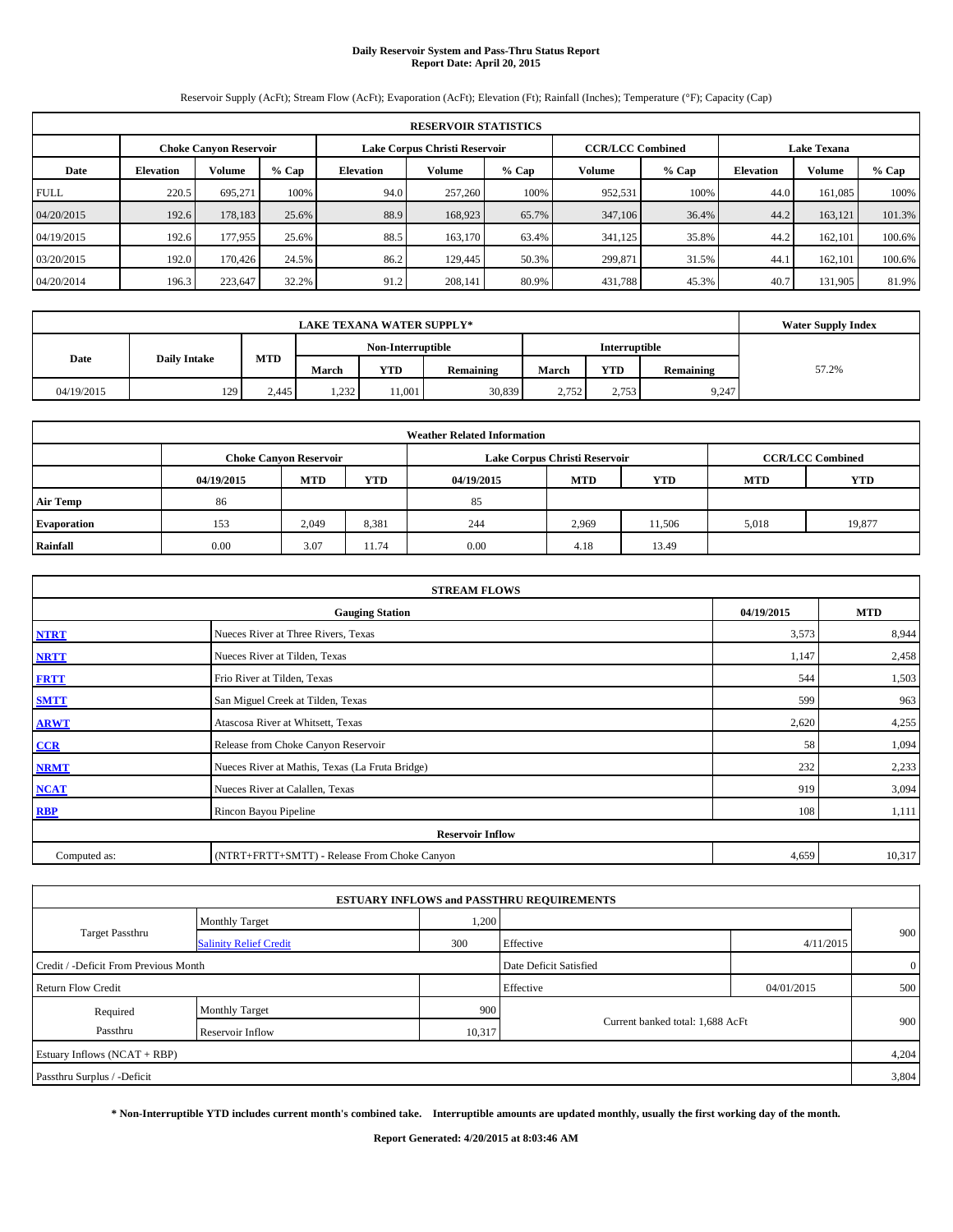# **Daily Reservoir System and Pass-Thru Status Report Report Date: April 20, 2015**

Reservoir Supply (AcFt); Stream Flow (AcFt); Evaporation (AcFt); Elevation (Ft); Rainfall (Inches); Temperature (°F); Capacity (Cap)

|             | <b>RESERVOIR STATISTICS</b> |                               |         |                                                 |                               |       |         |                         |                    |               |         |  |  |
|-------------|-----------------------------|-------------------------------|---------|-------------------------------------------------|-------------------------------|-------|---------|-------------------------|--------------------|---------------|---------|--|--|
|             |                             | <b>Choke Canvon Reservoir</b> |         |                                                 | Lake Corpus Christi Reservoir |       |         | <b>CCR/LCC Combined</b> | <b>Lake Texana</b> |               |         |  |  |
| Date        | <b>Elevation</b>            | <b>Volume</b>                 | $%$ Cap | Volume<br>$%$ Cap<br>Volume<br><b>Elevation</b> |                               |       |         | $%$ Cap                 | <b>Elevation</b>   | <b>Volume</b> | $%$ Cap |  |  |
| <b>FULL</b> | 220.5                       | 695.271                       | 100%    | 94.0                                            | 257,260                       | 100%  | 952,531 | 100%                    | 44.0               | 161.085       | 100%    |  |  |
| 04/20/2015  | 192.6                       | 178,183                       | 25.6%   | 88.9                                            | 168,923                       | 65.7% | 347,106 | 36.4%                   | 44.2               | 163,121       | 101.3%  |  |  |
| 04/19/2015  | 192.6                       | 177,955                       | 25.6%   | 88.5                                            | 163,170                       | 63.4% | 341,125 | 35.8%                   | 44.2               | 162.101       | 100.6%  |  |  |
| 03/20/2015  | 192.0                       | 170,426                       | 24.5%   | 86.2                                            | 129,445                       | 50.3% | 299.871 | 31.5%                   | 44.1               | 162.101       | 100.6%  |  |  |
| 04/20/2014  | 196.3                       | 223,647                       | 32.2%   | 91.2                                            | 208,141                       | 80.9% | 431,788 | 45.3%                   | 40.7               | 131,905       | 81.9%   |  |  |

|            | <b>LAKE TEXANA WATER SUPPLY*</b> |            |              |                   |           |       |               |           |       |  |  |
|------------|----------------------------------|------------|--------------|-------------------|-----------|-------|---------------|-----------|-------|--|--|
|            |                                  |            |              | Non-Interruptible |           |       | Interruptible |           |       |  |  |
| Date       | <b>Daily Intake</b>              | <b>MTD</b> | March        | <b>YTD</b>        | Remaining | March | <b>YTD</b>    | Remaining | 57.2% |  |  |
| 04/19/2015 | 129                              | 2.445      | 232<br>1,494 | 11.001            | 30,839    | 2.752 | 2,753         | 9,247     |       |  |  |

|                    |                                                                                           |            |            | <b>Weather Related Information</b> |            |            |            |            |  |  |  |  |
|--------------------|-------------------------------------------------------------------------------------------|------------|------------|------------------------------------|------------|------------|------------|------------|--|--|--|--|
|                    | <b>CCR/LCC Combined</b><br>Lake Corpus Christi Reservoir<br><b>Choke Canvon Reservoir</b> |            |            |                                    |            |            |            |            |  |  |  |  |
|                    | 04/19/2015                                                                                | <b>MTD</b> | <b>YTD</b> | 04/19/2015                         | <b>MTD</b> | <b>YTD</b> | <b>MTD</b> | <b>YTD</b> |  |  |  |  |
| <b>Air Temp</b>    | 86                                                                                        |            |            | 85                                 |            |            |            |            |  |  |  |  |
| <b>Evaporation</b> | 153                                                                                       | 2.049      | 8,381      | 244                                | 2,969      | 11.506     | 5,018      | 19,877     |  |  |  |  |
| Rainfall           | 0.00                                                                                      | 3.07       | 11.74      | 0.00                               | 4.18       | 13.49      |            |            |  |  |  |  |

|              | <b>STREAM FLOWS</b>                             |            |            |
|--------------|-------------------------------------------------|------------|------------|
|              | <b>Gauging Station</b>                          | 04/19/2015 | <b>MTD</b> |
| <b>NTRT</b>  | Nueces River at Three Rivers, Texas             | 3,573      | 8,944      |
| <b>NRTT</b>  | Nueces River at Tilden, Texas                   | 1,147      | 2,458      |
| <b>FRTT</b>  | Frio River at Tilden, Texas                     | 544        | 1,503      |
| <b>SMTT</b>  | San Miguel Creek at Tilden, Texas               | 599        | 963        |
| <b>ARWT</b>  | Atascosa River at Whitsett, Texas               | 2,620      | 4,255      |
| CCR          | Release from Choke Canyon Reservoir             | 58         | 1,094      |
| <b>NRMT</b>  | Nueces River at Mathis, Texas (La Fruta Bridge) | 232        | 2,233      |
| <b>NCAT</b>  | Nueces River at Calallen, Texas                 | 919        | 3,094      |
| <b>RBP</b>   | Rincon Bayou Pipeline                           | 108        | 1,111      |
|              | <b>Reservoir Inflow</b>                         |            |            |
| Computed as: | (NTRT+FRTT+SMTT) - Release From Choke Canyon    | 4,659      | 10,317     |

|                                       |                               |        | <b>ESTUARY INFLOWS and PASSTHRU REQUIREMENTS</b> |            |              |
|---------------------------------------|-------------------------------|--------|--------------------------------------------------|------------|--------------|
|                                       | <b>Monthly Target</b>         | 1,200  |                                                  |            |              |
| Target Passthru                       | <b>Salinity Relief Credit</b> | 300    | Effective                                        | 4/11/2015  | 900          |
| Credit / -Deficit From Previous Month |                               |        | Date Deficit Satisfied                           |            | $\mathbf{0}$ |
| <b>Return Flow Credit</b>             |                               |        | Effective                                        | 04/01/2015 | 500          |
| Required                              | <b>Monthly Target</b>         | 900    |                                                  |            |              |
| Passthru                              | <b>Reservoir Inflow</b>       | 10,317 | Current banked total: 1,688 AcFt                 |            | 900          |
| Estuary Inflows (NCAT + RBP)          |                               |        |                                                  |            | 4,204        |
| Passthru Surplus / -Deficit           |                               |        |                                                  |            | 3,804        |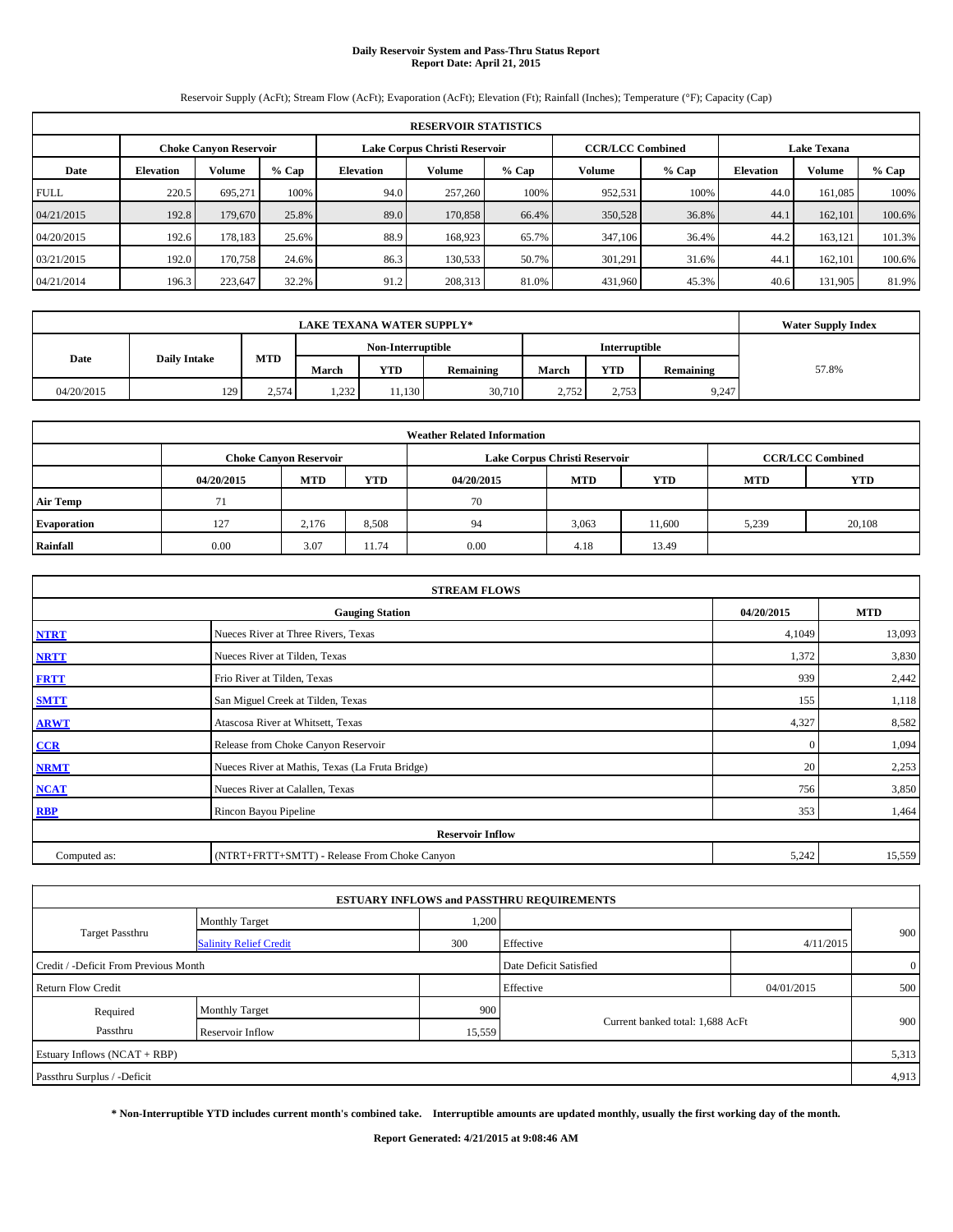# **Daily Reservoir System and Pass-Thru Status Report Report Date: April 21, 2015**

Reservoir Supply (AcFt); Stream Flow (AcFt); Evaporation (AcFt); Elevation (Ft); Rainfall (Inches); Temperature (°F); Capacity (Cap)

|             | <b>RESERVOIR STATISTICS</b>                                                                                     |               |         |                  |         |         |         |         |                  |               |         |  |  |  |  |
|-------------|-----------------------------------------------------------------------------------------------------------------|---------------|---------|------------------|---------|---------|---------|---------|------------------|---------------|---------|--|--|--|--|
|             | <b>CCR/LCC Combined</b><br><b>Lake Texana</b><br>Lake Corpus Christi Reservoir<br><b>Choke Canvon Reservoir</b> |               |         |                  |         |         |         |         |                  |               |         |  |  |  |  |
| Date        | <b>Elevation</b>                                                                                                | <b>Volume</b> | $%$ Cap | <b>Elevation</b> | Volume  | $%$ Cap | Volume  | $%$ Cap | <b>Elevation</b> | <b>Volume</b> | $%$ Cap |  |  |  |  |
| <b>FULL</b> | 220.5                                                                                                           | 695.271       | 100%    | 94.0             | 257,260 | 100%    | 952,531 | 100%    | 44.0             | 161.085       | 100%    |  |  |  |  |
| 04/21/2015  | 192.8                                                                                                           | 179,670       | 25.8%   | 89.0             | 170,858 | 66.4%   | 350,528 | 36.8%   | 44.1             | 162,101       | 100.6%  |  |  |  |  |
| 04/20/2015  | 192.6                                                                                                           | 178.183       | 25.6%   | 88.9             | 168,923 | 65.7%   | 347,106 | 36.4%   | 44.2             | 163.121       | 101.3%  |  |  |  |  |
| 03/21/2015  | 192.0                                                                                                           | 170,758       | 24.6%   | 86.3             | 130,533 | 50.7%   | 301,291 | 31.6%   | 44.1             | 162,101       | 100.6%  |  |  |  |  |
| 04/21/2014  | 196.3                                                                                                           | 223,647       | 32.2%   | 91.2             | 208,313 | 81.0%   | 431,960 | 45.3%   | 40.6             | 131,905       | 81.9%   |  |  |  |  |

|            | <b>LAKE TEXANA WATER SUPPLY*</b> |            |                   |                         |        |       |               |           |       |  |  |
|------------|----------------------------------|------------|-------------------|-------------------------|--------|-------|---------------|-----------|-------|--|--|
|            |                                  |            | Non-Interruptible |                         |        |       | Interruptible |           |       |  |  |
| Date       | <b>Daily Intake</b>              | <b>MTD</b> | March             | <b>YTD</b><br>Remaining |        |       | <b>YTD</b>    | Remaining | 57.8% |  |  |
| 04/20/2015 | 129                              | 2.574      | 1,232             | 11,130                  | 30,710 | 2.752 | 2,753         | 9,247     |       |  |  |

|                    |                                                                                           |            |            | <b>Weather Related Information</b> |            |            |            |            |  |  |  |  |  |
|--------------------|-------------------------------------------------------------------------------------------|------------|------------|------------------------------------|------------|------------|------------|------------|--|--|--|--|--|
|                    | <b>CCR/LCC Combined</b><br>Lake Corpus Christi Reservoir<br><b>Choke Canvon Reservoir</b> |            |            |                                    |            |            |            |            |  |  |  |  |  |
|                    | 04/20/2015                                                                                | <b>MTD</b> | <b>YTD</b> | 04/20/2015                         | <b>MTD</b> | <b>YTD</b> | <b>MTD</b> | <b>YTD</b> |  |  |  |  |  |
| <b>Air Temp</b>    | 71                                                                                        |            |            | 70                                 |            |            |            |            |  |  |  |  |  |
| <b>Evaporation</b> | 127                                                                                       | 2,176      | 8,508      | 94                                 | 3,063      | 11.600     | 5,239      | 20,108     |  |  |  |  |  |
| Rainfall           | 0.00                                                                                      | 3.07       | 11.74      | 0.00                               | 4.18       | 13.49      |            |            |  |  |  |  |  |

|              | <b>STREAM FLOWS</b>                             |              |            |
|--------------|-------------------------------------------------|--------------|------------|
|              | <b>Gauging Station</b>                          | 04/20/2015   | <b>MTD</b> |
| <b>NTRT</b>  | Nueces River at Three Rivers, Texas             | 4,1049       | 13,093     |
| <b>NRTT</b>  | Nueces River at Tilden, Texas                   | 1,372        | 3,830      |
| <b>FRTT</b>  | Frio River at Tilden, Texas                     | 939          | 2,442      |
| <b>SMTT</b>  | San Miguel Creek at Tilden, Texas               | 155          | 1,118      |
| <b>ARWT</b>  | Atascosa River at Whitsett, Texas               | 4,327        | 8,582      |
| CCR          | Release from Choke Canyon Reservoir             | $\mathbf{0}$ | 1,094      |
| <b>NRMT</b>  | Nueces River at Mathis, Texas (La Fruta Bridge) | 20           | 2,253      |
| <b>NCAT</b>  | Nueces River at Calallen, Texas                 | 756          | 3,850      |
| <b>RBP</b>   | Rincon Bayou Pipeline                           | 353          | 1,464      |
|              | <b>Reservoir Inflow</b>                         |              |            |
| Computed as: | (NTRT+FRTT+SMTT) - Release From Choke Canyon    | 5,242        | 15,559     |

|                                       |                               |        | <b>ESTUARY INFLOWS and PASSTHRU REQUIREMENTS</b> |            |                |
|---------------------------------------|-------------------------------|--------|--------------------------------------------------|------------|----------------|
|                                       | <b>Monthly Target</b>         | 1,200  |                                                  |            |                |
| <b>Target Passthru</b>                | <b>Salinity Relief Credit</b> | 300    | Effective                                        | 4/11/2015  | 900            |
| Credit / -Deficit From Previous Month |                               |        | Date Deficit Satisfied                           |            | $\overline{0}$ |
| <b>Return Flow Credit</b>             |                               |        | Effective                                        | 04/01/2015 | 500            |
| Required                              | Monthly Target                | 900    |                                                  |            |                |
| Passthru                              | Reservoir Inflow              | 15,559 | Current banked total: 1,688 AcFt                 |            | 900            |
| Estuary Inflows (NCAT + RBP)          |                               |        |                                                  |            | 5,313          |
| Passthru Surplus / -Deficit           |                               |        |                                                  |            | 4,913          |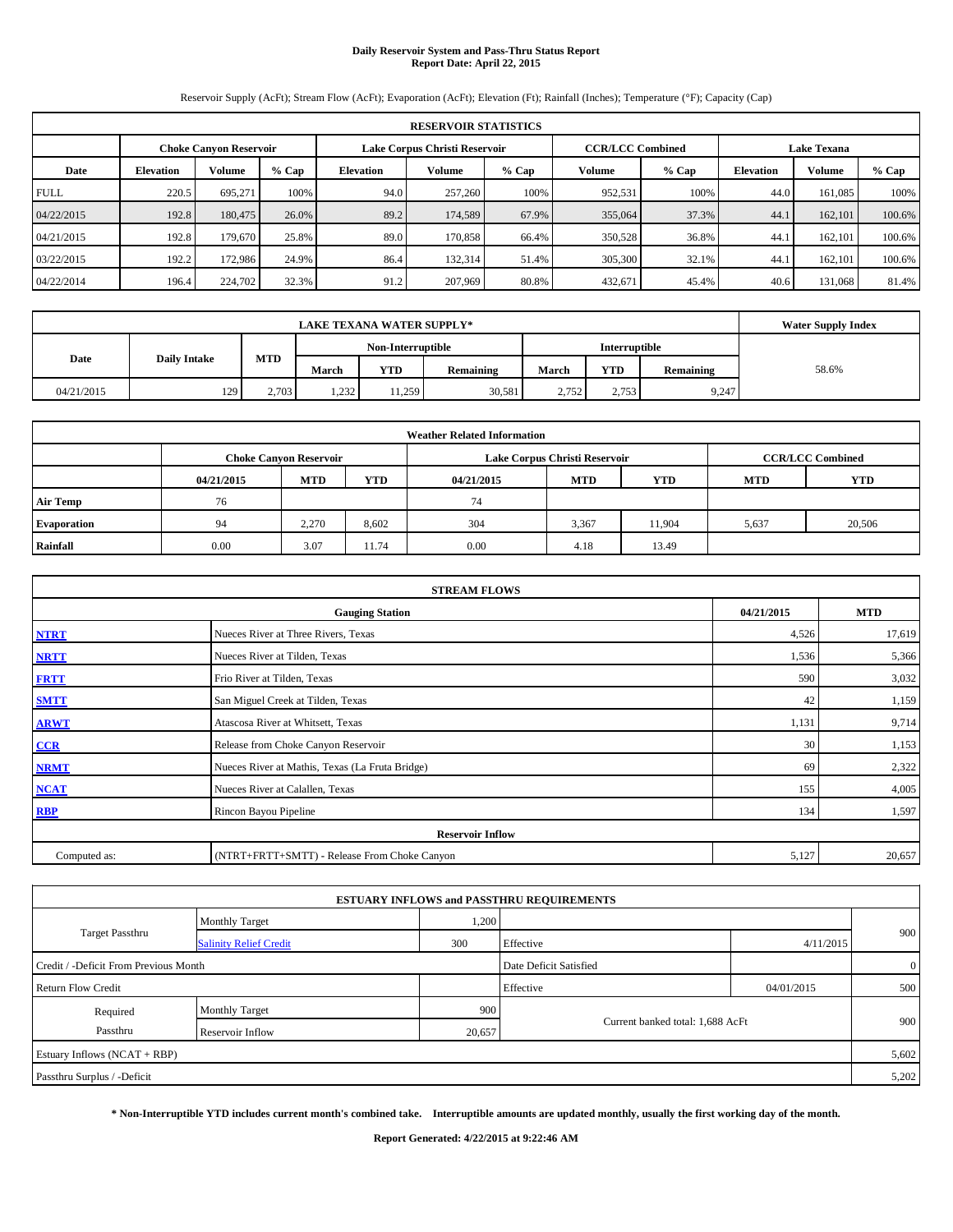# **Daily Reservoir System and Pass-Thru Status Report Report Date: April 22, 2015**

Reservoir Supply (AcFt); Stream Flow (AcFt); Evaporation (AcFt); Elevation (Ft); Rainfall (Inches); Temperature (°F); Capacity (Cap)

|             | <b>RESERVOIR STATISTICS</b>                                                                                     |               |         |                  |         |         |         |         |                  |               |         |  |  |  |  |
|-------------|-----------------------------------------------------------------------------------------------------------------|---------------|---------|------------------|---------|---------|---------|---------|------------------|---------------|---------|--|--|--|--|
|             | <b>CCR/LCC Combined</b><br><b>Lake Texana</b><br>Lake Corpus Christi Reservoir<br><b>Choke Canvon Reservoir</b> |               |         |                  |         |         |         |         |                  |               |         |  |  |  |  |
| Date        | <b>Elevation</b>                                                                                                | <b>Volume</b> | $%$ Cap | <b>Elevation</b> | Volume  | $%$ Cap | Volume  | $%$ Cap | <b>Elevation</b> | <b>Volume</b> | $%$ Cap |  |  |  |  |
| <b>FULL</b> | 220.5                                                                                                           | 695.271       | 100%    | 94.0             | 257,260 | 100%    | 952,531 | 100%    | 44.0             | 161.085       | 100%    |  |  |  |  |
| 04/22/2015  | 192.8                                                                                                           | 180,475       | 26.0%   | 89.2             | 174.589 | 67.9%   | 355,064 | 37.3%   | 44.1             | 162,101       | 100.6%  |  |  |  |  |
| 04/21/2015  | 192.8                                                                                                           | 179,670       | 25.8%   | 89.0             | 170,858 | 66.4%   | 350,528 | 36.8%   | 44.1             | 162.101       | 100.6%  |  |  |  |  |
| 03/22/2015  | 192.2                                                                                                           | 172,986       | 24.9%   | 86.4             | 132,314 | 51.4%   | 305,300 | 32.1%   | 44.1             | 162.101       | 100.6%  |  |  |  |  |
| 04/22/2014  | 196.4                                                                                                           | 224,702       | 32.3%   | 91.2             | 207,969 | 80.8%   | 432,671 | 45.4%   | 40.6             | 131.068       | 81.4%   |  |  |  |  |

|            | <b>LAKE TEXANA WATER SUPPLY*</b> |            |              |                   |           |       |               |           |       |  |  |
|------------|----------------------------------|------------|--------------|-------------------|-----------|-------|---------------|-----------|-------|--|--|
|            |                                  |            |              | Non-Interruptible |           |       | Interruptible |           |       |  |  |
| Date       | <b>Daily Intake</b>              | <b>MTD</b> | March        | <b>YTD</b>        | Remaining | March | <b>YTD</b>    | Remaining | 58.6% |  |  |
| 04/21/2015 | 129                              | 2,703      | 232<br>1,494 | 11.259            | 30,581    | 2.752 | 2,753         | 9,247     |       |  |  |

|                    |                                                                                           |            |            | <b>Weather Related Information</b> |            |            |            |            |  |  |  |  |
|--------------------|-------------------------------------------------------------------------------------------|------------|------------|------------------------------------|------------|------------|------------|------------|--|--|--|--|
|                    | <b>CCR/LCC Combined</b><br>Lake Corpus Christi Reservoir<br><b>Choke Canvon Reservoir</b> |            |            |                                    |            |            |            |            |  |  |  |  |
|                    | 04/21/2015                                                                                | <b>MTD</b> | <b>YTD</b> | 04/21/2015                         | <b>MTD</b> | <b>YTD</b> | <b>MTD</b> | <b>YTD</b> |  |  |  |  |
| <b>Air Temp</b>    | 76                                                                                        |            |            | 74                                 |            |            |            |            |  |  |  |  |
| <b>Evaporation</b> | 94                                                                                        | 2.270      | 8,602      | 304                                | 3,367      | 11.904     | 5,637      | 20,506     |  |  |  |  |
| Rainfall           | 0.00                                                                                      | 3.07       | 11.74      | 0.00                               | 4.18       | 13.49      |            |            |  |  |  |  |

|              | <b>STREAM FLOWS</b>                             |            |            |  |  |  |  |  |  |  |  |
|--------------|-------------------------------------------------|------------|------------|--|--|--|--|--|--|--|--|
|              | <b>Gauging Station</b>                          | 04/21/2015 | <b>MTD</b> |  |  |  |  |  |  |  |  |
| <b>NTRT</b>  | Nueces River at Three Rivers, Texas             | 4,526      | 17,619     |  |  |  |  |  |  |  |  |
| <b>NRTT</b>  | Nueces River at Tilden, Texas                   | 1,536      | 5,366      |  |  |  |  |  |  |  |  |
| <b>FRTT</b>  | Frio River at Tilden, Texas                     | 590        | 3,032      |  |  |  |  |  |  |  |  |
| <b>SMTT</b>  | San Miguel Creek at Tilden, Texas               | 42         | 1,159      |  |  |  |  |  |  |  |  |
| <b>ARWT</b>  | Atascosa River at Whitsett, Texas               | 1,131      | 9,714      |  |  |  |  |  |  |  |  |
| CCR          | Release from Choke Canyon Reservoir             | 30         | 1,153      |  |  |  |  |  |  |  |  |
| <b>NRMT</b>  | Nueces River at Mathis, Texas (La Fruta Bridge) | 69         | 2,322      |  |  |  |  |  |  |  |  |
| <b>NCAT</b>  | Nueces River at Calallen, Texas                 | 155        | 4,005      |  |  |  |  |  |  |  |  |
| <b>RBP</b>   | Rincon Bayou Pipeline                           | 134        | 1,597      |  |  |  |  |  |  |  |  |
|              | <b>Reservoir Inflow</b>                         |            |            |  |  |  |  |  |  |  |  |
| Computed as: | (NTRT+FRTT+SMTT) - Release From Choke Canyon    |            |            |  |  |  |  |  |  |  |  |

|                                       |                               |        | <b>ESTUARY INFLOWS and PASSTHRU REQUIREMENTS</b> |            |                |  |
|---------------------------------------|-------------------------------|--------|--------------------------------------------------|------------|----------------|--|
|                                       | <b>Monthly Target</b>         | 1,200  |                                                  |            |                |  |
| <b>Target Passthru</b>                | <b>Salinity Relief Credit</b> | 300    | Effective                                        | 4/11/2015  | 900            |  |
| Credit / -Deficit From Previous Month |                               |        | Date Deficit Satisfied                           |            | $\overline{0}$ |  |
| <b>Return Flow Credit</b>             |                               |        | Effective                                        | 04/01/2015 | 500            |  |
| Required                              | Monthly Target                | 900    |                                                  |            |                |  |
| Passthru                              | <b>Reservoir Inflow</b>       | 20,657 | Current banked total: 1,688 AcFt                 |            | 900            |  |
| Estuary Inflows (NCAT + RBP)          |                               |        |                                                  |            | 5,602          |  |
| Passthru Surplus / -Deficit           |                               |        |                                                  |            | 5,202          |  |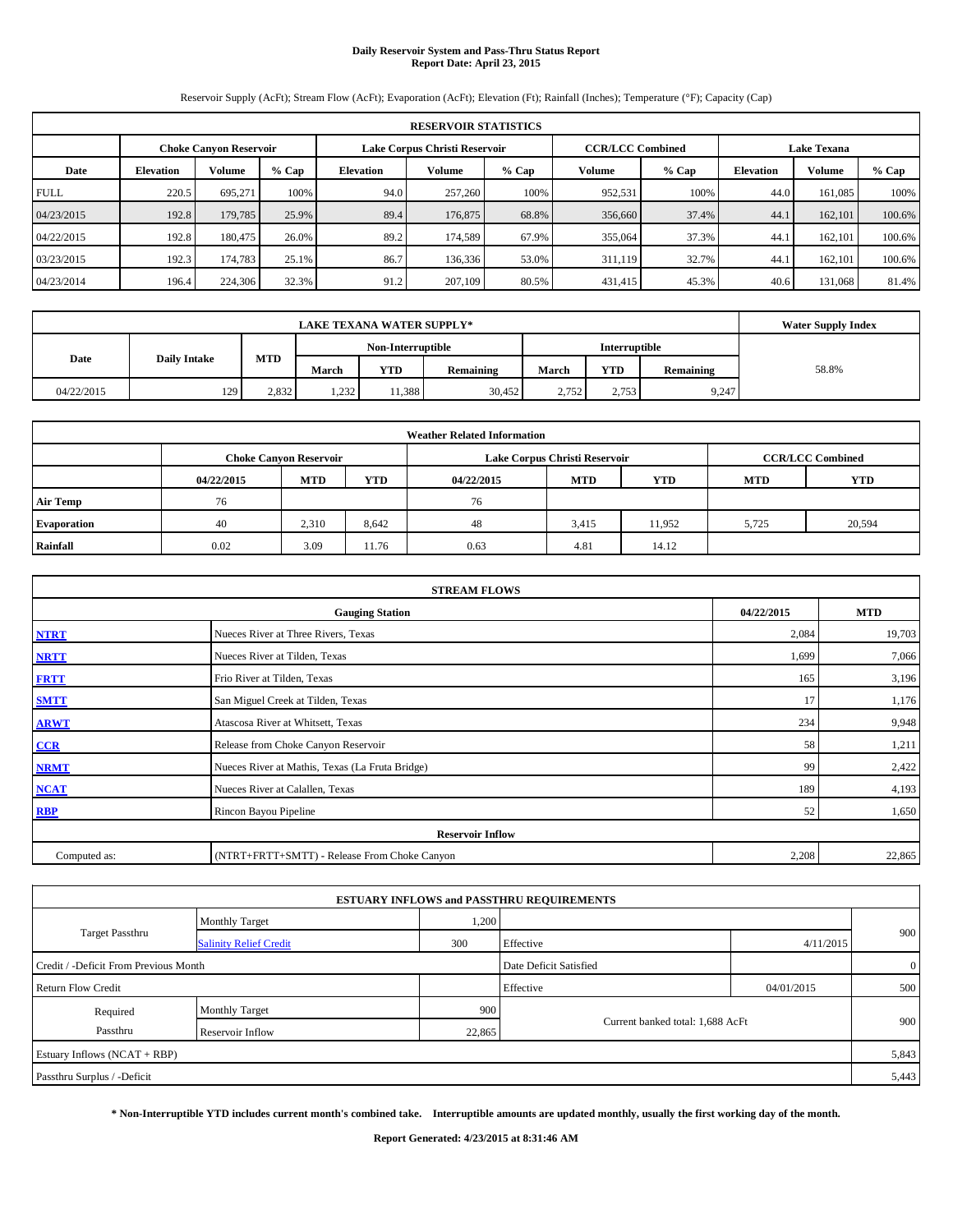# **Daily Reservoir System and Pass-Thru Status Report Report Date: April 23, 2015**

Reservoir Supply (AcFt); Stream Flow (AcFt); Evaporation (AcFt); Elevation (Ft); Rainfall (Inches); Temperature (°F); Capacity (Cap)

|             | <b>RESERVOIR STATISTICS</b>   |               |         |                               |         |         |                         |         |                    |               |         |  |  |
|-------------|-------------------------------|---------------|---------|-------------------------------|---------|---------|-------------------------|---------|--------------------|---------------|---------|--|--|
|             | <b>Choke Canvon Reservoir</b> |               |         | Lake Corpus Christi Reservoir |         |         | <b>CCR/LCC Combined</b> |         | <b>Lake Texana</b> |               |         |  |  |
| Date        | <b>Elevation</b>              | <b>Volume</b> | $%$ Cap | <b>Elevation</b>              | Volume  | $%$ Cap | Volume                  | $%$ Cap | <b>Elevation</b>   | <b>Volume</b> | $%$ Cap |  |  |
| <b>FULL</b> | 220.5                         | 695.271       | 100%    | 94.0                          | 257,260 | 100%    | 952,531                 | 100%    | 44.0               | 161.085       | 100%    |  |  |
| 04/23/2015  | 192.8                         | 179,785       | 25.9%   | 89.4                          | 176,875 | 68.8%   | 356,660                 | 37.4%   | 44.1               | 162,101       | 100.6%  |  |  |
| 04/22/2015  | 192.8                         | 180,475       | 26.0%   | 89.2                          | 174.589 | 67.9%   | 355,064                 | 37.3%   | 44.1               | 162.101       | 100.6%  |  |  |
| 03/23/2015  | 192.3                         | 174,783       | 25.1%   | 86.7                          | 136.336 | 53.0%   | 311,119                 | 32.7%   | 44.1               | 162.101       | 100.6%  |  |  |
| 04/23/2014  | 196.4                         | 224,306       | 32.3%   | 91.2                          | 207,109 | 80.5%   | 431,415                 | 45.3%   | 40.6               | 131.068       | 81.4%   |  |  |

| <b>LAKE TEXANA WATER SUPPLY*</b> |                     |            |                   |            |           |       |               |           | <b>Water Supply Index</b> |
|----------------------------------|---------------------|------------|-------------------|------------|-----------|-------|---------------|-----------|---------------------------|
|                                  |                     |            | Non-Interruptible |            |           |       | Interruptible |           |                           |
| Date                             | <b>Daily Intake</b> | <b>MTD</b> | March             | <b>YTD</b> | Remaining | March | <b>YTD</b>    | Remaining | 58.8%                     |
| 04/22/2015                       | 129                 | 2,832      | 232<br>1,232      | 11,388     | 30.452    | 2.752 | 2,753         | 9,247     |                           |

| <b>Weather Related Information</b> |            |                               |            |            |                               |                         |            |            |  |  |  |
|------------------------------------|------------|-------------------------------|------------|------------|-------------------------------|-------------------------|------------|------------|--|--|--|
|                                    |            | <b>Choke Canvon Reservoir</b> |            |            | Lake Corpus Christi Reservoir | <b>CCR/LCC Combined</b> |            |            |  |  |  |
|                                    | 04/22/2015 | <b>MTD</b>                    | <b>YTD</b> | 04/22/2015 | <b>MTD</b>                    | <b>YTD</b>              | <b>MTD</b> | <b>YTD</b> |  |  |  |
| <b>Air Temp</b>                    | 76         |                               |            | 76         |                               |                         |            |            |  |  |  |
| <b>Evaporation</b>                 | 40         | 2.310                         | 8,642      | 48         | 3,415                         | 11.952                  | 5,725      | 20,594     |  |  |  |
| Rainfall                           | 0.02       | 3.09                          | 11.76      | 0.63       | 4.81                          | 14.12                   |            |            |  |  |  |

|              | <b>STREAM FLOWS</b>                             |            |            |  |  |  |  |  |  |  |  |
|--------------|-------------------------------------------------|------------|------------|--|--|--|--|--|--|--|--|
|              | <b>Gauging Station</b>                          | 04/22/2015 | <b>MTD</b> |  |  |  |  |  |  |  |  |
| <b>NTRT</b>  | Nueces River at Three Rivers, Texas             | 2,084      | 19,703     |  |  |  |  |  |  |  |  |
| <b>NRTT</b>  | Nueces River at Tilden, Texas                   | 1,699      | 7,066      |  |  |  |  |  |  |  |  |
| <b>FRTT</b>  | Frio River at Tilden, Texas                     | 165        | 3,196      |  |  |  |  |  |  |  |  |
| <b>SMTT</b>  | San Miguel Creek at Tilden, Texas               | 17         | 1,176      |  |  |  |  |  |  |  |  |
| <b>ARWT</b>  | Atascosa River at Whitsett, Texas               | 234        | 9,948      |  |  |  |  |  |  |  |  |
| CCR          | Release from Choke Canyon Reservoir             | 58         | 1,211      |  |  |  |  |  |  |  |  |
| <b>NRMT</b>  | Nueces River at Mathis, Texas (La Fruta Bridge) | 99         | 2,422      |  |  |  |  |  |  |  |  |
| <b>NCAT</b>  | Nueces River at Calallen, Texas                 | 189        | 4,193      |  |  |  |  |  |  |  |  |
| <b>RBP</b>   | Rincon Bayou Pipeline                           | 52         | 1,650      |  |  |  |  |  |  |  |  |
|              | <b>Reservoir Inflow</b>                         |            |            |  |  |  |  |  |  |  |  |
| Computed as: | (NTRT+FRTT+SMTT) - Release From Choke Canyon    |            |            |  |  |  |  |  |  |  |  |

|                                       |                               |        | <b>ESTUARY INFLOWS and PASSTHRU REQUIREMENTS</b> |            |              |
|---------------------------------------|-------------------------------|--------|--------------------------------------------------|------------|--------------|
|                                       | <b>Monthly Target</b>         | 1,200  |                                                  |            |              |
| Target Passthru                       | <b>Salinity Relief Credit</b> | 300    | Effective                                        | 4/11/2015  | 900          |
| Credit / -Deficit From Previous Month |                               |        | Date Deficit Satisfied                           |            | $\mathbf{0}$ |
| <b>Return Flow Credit</b>             |                               |        | Effective                                        | 04/01/2015 | 500          |
| Required                              | <b>Monthly Target</b>         | 900    |                                                  |            |              |
| Passthru                              | <b>Reservoir Inflow</b>       | 22,865 | Current banked total: 1,688 AcFt                 |            | 900          |
| Estuary Inflows (NCAT + RBP)          |                               |        |                                                  |            | 5,843        |
| Passthru Surplus / -Deficit           |                               |        |                                                  |            | 5,443        |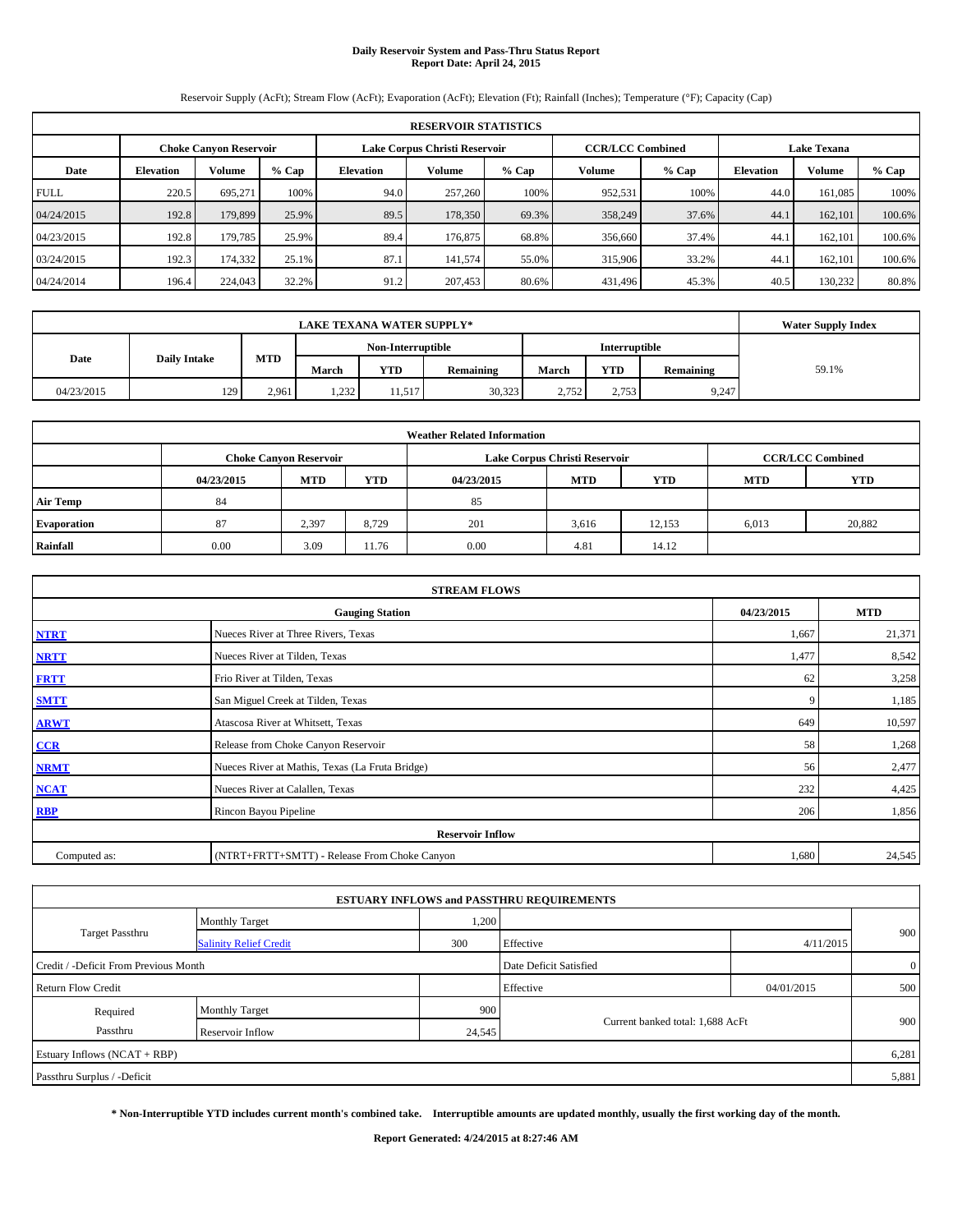# **Daily Reservoir System and Pass-Thru Status Report Report Date: April 24, 2015**

Reservoir Supply (AcFt); Stream Flow (AcFt); Evaporation (AcFt); Elevation (Ft); Rainfall (Inches); Temperature (°F); Capacity (Cap)

|             | <b>RESERVOIR STATISTICS</b>   |               |         |                               |         |         |                         |         |                    |               |         |  |  |
|-------------|-------------------------------|---------------|---------|-------------------------------|---------|---------|-------------------------|---------|--------------------|---------------|---------|--|--|
|             | <b>Choke Canvon Reservoir</b> |               |         | Lake Corpus Christi Reservoir |         |         | <b>CCR/LCC Combined</b> |         | <b>Lake Texana</b> |               |         |  |  |
| Date        | <b>Elevation</b>              | <b>Volume</b> | $%$ Cap | <b>Elevation</b>              | Volume  | $%$ Cap | Volume                  | $%$ Cap | <b>Elevation</b>   | <b>Volume</b> | $%$ Cap |  |  |
| <b>FULL</b> | 220.5                         | 695.271       | 100%    | 94.0                          | 257,260 | 100%    | 952,531                 | 100%    | 44.0               | 161.085       | 100%    |  |  |
| 04/24/2015  | 192.8                         | 179,899       | 25.9%   | 89.5                          | 178,350 | 69.3%   | 358,249                 | 37.6%   | 44.1               | 162,101       | 100.6%  |  |  |
| 04/23/2015  | 192.8                         | 179,785       | 25.9%   | 89.4                          | 176,875 | 68.8%   | 356,660                 | 37.4%   | 44.1               | 162.101       | 100.6%  |  |  |
| 03/24/2015  | 192.3                         | 174,332       | 25.1%   | 87.1                          | 141.574 | 55.0%   | 315,906                 | 33.2%   | 44.1               | 162.101       | 100.6%  |  |  |
| 04/24/2014  | 196.4                         | 224,043       | 32.2%   | 91.2                          | 207,453 | 80.6%   | 431,496                 | 45.3%   | 40.5               | 130,232       | 80.8%   |  |  |

| <b>LAKE TEXANA WATER SUPPLY*</b> |                     |            |       |            |                   |       |               |           | <b>Water Supply Index</b> |
|----------------------------------|---------------------|------------|-------|------------|-------------------|-------|---------------|-----------|---------------------------|
|                                  |                     |            |       |            | Non-Interruptible |       | Interruptible |           |                           |
| Date                             | <b>Daily Intake</b> | <b>MTD</b> | March | <b>YTD</b> | <b>Remaining</b>  | March | <b>YTD</b>    | Remaining | 59.1%                     |
| 04/23/2015                       | 129                 | 2.961      | 1,232 | 11,517     | 30,323            | 2.752 | 2,753         | 9,247     |                           |

| <b>Weather Related Information</b> |            |                               |            |            |                               |                         |            |            |  |  |  |
|------------------------------------|------------|-------------------------------|------------|------------|-------------------------------|-------------------------|------------|------------|--|--|--|
|                                    |            | <b>Choke Canvon Reservoir</b> |            |            | Lake Corpus Christi Reservoir | <b>CCR/LCC Combined</b> |            |            |  |  |  |
|                                    | 04/23/2015 | <b>MTD</b>                    | <b>YTD</b> | 04/23/2015 | <b>MTD</b>                    | <b>YTD</b>              | <b>MTD</b> | <b>YTD</b> |  |  |  |
| <b>Air Temp</b>                    | 84         |                               |            | 85         |                               |                         |            |            |  |  |  |
| <b>Evaporation</b>                 | 87         | 2,397                         | 8.729      | 201        | 3,616                         | 12,153                  | 6,013      | 20,882     |  |  |  |
| Rainfall                           | 0.00       | 3.09                          | 11.76      | 0.00       | 4.81                          | 14.12                   |            |            |  |  |  |

|              | <b>STREAM FLOWS</b>                             |            |            |  |  |  |  |  |  |  |  |
|--------------|-------------------------------------------------|------------|------------|--|--|--|--|--|--|--|--|
|              | <b>Gauging Station</b>                          | 04/23/2015 | <b>MTD</b> |  |  |  |  |  |  |  |  |
| <b>NTRT</b>  | Nueces River at Three Rivers, Texas             | 1,667      | 21,371     |  |  |  |  |  |  |  |  |
| <b>NRTT</b>  | Nueces River at Tilden, Texas                   | 1,477      | 8,542      |  |  |  |  |  |  |  |  |
| <b>FRTT</b>  | Frio River at Tilden, Texas                     | 62         | 3,258      |  |  |  |  |  |  |  |  |
| <b>SMTT</b>  | San Miguel Creek at Tilden, Texas               | 9          | 1,185      |  |  |  |  |  |  |  |  |
| <b>ARWT</b>  | Atascosa River at Whitsett, Texas               | 649        | 10,597     |  |  |  |  |  |  |  |  |
| CCR          | Release from Choke Canyon Reservoir             | 58         | 1,268      |  |  |  |  |  |  |  |  |
| <b>NRMT</b>  | Nueces River at Mathis, Texas (La Fruta Bridge) | 56         | 2,477      |  |  |  |  |  |  |  |  |
| <b>NCAT</b>  | Nueces River at Calallen, Texas                 | 232        | 4,425      |  |  |  |  |  |  |  |  |
| <b>RBP</b>   | Rincon Bayou Pipeline                           | 206        | 1,856      |  |  |  |  |  |  |  |  |
|              | <b>Reservoir Inflow</b>                         |            |            |  |  |  |  |  |  |  |  |
| Computed as: | (NTRT+FRTT+SMTT) - Release From Choke Canyon    |            |            |  |  |  |  |  |  |  |  |

| <b>ESTUARY INFLOWS and PASSTHRU REQUIREMENTS</b> |                               |        |                                  |            |                |  |  |  |  |  |  |
|--------------------------------------------------|-------------------------------|--------|----------------------------------|------------|----------------|--|--|--|--|--|--|
|                                                  | <b>Monthly Target</b>         | 1,200  |                                  |            |                |  |  |  |  |  |  |
| Target Passthru                                  | <b>Salinity Relief Credit</b> | 300    | Effective                        | 4/11/2015  | 900            |  |  |  |  |  |  |
| Credit / -Deficit From Previous Month            |                               |        | Date Deficit Satisfied           |            | $\overline{0}$ |  |  |  |  |  |  |
| <b>Return Flow Credit</b>                        |                               |        | Effective                        | 04/01/2015 | 500            |  |  |  |  |  |  |
| Required                                         | <b>Monthly Target</b>         | 900    |                                  |            |                |  |  |  |  |  |  |
| Passthru                                         | Reservoir Inflow              | 24,545 | Current banked total: 1,688 AcFt |            | 900            |  |  |  |  |  |  |
| Estuary Inflows (NCAT + RBP)                     |                               |        |                                  |            | 6,281          |  |  |  |  |  |  |
| Passthru Surplus / -Deficit                      |                               |        |                                  |            | 5,881          |  |  |  |  |  |  |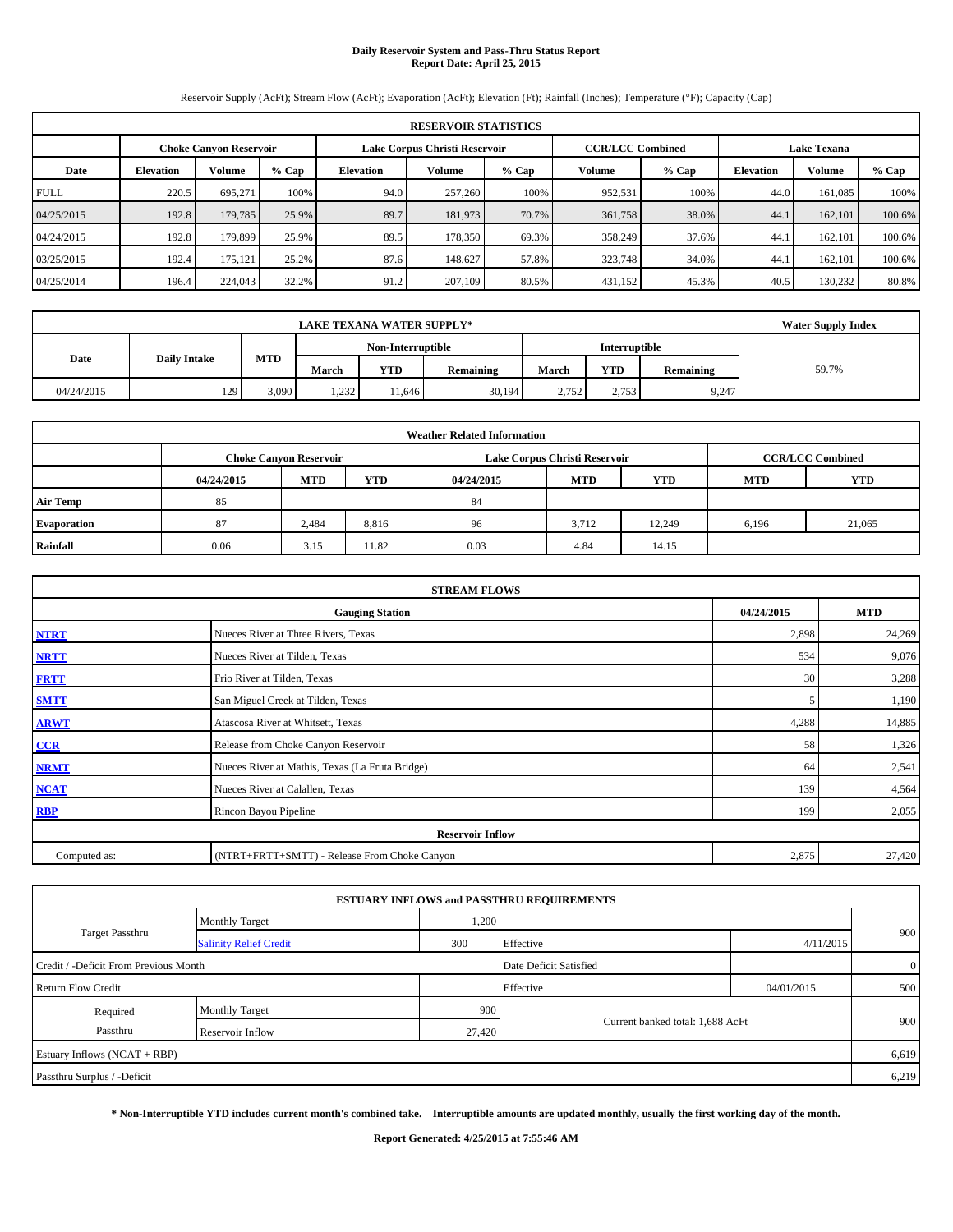# **Daily Reservoir System and Pass-Thru Status Report Report Date: April 25, 2015**

Reservoir Supply (AcFt); Stream Flow (AcFt); Evaporation (AcFt); Elevation (Ft); Rainfall (Inches); Temperature (°F); Capacity (Cap)

|             | <b>RESERVOIR STATISTICS</b>                                                                                     |         |         |                  |         |         |         |       |                  |               |         |  |
|-------------|-----------------------------------------------------------------------------------------------------------------|---------|---------|------------------|---------|---------|---------|-------|------------------|---------------|---------|--|
|             | <b>CCR/LCC Combined</b><br><b>Choke Canvon Reservoir</b><br>Lake Corpus Christi Reservoir<br><b>Lake Texana</b> |         |         |                  |         |         |         |       |                  |               |         |  |
| Date        | <b>Elevation</b>                                                                                                | Volume  | $%$ Cap | <b>Elevation</b> | Volume  | $%$ Cap | Volume  | % Cap | <b>Elevation</b> | <b>Volume</b> | $%$ Cap |  |
| <b>FULL</b> | 220.5                                                                                                           | 695.271 | 100%    | 94.0             | 257,260 | 100%    | 952,531 | 100%  | 44.0             | 161.085       | 100%    |  |
| 04/25/2015  | 192.8                                                                                                           | 179,785 | 25.9%   | 89.7             | 181,973 | 70.7%   | 361,758 | 38.0% | 44.1             | 162,101       | 100.6%  |  |
| 04/24/2015  | 192.8                                                                                                           | 179,899 | 25.9%   | 89.5             | 178,350 | 69.3%   | 358,249 | 37.6% | 44.1             | 162,101       | 100.6%  |  |
| 03/25/2015  | 192.4                                                                                                           | 175,121 | 25.2%   | 87.6             | 148.627 | 57.8%   | 323,748 | 34.0% | 44.1             | 162.101       | 100.6%  |  |
| 04/25/2014  | 196.4                                                                                                           | 224,043 | 32.2%   | 91.2             | 207,109 | 80.5%   | 431,152 | 45.3% | 40.5             | 130,232       | 80.8%   |  |

|                             | <b>LAKE TEXANA WATER SUPPLY*</b> |            |                   |            |           |               |            |           |       |  |  |
|-----------------------------|----------------------------------|------------|-------------------|------------|-----------|---------------|------------|-----------|-------|--|--|
|                             |                                  |            | Non-Interruptible |            |           | Interruptible |            |           |       |  |  |
| Date<br><b>Daily Intake</b> |                                  | <b>MTD</b> | March             | <b>YTD</b> | Remaining | March         | <b>YTD</b> | Remaining | 59.7% |  |  |
| 04/24/2015                  | 129                              | 3,090      | 232<br>1,232      | 11.646     | 30,194    | 2.752         | 2,753      | 9,247     |       |  |  |

| <b>Weather Related Information</b> |                                                                                  |                               |       |      |                               |                         |       |            |  |  |  |
|------------------------------------|----------------------------------------------------------------------------------|-------------------------------|-------|------|-------------------------------|-------------------------|-------|------------|--|--|--|
|                                    |                                                                                  | <b>Choke Canvon Reservoir</b> |       |      | Lake Corpus Christi Reservoir | <b>CCR/LCC Combined</b> |       |            |  |  |  |
|                                    | <b>YTD</b><br><b>MTD</b><br><b>MTD</b><br><b>YTD</b><br>04/24/2015<br>04/24/2015 |                               |       |      |                               |                         |       | <b>YTD</b> |  |  |  |
| <b>Air Temp</b>                    | 85                                                                               |                               |       | 84   |                               |                         |       |            |  |  |  |
| <b>Evaporation</b>                 | 87                                                                               | 2,484                         | 8,816 | 96   | 3.712                         | 12.249                  | 6,196 | 21,065     |  |  |  |
| Rainfall                           | 0.06                                                                             | 3.15                          | 11.82 | 0.03 | 4.84                          | 14.15                   |       |            |  |  |  |

| <b>STREAM FLOWS</b> |                                                    |       |        |  |  |  |  |  |  |
|---------------------|----------------------------------------------------|-------|--------|--|--|--|--|--|--|
|                     | 04/24/2015<br><b>MTD</b><br><b>Gauging Station</b> |       |        |  |  |  |  |  |  |
| <b>NTRT</b>         | Nueces River at Three Rivers, Texas                | 2,898 | 24,269 |  |  |  |  |  |  |
| <b>NRTT</b>         | Nueces River at Tilden, Texas                      | 534   | 9,076  |  |  |  |  |  |  |
| <b>FRTT</b>         | Frio River at Tilden, Texas                        | 30    | 3,288  |  |  |  |  |  |  |
| <b>SMTT</b>         | San Miguel Creek at Tilden, Texas                  | 5     | 1,190  |  |  |  |  |  |  |
| <b>ARWT</b>         | Atascosa River at Whitsett, Texas                  | 4,288 | 14,885 |  |  |  |  |  |  |
| CCR                 | Release from Choke Canyon Reservoir                | 58    | 1,326  |  |  |  |  |  |  |
| <b>NRMT</b>         | Nueces River at Mathis, Texas (La Fruta Bridge)    | 64    | 2,541  |  |  |  |  |  |  |
| <b>NCAT</b>         | Nueces River at Calallen, Texas                    | 139   | 4,564  |  |  |  |  |  |  |
| <b>RBP</b>          | Rincon Bayou Pipeline                              | 199   | 2,055  |  |  |  |  |  |  |
|                     | <b>Reservoir Inflow</b>                            |       |        |  |  |  |  |  |  |
| Computed as:        | (NTRT+FRTT+SMTT) - Release From Choke Canyon       |       |        |  |  |  |  |  |  |

|                                       |                               |        | <b>ESTUARY INFLOWS and PASSTHRU REQUIREMENTS</b> |            |                |
|---------------------------------------|-------------------------------|--------|--------------------------------------------------|------------|----------------|
|                                       | <b>Monthly Target</b>         | 1,200  |                                                  |            |                |
| <b>Target Passthru</b>                | <b>Salinity Relief Credit</b> | 300    | Effective                                        | 4/11/2015  | 900            |
| Credit / -Deficit From Previous Month |                               |        | Date Deficit Satisfied                           |            | $\overline{0}$ |
| <b>Return Flow Credit</b>             |                               |        | Effective                                        | 04/01/2015 | 500            |
| Required                              | Monthly Target                | 900    |                                                  |            |                |
| Passthru                              | <b>Reservoir Inflow</b>       | 27,420 | Current banked total: 1,688 AcFt                 |            | 900            |
| Estuary Inflows (NCAT + RBP)          |                               |        |                                                  |            | 6,619          |
| Passthru Surplus / -Deficit           |                               |        |                                                  |            | 6,219          |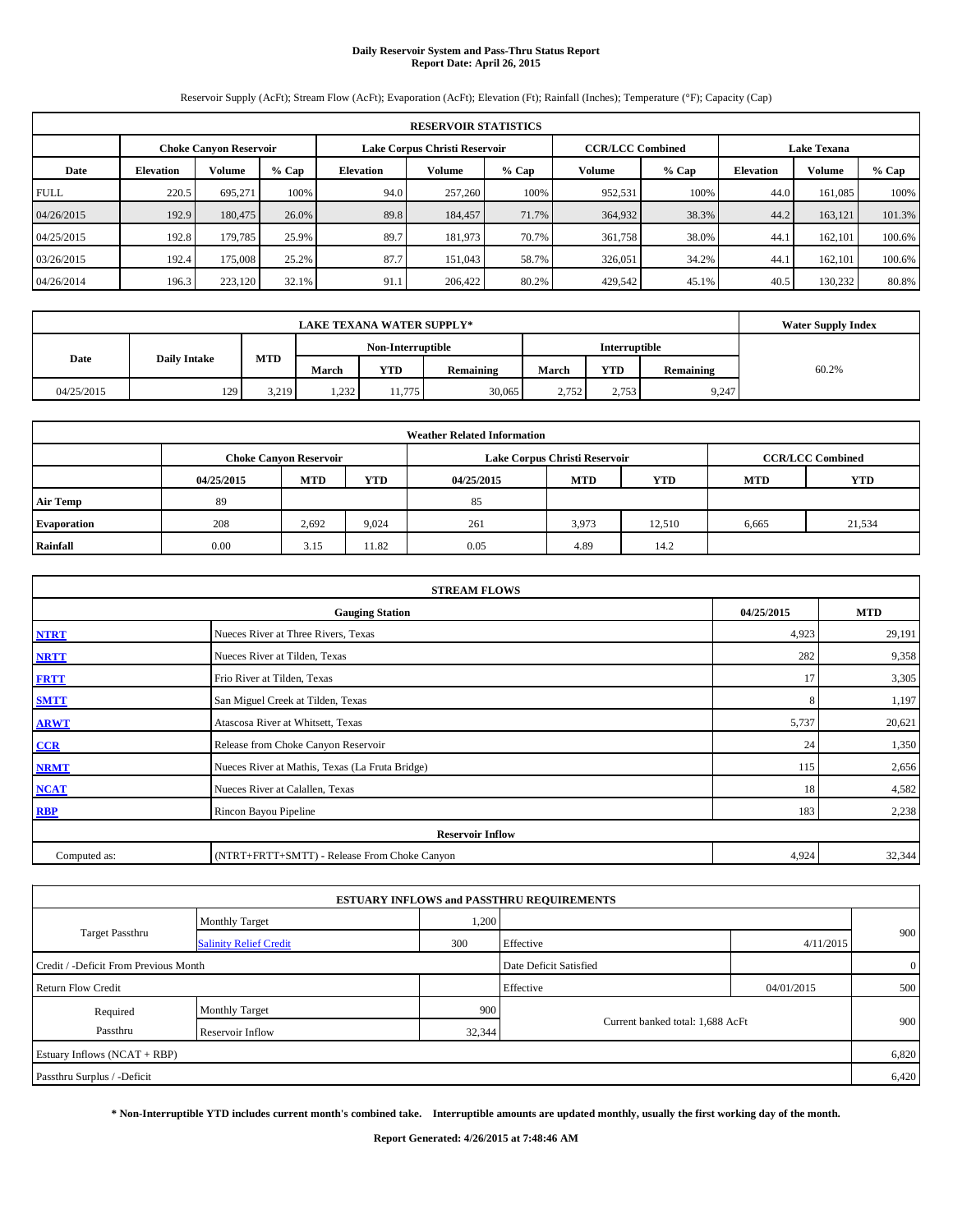# **Daily Reservoir System and Pass-Thru Status Report Report Date: April 26, 2015**

Reservoir Supply (AcFt); Stream Flow (AcFt); Evaporation (AcFt); Elevation (Ft); Rainfall (Inches); Temperature (°F); Capacity (Cap)

| <b>RESERVOIR STATISTICS</b> |                                                                                                                 |               |         |                  |         |         |         |         |                  |               |         |  |
|-----------------------------|-----------------------------------------------------------------------------------------------------------------|---------------|---------|------------------|---------|---------|---------|---------|------------------|---------------|---------|--|
|                             | <b>CCR/LCC Combined</b><br><b>Lake Texana</b><br>Lake Corpus Christi Reservoir<br><b>Choke Canvon Reservoir</b> |               |         |                  |         |         |         |         |                  |               |         |  |
| Date                        | <b>Elevation</b>                                                                                                | <b>Volume</b> | $%$ Cap | <b>Elevation</b> | Volume  | $%$ Cap | Volume  | $%$ Cap | <b>Elevation</b> | <b>Volume</b> | $%$ Cap |  |
| <b>FULL</b>                 | 220.5                                                                                                           | 695.271       | 100%    | 94.0             | 257,260 | 100%    | 952,531 | 100%    | 44.0             | 161.085       | 100%    |  |
| 04/26/2015                  | 192.9                                                                                                           | 180,475       | 26.0%   | 89.8             | 184,457 | 71.7%   | 364,932 | 38.3%   | 44.2             | 163,121       | 101.3%  |  |
| 04/25/2015                  | 192.8                                                                                                           | 179,785       | 25.9%   | 89.7             | 181.973 | 70.7%   | 361,758 | 38.0%   | 44.1             | 162.101       | 100.6%  |  |
| 03/26/2015                  | 192.4                                                                                                           | 175,008       | 25.2%   | 87.7             | 151,043 | 58.7%   | 326,051 | 34.2%   | 44.1             | 162.101       | 100.6%  |  |
| 04/26/2014                  | 196.3                                                                                                           | 223,120       | 32.1%   | 91.1             | 206,422 | 80.2%   | 429,542 | 45.1%   | 40.5             | 130,232       | 80.8%   |  |

|                             | <b>LAKE TEXANA WATER SUPPLY*</b> |            |                   |            |           |               |            |           |       |  |  |
|-----------------------------|----------------------------------|------------|-------------------|------------|-----------|---------------|------------|-----------|-------|--|--|
|                             |                                  |            | Non-Interruptible |            |           | Interruptible |            |           |       |  |  |
| Date<br><b>Daily Intake</b> |                                  | <b>MTD</b> | March             | <b>YTD</b> | Remaining | March         | <b>YTD</b> | Remaining | 60.2% |  |  |
| 04/25/2015                  | 129                              | 3,219      | 232<br>1,494      | 11.775     | 30.065    | 2.752         | 2,753      | 9,247     |       |  |  |

| <b>Weather Related Information</b> |            |                                                                    |       |      |                               |        |                         |        |  |  |  |
|------------------------------------|------------|--------------------------------------------------------------------|-------|------|-------------------------------|--------|-------------------------|--------|--|--|--|
|                                    |            | <b>Choke Canvon Reservoir</b>                                      |       |      | Lake Corpus Christi Reservoir |        | <b>CCR/LCC Combined</b> |        |  |  |  |
|                                    | 04/25/2015 | <b>YTD</b><br><b>MTD</b><br><b>MTD</b><br><b>YTD</b><br>04/25/2015 |       |      |                               |        |                         |        |  |  |  |
| <b>Air Temp</b>                    | 89         |                                                                    |       | 85   |                               |        |                         |        |  |  |  |
| <b>Evaporation</b>                 | 208        | 2,692                                                              | 9,024 | 261  | 3,973                         | 12.510 | 6,665                   | 21,534 |  |  |  |
| Rainfall                           | 0.00       | 3.15                                                               | 11.82 | 0.05 | 4.89                          | 14.2   |                         |        |  |  |  |

| <b>STREAM FLOWS</b> |                                                    |       |        |  |  |  |  |  |  |
|---------------------|----------------------------------------------------|-------|--------|--|--|--|--|--|--|
|                     | 04/25/2015<br><b>MTD</b><br><b>Gauging Station</b> |       |        |  |  |  |  |  |  |
| <b>NTRT</b>         | Nueces River at Three Rivers, Texas                | 4,923 | 29,191 |  |  |  |  |  |  |
| <b>NRTT</b>         | Nueces River at Tilden, Texas                      | 282   | 9,358  |  |  |  |  |  |  |
| <b>FRTT</b>         | Frio River at Tilden, Texas                        | 17    | 3,305  |  |  |  |  |  |  |
| <b>SMTT</b>         | San Miguel Creek at Tilden, Texas                  | 8     | 1,197  |  |  |  |  |  |  |
| <b>ARWT</b>         | Atascosa River at Whitsett, Texas                  | 5,737 | 20,621 |  |  |  |  |  |  |
| CCR                 | Release from Choke Canyon Reservoir                | 24    | 1,350  |  |  |  |  |  |  |
| <b>NRMT</b>         | Nueces River at Mathis, Texas (La Fruta Bridge)    | 115   | 2,656  |  |  |  |  |  |  |
| <b>NCAT</b>         | Nueces River at Calallen, Texas                    | 18    | 4,582  |  |  |  |  |  |  |
| <b>RBP</b>          | Rincon Bayou Pipeline                              | 183   | 2,238  |  |  |  |  |  |  |
|                     | <b>Reservoir Inflow</b>                            |       |        |  |  |  |  |  |  |
| Computed as:        | (NTRT+FRTT+SMTT) - Release From Choke Canyon       |       |        |  |  |  |  |  |  |

|                                       |                               |        | <b>ESTUARY INFLOWS and PASSTHRU REQUIREMENTS</b> |            |                |  |
|---------------------------------------|-------------------------------|--------|--------------------------------------------------|------------|----------------|--|
|                                       | <b>Monthly Target</b>         | 1,200  |                                                  |            |                |  |
| <b>Target Passthru</b>                | <b>Salinity Relief Credit</b> | 300    | Effective                                        | 4/11/2015  | 900            |  |
| Credit / -Deficit From Previous Month |                               |        | Date Deficit Satisfied                           |            | $\overline{0}$ |  |
| <b>Return Flow Credit</b>             |                               |        | Effective                                        | 04/01/2015 | 500            |  |
| Required                              | <b>Monthly Target</b>         | 900    |                                                  |            |                |  |
| Passthru                              | <b>Reservoir Inflow</b>       | 32,344 | Current banked total: 1,688 AcFt                 |            | 900            |  |
| Estuary Inflows (NCAT + RBP)          |                               |        |                                                  |            | 6,820          |  |
| Passthru Surplus / -Deficit           |                               |        |                                                  |            | 6,420          |  |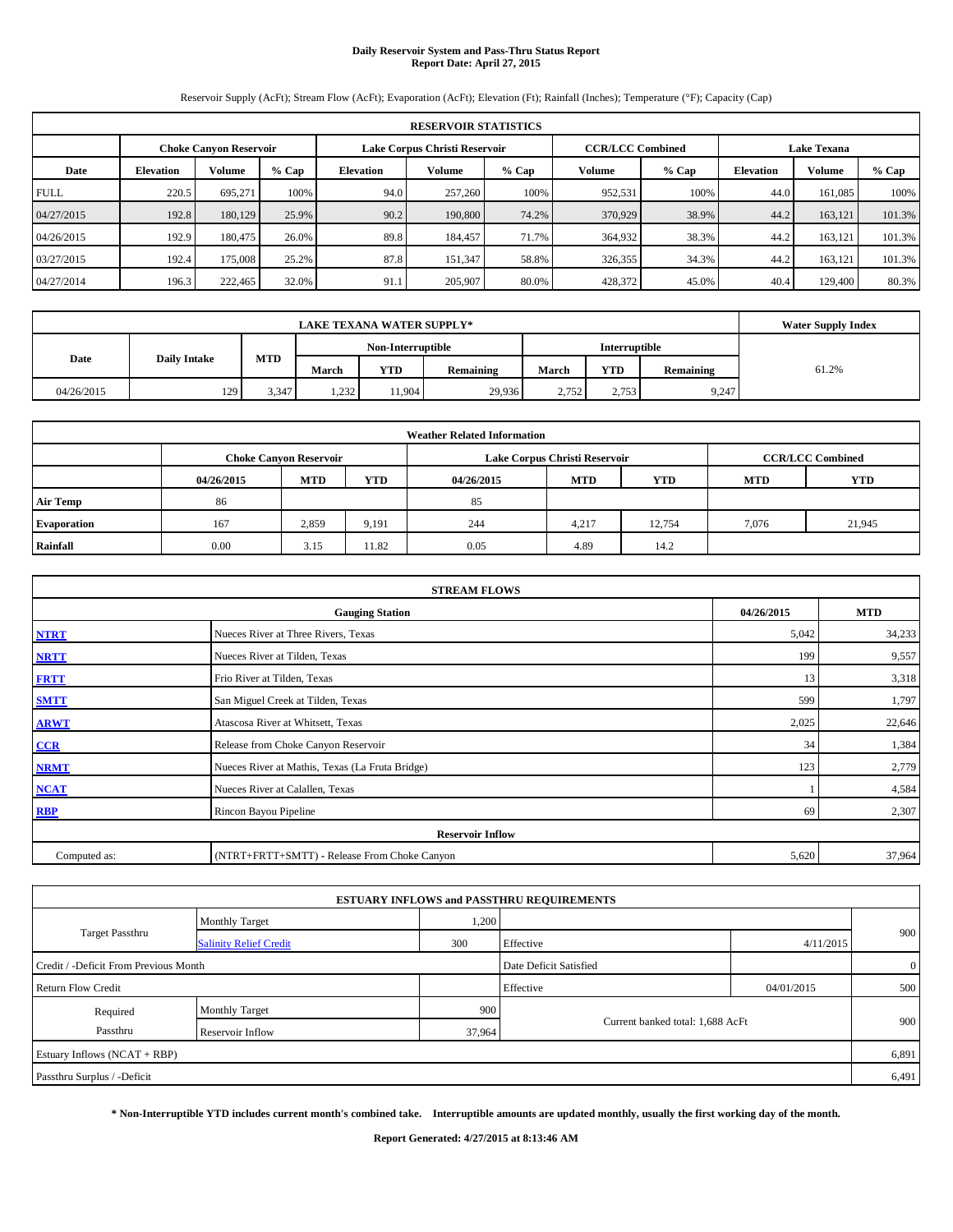# **Daily Reservoir System and Pass-Thru Status Report Report Date: April 27, 2015**

Reservoir Supply (AcFt); Stream Flow (AcFt); Evaporation (AcFt); Elevation (Ft); Rainfall (Inches); Temperature (°F); Capacity (Cap)

| <b>RESERVOIR STATISTICS</b> |                                                                                                                 |               |         |                  |         |         |         |         |                  |               |         |  |
|-----------------------------|-----------------------------------------------------------------------------------------------------------------|---------------|---------|------------------|---------|---------|---------|---------|------------------|---------------|---------|--|
|                             | <b>CCR/LCC Combined</b><br><b>Lake Texana</b><br>Lake Corpus Christi Reservoir<br><b>Choke Canvon Reservoir</b> |               |         |                  |         |         |         |         |                  |               |         |  |
| Date                        | <b>Elevation</b>                                                                                                | <b>Volume</b> | $%$ Cap | <b>Elevation</b> | Volume  | $%$ Cap | Volume  | $%$ Cap | <b>Elevation</b> | <b>Volume</b> | $%$ Cap |  |
| <b>FULL</b>                 | 220.5                                                                                                           | 695.271       | 100%    | 94.0             | 257,260 | 100%    | 952,531 | 100%    | 44.0             | 161.085       | 100%    |  |
| 04/27/2015                  | 192.8                                                                                                           | 180,129       | 25.9%   | 90.2             | 190,800 | 74.2%   | 370,929 | 38.9%   | 44.2             | 163,121       | 101.3%  |  |
| 04/26/2015                  | 192.9                                                                                                           | 180,475       | 26.0%   | 89.8             | 184,457 | 71.7%   | 364,932 | 38.3%   | 44.2             | 163.121       | 101.3%  |  |
| 03/27/2015                  | 192.4                                                                                                           | 175,008       | 25.2%   | 87.8             | 151.347 | 58.8%   | 326,355 | 34.3%   | 44.2             | 163,121       | 101.3%  |  |
| 04/27/2014                  | 196.3                                                                                                           | 222,465       | 32.0%   | 91.1             | 205,907 | 80.0%   | 428,372 | 45.0%   | 40.4             | 129,400       | 80.3%   |  |

|                             | <b>LAKE TEXANA WATER SUPPLY*</b> |            |                   |            |                  |               |            |           |       |  |  |
|-----------------------------|----------------------------------|------------|-------------------|------------|------------------|---------------|------------|-----------|-------|--|--|
|                             |                                  |            | Non-Interruptible |            |                  | Interruptible |            |           |       |  |  |
| Date<br><b>Daily Intake</b> |                                  | <b>MTD</b> | March             | <b>YTD</b> | <b>Remaining</b> | March         | <b>YTD</b> | Remaining | 61.2% |  |  |
| 04/26/2015                  | 129                              | 3,347      | 1,232             | 11.904     | 29,936           | 2.752         | 2,753      | 9,247     |       |  |  |

|                    |            |                               |            | <b>Weather Related Information</b> |                               |                         |            |            |
|--------------------|------------|-------------------------------|------------|------------------------------------|-------------------------------|-------------------------|------------|------------|
|                    |            | <b>Choke Canvon Reservoir</b> |            |                                    | Lake Corpus Christi Reservoir | <b>CCR/LCC Combined</b> |            |            |
|                    | 04/26/2015 | <b>MTD</b>                    | <b>YTD</b> | 04/26/2015                         | <b>MTD</b>                    | <b>YTD</b>              | <b>MTD</b> | <b>YTD</b> |
| <b>Air Temp</b>    | 86         |                               |            | 85                                 |                               |                         |            |            |
| <b>Evaporation</b> | 167        | 2,859                         | 9,191      | 244                                | 4.217                         | 12.754                  | 7,076      | 21,945     |
| Rainfall           | 0.00       | 3.15                          | 11.82      | 0.05                               | 4.89                          | 14.2                    |            |            |

| <b>STREAM FLOWS</b> |                                                 |       |        |  |  |  |  |  |  |
|---------------------|-------------------------------------------------|-------|--------|--|--|--|--|--|--|
|                     | <b>Gauging Station</b>                          |       |        |  |  |  |  |  |  |
| <b>NTRT</b>         | Nueces River at Three Rivers, Texas             | 5,042 | 34,233 |  |  |  |  |  |  |
| <b>NRTT</b>         | Nueces River at Tilden, Texas                   | 199   | 9,557  |  |  |  |  |  |  |
| <b>FRTT</b>         | Frio River at Tilden, Texas                     | 13    | 3,318  |  |  |  |  |  |  |
| <b>SMTT</b>         | San Miguel Creek at Tilden, Texas               | 599   | 1,797  |  |  |  |  |  |  |
| <b>ARWT</b>         | Atascosa River at Whitsett, Texas               | 2,025 | 22,646 |  |  |  |  |  |  |
| CCR                 | Release from Choke Canyon Reservoir             | 34    | 1,384  |  |  |  |  |  |  |
| <b>NRMT</b>         | Nueces River at Mathis, Texas (La Fruta Bridge) | 123   | 2,779  |  |  |  |  |  |  |
| <b>NCAT</b>         | Nueces River at Calallen, Texas                 |       | 4,584  |  |  |  |  |  |  |
| <b>RBP</b>          | Rincon Bayou Pipeline                           | -69   | 2,307  |  |  |  |  |  |  |
|                     | <b>Reservoir Inflow</b>                         |       |        |  |  |  |  |  |  |
| Computed as:        | (NTRT+FRTT+SMTT) - Release From Choke Canyon    | 5,620 | 37,964 |  |  |  |  |  |  |

|                                       |                               |        | <b>ESTUARY INFLOWS and PASSTHRU REQUIREMENTS</b> |            |                |
|---------------------------------------|-------------------------------|--------|--------------------------------------------------|------------|----------------|
|                                       | <b>Monthly Target</b>         | 1,200  |                                                  |            |                |
| <b>Target Passthru</b>                | <b>Salinity Relief Credit</b> | 300    | Effective                                        | 4/11/2015  | 900            |
| Credit / -Deficit From Previous Month |                               |        | Date Deficit Satisfied                           |            | $\overline{0}$ |
| <b>Return Flow Credit</b>             |                               |        | Effective                                        | 04/01/2015 | 500            |
| Required                              | Monthly Target                | 900    |                                                  |            |                |
| Passthru                              | Reservoir Inflow              | 37,964 | Current banked total: 1,688 AcFt                 |            | 900            |
| Estuary Inflows (NCAT + RBP)          |                               |        |                                                  |            | 6,891          |
| Passthru Surplus / -Deficit           |                               |        |                                                  |            | 6,491          |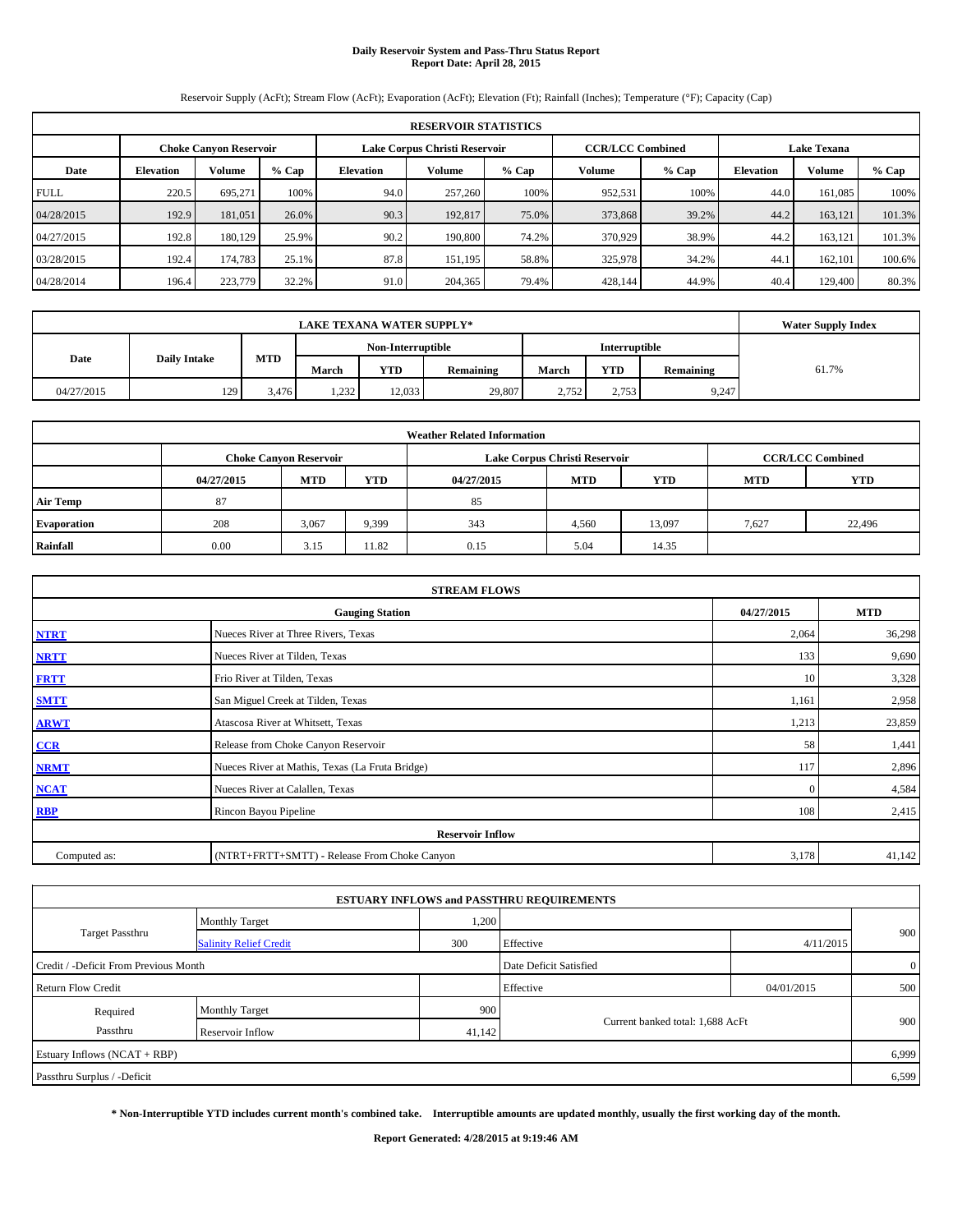# **Daily Reservoir System and Pass-Thru Status Report Report Date: April 28, 2015**

Reservoir Supply (AcFt); Stream Flow (AcFt); Evaporation (AcFt); Elevation (Ft); Rainfall (Inches); Temperature (°F); Capacity (Cap)

| <b>RESERVOIR STATISTICS</b> |                  |                               |         |                  |                               |         |                                               |         |                  |               |         |
|-----------------------------|------------------|-------------------------------|---------|------------------|-------------------------------|---------|-----------------------------------------------|---------|------------------|---------------|---------|
|                             |                  | <b>Choke Canvon Reservoir</b> |         |                  | Lake Corpus Christi Reservoir |         | <b>CCR/LCC Combined</b><br><b>Lake Texana</b> |         |                  |               |         |
| Date                        | <b>Elevation</b> | <b>Volume</b>                 | $%$ Cap | <b>Elevation</b> | Volume                        | $%$ Cap | Volume                                        | $%$ Cap | <b>Elevation</b> | <b>Volume</b> | $%$ Cap |
| <b>FULL</b>                 | 220.5            | 695.271                       | 100%    | 94.0             | 257,260                       | 100%    | 952,531                                       | 100%    | 44.0             | 161.085       | 100%    |
| 04/28/2015                  | 192.9            | 181.051                       | 26.0%   | 90.3             | 192,817                       | 75.0%   | 373,868                                       | 39.2%   | 44.2             | 163,121       | 101.3%  |
| 04/27/2015                  | 192.8            | 180,129                       | 25.9%   | 90.2             | 190,800                       | 74.2%   | 370,929                                       | 38.9%   | 44.2             | 163.121       | 101.3%  |
| 03/28/2015                  | 192.4            | 174,783                       | 25.1%   | 87.8             | 151,195                       | 58.8%   | 325,978                                       | 34.2%   | 44.1             | 162.101       | 100.6%  |
| 04/28/2014                  | 196.4            | 223,779                       | 32.2%   | 91.0             | 204,365                       | 79.4%   | 428,144                                       | 44.9%   | 40.4             | 129,400       | 80.3%   |

|            | <b>Water Supply Index</b> |            |       |                   |                  |       |               |           |       |
|------------|---------------------------|------------|-------|-------------------|------------------|-------|---------------|-----------|-------|
|            |                           |            |       | Non-Interruptible |                  |       | Interruptible |           |       |
| Date       | <b>Daily Intake</b>       | <b>MTD</b> | March | <b>YTD</b>        | <b>Remaining</b> | March | <b>YTD</b>    | Remaining | 61.7% |
| 04/27/2015 | 129                       | 3.476      | 1,232 | 12,033            | 29,807           | 2.752 | 2,753         | 9,247     |       |

|                    |            |                               |       | <b>Weather Related Information</b> |                               |                         |            |            |
|--------------------|------------|-------------------------------|-------|------------------------------------|-------------------------------|-------------------------|------------|------------|
|                    |            | <b>Choke Canyon Reservoir</b> |       |                                    | Lake Corpus Christi Reservoir | <b>CCR/LCC Combined</b> |            |            |
|                    | 04/27/2015 | <b>MTD</b>                    | YTD   | 04/27/2015                         | <b>MTD</b>                    | <b>YTD</b>              | <b>MTD</b> | <b>YTD</b> |
| <b>Air Temp</b>    | 87         |                               |       | 85                                 |                               |                         |            |            |
| <b>Evaporation</b> | 208        | 3,067                         | 9,399 | 343                                | 4,560                         | 13,097                  | 7,627      | 22,496     |
| Rainfall           | 0.00       | 3.15                          | 11.82 | 0.15                               | 5.04                          | 14.35                   |            |            |

| <b>STREAM FLOWS</b> |                                                 |          |        |  |  |  |  |  |  |
|---------------------|-------------------------------------------------|----------|--------|--|--|--|--|--|--|
|                     | <b>Gauging Station</b>                          |          |        |  |  |  |  |  |  |
| <b>NTRT</b>         | Nueces River at Three Rivers, Texas             | 2,064    | 36,298 |  |  |  |  |  |  |
| <b>NRTT</b>         | Nueces River at Tilden, Texas                   | 133      | 9,690  |  |  |  |  |  |  |
| <b>FRTT</b>         | Frio River at Tilden, Texas                     | 10       | 3,328  |  |  |  |  |  |  |
| <b>SMTT</b>         | San Miguel Creek at Tilden, Texas               | 1,161    | 2,958  |  |  |  |  |  |  |
| <b>ARWT</b>         | Atascosa River at Whitsett, Texas               | 1,213    | 23,859 |  |  |  |  |  |  |
| CCR                 | Release from Choke Canyon Reservoir             | 58       | 1,441  |  |  |  |  |  |  |
| <b>NRMT</b>         | Nueces River at Mathis, Texas (La Fruta Bridge) | 117      | 2,896  |  |  |  |  |  |  |
| <b>NCAT</b>         | Nueces River at Calallen, Texas                 | $\Omega$ | 4,584  |  |  |  |  |  |  |
| <b>RBP</b>          | Rincon Bayou Pipeline                           | 108      | 2,415  |  |  |  |  |  |  |
|                     | <b>Reservoir Inflow</b>                         |          |        |  |  |  |  |  |  |
| Computed as:        | (NTRT+FRTT+SMTT) - Release From Choke Canyon    | 3,178    | 41,142 |  |  |  |  |  |  |

|                                       |                               |        | <b>ESTUARY INFLOWS and PASSTHRU REQUIREMENTS</b> |            |              |
|---------------------------------------|-------------------------------|--------|--------------------------------------------------|------------|--------------|
|                                       | <b>Monthly Target</b>         | 1,200  |                                                  |            |              |
| Target Passthru                       | <b>Salinity Relief Credit</b> | 300    | Effective                                        | 4/11/2015  | 900          |
| Credit / -Deficit From Previous Month |                               |        | Date Deficit Satisfied                           |            | $\mathbf{0}$ |
| Return Flow Credit                    |                               |        | Effective                                        | 04/01/2015 | 500          |
| Required                              | <b>Monthly Target</b>         | 900    |                                                  |            |              |
| Passthru                              | Reservoir Inflow              | 41,142 | Current banked total: 1,688 AcFt                 |            | 900          |
| Estuary Inflows (NCAT + RBP)          |                               |        |                                                  |            | 6,999        |
| Passthru Surplus / -Deficit           |                               |        |                                                  |            | 6,599        |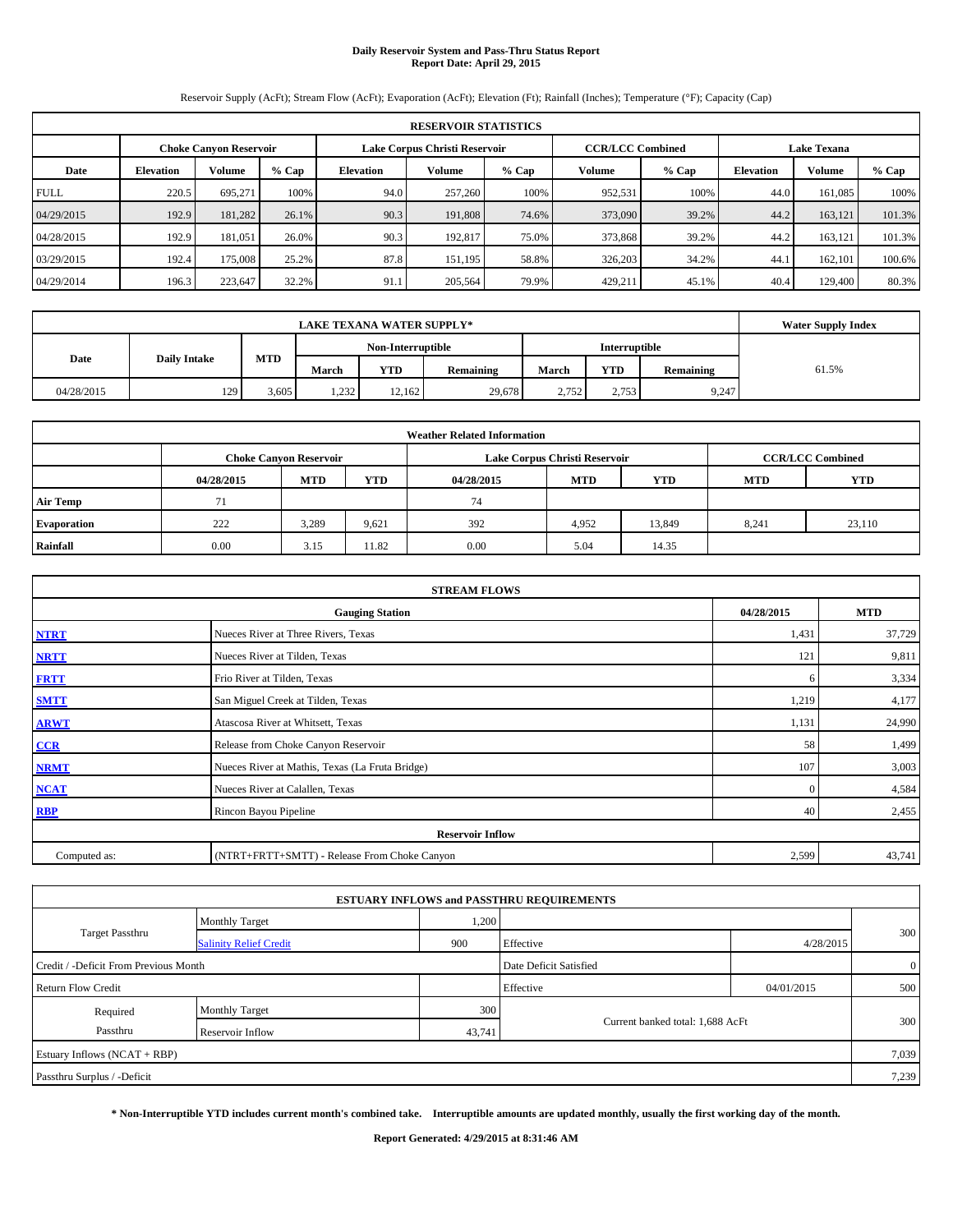# **Daily Reservoir System and Pass-Thru Status Report Report Date: April 29, 2015**

Reservoir Supply (AcFt); Stream Flow (AcFt); Evaporation (AcFt); Elevation (Ft); Rainfall (Inches); Temperature (°F); Capacity (Cap)

|             | <b>RESERVOIR STATISTICS</b> |                               |         |                  |                               |         |                                               |         |                  |               |         |
|-------------|-----------------------------|-------------------------------|---------|------------------|-------------------------------|---------|-----------------------------------------------|---------|------------------|---------------|---------|
|             |                             | <b>Choke Canvon Reservoir</b> |         |                  | Lake Corpus Christi Reservoir |         | <b>CCR/LCC Combined</b><br><b>Lake Texana</b> |         |                  |               |         |
| Date        | <b>Elevation</b>            | <b>Volume</b>                 | $%$ Cap | <b>Elevation</b> | Volume                        | $%$ Cap | Volume                                        | $%$ Cap | <b>Elevation</b> | <b>Volume</b> | $%$ Cap |
| <b>FULL</b> | 220.5                       | 695.271                       | 100%    | 94.0             | 257,260                       | 100%    | 952,531                                       | 100%    | 44.0             | 161.085       | 100%    |
| 04/29/2015  | 192.9                       | 181,282                       | 26.1%   | 90.3             | 191.808                       | 74.6%   | 373,090                                       | 39.2%   | 44.2             | 163,121       | 101.3%  |
| 04/28/2015  | 192.9                       | 181.051                       | 26.0%   | 90.3             | 192.817                       | 75.0%   | 373,868                                       | 39.2%   | 44.2             | 163.121       | 101.3%  |
| 03/29/2015  | 192.4                       | 175,008                       | 25.2%   | 87.8             | 151.195                       | 58.8%   | 326,203                                       | 34.2%   | 44.1             | 162.101       | 100.6%  |
| 04/29/2014  | 196.3                       | 223,647                       | 32.2%   | 91.1             | 205,564                       | 79.9%   | 429,211                                       | 45.1%   | 40.4             | 129,400       | 80.3%   |

|            | <b>Water Supply Index</b> |            |       |                   |                  |       |               |           |       |
|------------|---------------------------|------------|-------|-------------------|------------------|-------|---------------|-----------|-------|
|            |                           |            |       | Non-Interruptible |                  |       | Interruptible |           |       |
| Date       | <b>Daily Intake</b>       | <b>MTD</b> | March | <b>YTD</b>        | <b>Remaining</b> | March | <b>YTD</b>    | Remaining | 61.5% |
| 04/28/2015 | 129                       | 3,605      | 1,232 | 12,162            | 29,678           | 2.752 | 2,753         | 9,247     |       |

|                    |            |                               |            | <b>Weather Related Information</b> |                               |                         |            |            |
|--------------------|------------|-------------------------------|------------|------------------------------------|-------------------------------|-------------------------|------------|------------|
|                    |            | <b>Choke Canyon Reservoir</b> |            |                                    | Lake Corpus Christi Reservoir | <b>CCR/LCC Combined</b> |            |            |
|                    | 04/28/2015 | <b>MTD</b>                    | <b>YTD</b> | 04/28/2015                         | <b>MTD</b>                    | <b>YTD</b>              | <b>MTD</b> | <b>YTD</b> |
| <b>Air Temp</b>    | 71         |                               |            | 74                                 |                               |                         |            |            |
| <b>Evaporation</b> | 222        | 3,289                         | 9,621      | 392                                | 4,952                         | 13.849                  | 8,241      | 23,110     |
| Rainfall           | 0.00       | 3.15                          | 11.82      | 0.00                               | 5.04                          | 14.35                   |            |            |

| <b>STREAM FLOWS</b> |                                                 |          |        |  |  |  |  |  |  |
|---------------------|-------------------------------------------------|----------|--------|--|--|--|--|--|--|
|                     | <b>Gauging Station</b>                          |          |        |  |  |  |  |  |  |
| <b>NTRT</b>         | Nueces River at Three Rivers, Texas             | 1,431    | 37,729 |  |  |  |  |  |  |
| <b>NRTT</b>         | Nueces River at Tilden, Texas                   | 121      | 9,811  |  |  |  |  |  |  |
| <b>FRTT</b>         | Frio River at Tilden, Texas                     | 6        | 3,334  |  |  |  |  |  |  |
| <b>SMTT</b>         | San Miguel Creek at Tilden, Texas               | 1,219    | 4,177  |  |  |  |  |  |  |
| <b>ARWT</b>         | Atascosa River at Whitsett, Texas               | 1,131    | 24,990 |  |  |  |  |  |  |
| CCR                 | Release from Choke Canyon Reservoir             | 58       | 1,499  |  |  |  |  |  |  |
| <b>NRMT</b>         | Nueces River at Mathis, Texas (La Fruta Bridge) | 107      | 3,003  |  |  |  |  |  |  |
| <b>NCAT</b>         | Nueces River at Calallen, Texas                 | $\Omega$ | 4,584  |  |  |  |  |  |  |
| <b>RBP</b>          | Rincon Bayou Pipeline                           | 40       | 2,455  |  |  |  |  |  |  |
|                     | <b>Reservoir Inflow</b>                         |          |        |  |  |  |  |  |  |
| Computed as:        | (NTRT+FRTT+SMTT) - Release From Choke Canyon    | 2,599    | 43,741 |  |  |  |  |  |  |

|                                       |                               |        | <b>ESTUARY INFLOWS and PASSTHRU REQUIREMENTS</b> |            |       |  |
|---------------------------------------|-------------------------------|--------|--------------------------------------------------|------------|-------|--|
|                                       | <b>Monthly Target</b>         | 1,200  |                                                  |            |       |  |
| <b>Target Passthru</b>                | <b>Salinity Relief Credit</b> | 900    | Effective                                        | 4/28/2015  | 300   |  |
| Credit / -Deficit From Previous Month | Date Deficit Satisfied        |        | $\overline{0}$                                   |            |       |  |
| <b>Return Flow Credit</b>             |                               |        | Effective                                        | 04/01/2015 | 500   |  |
| Required                              | Monthly Target                | 300    |                                                  |            |       |  |
| Passthru<br>Reservoir Inflow          |                               | 43,741 | Current banked total: 1,688 AcFt                 | 300        |       |  |
| Estuary Inflows (NCAT + RBP)          |                               |        |                                                  |            | 7,039 |  |
| Passthru Surplus / -Deficit           |                               |        |                                                  |            | 7,239 |  |